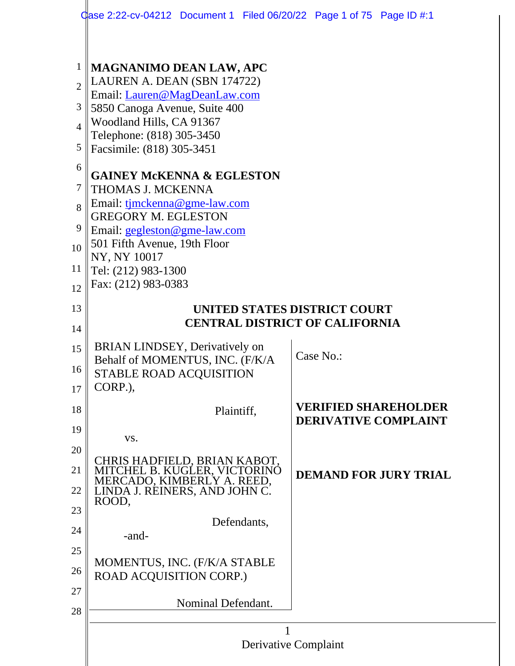|                                                                                                  | Gase 2:22-cv-04212 Document 1 Filed 06/20/22 Page 1 of 75 Page ID $\#1$                                                                                                                                                                                                                                                                                                                                                                                                       |  |           |                                                            |
|--------------------------------------------------------------------------------------------------|-------------------------------------------------------------------------------------------------------------------------------------------------------------------------------------------------------------------------------------------------------------------------------------------------------------------------------------------------------------------------------------------------------------------------------------------------------------------------------|--|-----------|------------------------------------------------------------|
| $\mathbf{1}$<br>$\overline{2}$<br>3<br>$\overline{4}$<br>5<br>6<br>7<br>8<br>9<br>10<br>11<br>12 | <b>MAGNANIMO DEAN LAW, APC</b><br>LAUREN A. DEAN (SBN 174722)<br>Email: Lauren@MagDeanLaw.com<br>5850 Canoga Avenue, Suite 400<br>Woodland Hills, CA 91367<br>Telephone: (818) 305-3450<br>Facsimile: (818) 305-3451<br><b>GAINEY MCKENNA &amp; EGLESTON</b><br>THOMAS J. MCKENNA<br>Email: tjmckenna@gme-law.com<br><b>GREGORY M. EGLESTON</b><br>Email: gegleston@gme-law.com<br>501 Fifth Avenue, 19th Floor<br>NY, NY 10017<br>Tel: (212) 983-1300<br>Fax: (212) 983-0383 |  |           |                                                            |
| 13                                                                                               | UNITED STATES DISTRICT COURT                                                                                                                                                                                                                                                                                                                                                                                                                                                  |  |           |                                                            |
| 14                                                                                               | <b>CENTRAL DISTRICT OF CALIFORNIA</b>                                                                                                                                                                                                                                                                                                                                                                                                                                         |  |           |                                                            |
| 15<br>16<br>17                                                                                   | <b>BRIAN LINDSEY, Derivatively on</b><br>Behalf of MOMENTUS, INC. (F/K/A<br>STABLE ROAD ACQUISITION<br>CORP.).                                                                                                                                                                                                                                                                                                                                                                |  | Case No.: |                                                            |
| 18                                                                                               | Plaintiff,                                                                                                                                                                                                                                                                                                                                                                                                                                                                    |  |           | <b>VERIFIED SHAREHOLDER</b><br><b>DERIVATIVE COMPLAINT</b> |
| 19                                                                                               | VS.                                                                                                                                                                                                                                                                                                                                                                                                                                                                           |  |           |                                                            |
| 20<br>21                                                                                         | CHRIS HADFIELD, BRIAN KABOT,<br>MITCHEL B. KUGLER, VICTORINO                                                                                                                                                                                                                                                                                                                                                                                                                  |  |           | <b>DEMAND FOR JURY TRIAL</b>                               |
| 22                                                                                               | MERCADO, KIMBERLY A. REED,<br>LINDA J. RÉINERS, AND JOHN C.                                                                                                                                                                                                                                                                                                                                                                                                                   |  |           |                                                            |
| 23                                                                                               | ROOD,                                                                                                                                                                                                                                                                                                                                                                                                                                                                         |  |           |                                                            |
| 24                                                                                               | Defendants,<br>-and-                                                                                                                                                                                                                                                                                                                                                                                                                                                          |  |           |                                                            |
| 25                                                                                               |                                                                                                                                                                                                                                                                                                                                                                                                                                                                               |  |           |                                                            |
| 26                                                                                               | MOMENTUS, INC. (F/K/A STABLE<br>ROAD ACQUISITION CORP.)                                                                                                                                                                                                                                                                                                                                                                                                                       |  |           |                                                            |
| 27<br>28                                                                                         | Nominal Defendant.                                                                                                                                                                                                                                                                                                                                                                                                                                                            |  |           |                                                            |
|                                                                                                  |                                                                                                                                                                                                                                                                                                                                                                                                                                                                               |  |           |                                                            |
|                                                                                                  | Derivative Complaint                                                                                                                                                                                                                                                                                                                                                                                                                                                          |  |           |                                                            |
|                                                                                                  |                                                                                                                                                                                                                                                                                                                                                                                                                                                                               |  |           |                                                            |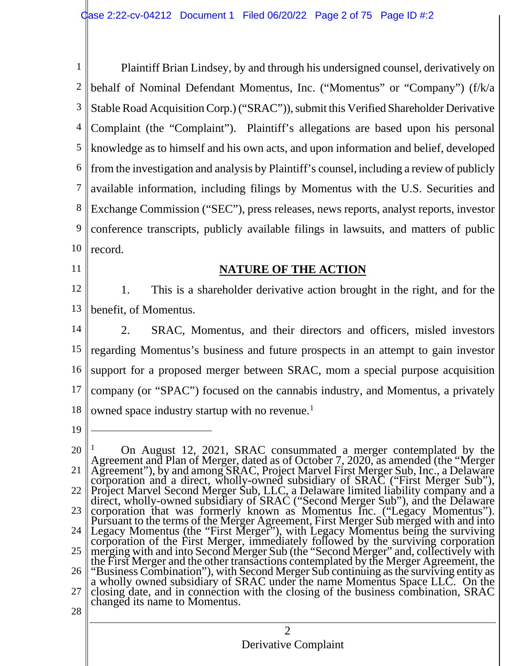1 2 3 4 5 6 7 8 9 10 Plaintiff Brian Lindsey, by and through his undersigned counsel, derivatively on behalf of Nominal Defendant Momentus, Inc. ("Momentus" or "Company") (f/k/a Stable Road AcquisitionCorp.) ("SRAC")), submit this Verified Shareholder Derivative Complaint (the "Complaint"). Plaintiff's allegations are based upon his personal knowledge as to himself and his own acts, and upon information and belief, developed from the investigation and analysis by Plaintiff's counsel, including a review of publicly available information, including filings by Momentus with the U.S. Securities and Exchange Commission ("SEC"), press releases, news reports, analyst reports, investor conference transcripts, publicly available filings in lawsuits, and matters of public record.

11

### **NATURE OF THE ACTION**

12 13 1. This is a shareholder derivative action brought in the right, and for the benefit, of Momentus.

- 14 15 16 17 18 2. SRAC, Momentus, and their directors and officers, misled investors regarding Momentus's business and future prospects in an attempt to gain investor support for a proposed merger between SRAC, mom a special purpose acquisition company (or "SPAC") focused on the cannabis industry, and Momentus, a privately owned space industry startup with no revenue.<sup>1</sup>
- 19

 $\mathfrak{D}$ 20 21 22 23 24 25 26 27 28 <sup>1</sup> On August 12, 2021, SRAC consummated a merger contemplated by the Agreement and Plan of Merger, dated as of October 7, 2020, as amended (the "Merger<br>Agreement"), by and among SRAC, Project Marvel First Merger Sub, Inc., a Delaware<br>corporation and a direct, wholly-owned subsidiary of SRAC Legacy Momentus (the "First Merger"), with Legacy Momentus being the surviving corporation of the First Merger, immediately followed by the surviving corporation the First Merger and the other transactions contemplated by the Merger Agreement, the "Business Combination"), with Second Merger Sub continuing as the surviving entity as a wholly owned subsidiary of SRAC under the name M closing date, and in connection with the closing of the business combination, SRAC changed its name to Momentus.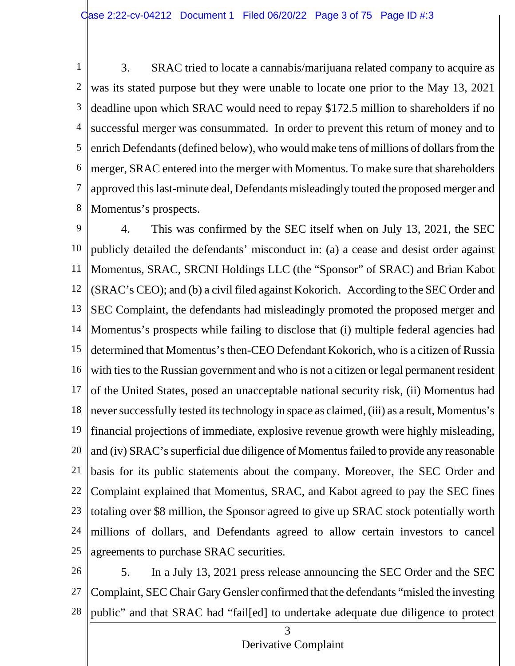1 2 3 4 5 6 7 8 3. SRAC tried to locate a cannabis/marijuana related company to acquire as was its stated purpose but they were unable to locate one prior to the May 13, 2021 deadline upon which SRAC would need to repay \$172.5 million to shareholders if no successful merger was consummated. In order to prevent this return of money and to enrich Defendants (defined below), who would make tens of millions of dollars from the merger, SRAC entered into the merger with Momentus. To make sure that shareholders approved this last-minute deal, Defendants misleadingly touted the proposed merger and Momentus's prospects.

9 10 11 12 13 14 15 16 17 18 19 20 21 22 23 24 25 4. This was confirmed by the SEC itself when on July 13, 2021, the SEC publicly detailed the defendants' misconduct in: (a) a cease and desist order against Momentus, SRAC, SRCNI Holdings LLC (the "Sponsor" of SRAC) and Brian Kabot (SRAC's CEO); and (b) a civil filed against Kokorich. According to the SEC Order and SEC Complaint, the defendants had misleadingly promoted the proposed merger and Momentus's prospects while failing to disclose that (i) multiple federal agencies had determined that Momentus's then-CEO Defendant Kokorich, who is a citizen of Russia with ties to the Russian government and who is not a citizen or legal permanent resident of the United States, posed an unacceptable national security risk, (ii) Momentus had never successfully tested its technology in space as claimed, (iii) as a result, Momentus's financial projections of immediate, explosive revenue growth were highly misleading, and (iv) SRAC's superficial due diligence of Momentus failed to provide any reasonable basis for its public statements about the company. Moreover, the SEC Order and Complaint explained that Momentus, SRAC, and Kabot agreed to pay the SEC fines totaling over \$8 million, the Sponsor agreed to give up SRAC stock potentially worth millions of dollars, and Defendants agreed to allow certain investors to cancel agreements to purchase SRAC securities.

26 27 28 5. In a July 13, 2021 press release announcing the SEC Order and the SEC Complaint, SEC Chair Gary Gensler confirmed that the defendants "misled the investing public" and that SRAC had "fail[ed] to undertake adequate due diligence to protect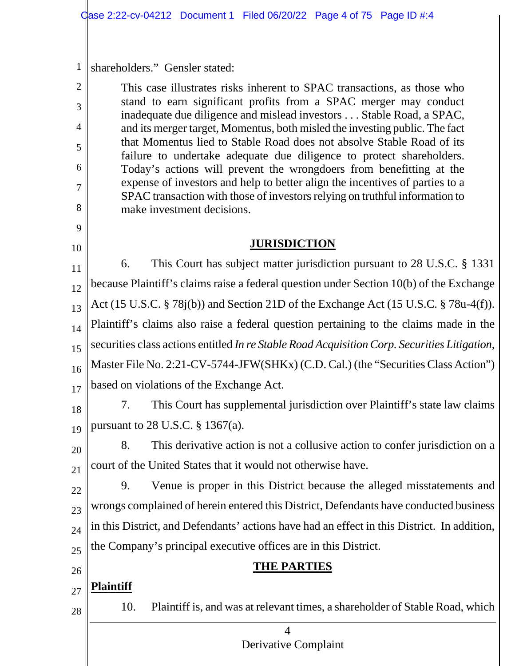1 shareholders." Gensler stated:

2

3

4

5

6

7

8

9

10

This case illustrates risks inherent to SPAC transactions, as those who stand to earn significant profits from a SPAC merger may conduct inadequate due diligence and mislead investors . . . Stable Road, a SPAC, and its merger target, Momentus, both misled the investing public. The fact that Momentus lied to Stable Road does not absolve Stable Road of its failure to undertake adequate due diligence to protect shareholders. Today's actions will prevent the wrongdoers from benefitting at the expense of investors and help to better align the incentives of parties to a SPAC transaction with those of investors relying on truthful information to make investment decisions.

# **JURISDICTION**

11 12 13 14 15 16 17 6. This Court has subject matter jurisdiction pursuant to 28 U.S.C. § 1331 because Plaintiff's claims raise a federal question under Section 10(b) of the Exchange Act (15 U.S.C. § 78j(b)) and Section 21D of the Exchange Act (15 U.S.C. § 78u-4(f)). Plaintiff's claims also raise a federal question pertaining to the claims made in the securities class actions entitled *In re Stable Road Acquisition Corp. Securities Litigation*, Master File No. 2:21-CV-5744-JFW(SHKx) (C.D. Cal.) (the "Securities Class Action") based on violations of the Exchange Act.

18 19 7. This Court has supplemental jurisdiction over Plaintiff's state law claims pursuant to 28 U.S.C. § 1367(a).

20 21 8. This derivative action is not a collusive action to confer jurisdiction on a court of the United States that it would not otherwise have.

22 23  $24$ 25 9. Venue is proper in this District because the alleged misstatements and wrongs complained of herein entered this District, Defendants have conducted business in this District, and Defendants' actions have had an effect in this District. In addition, the Company's principal executive offices are in this District.

26

28

## **THE PARTIES**

27 **Plaintiff**

10. Plaintiff is, and was at relevant times, a shareholder of Stable Road, which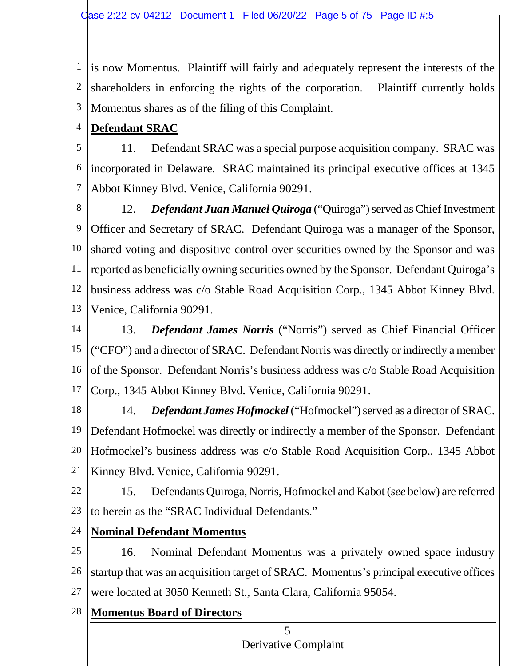1 is now Momentus. Plaintiff will fairly and adequately represent the interests of the 2 3 shareholders in enforcing the rights of the corporation. Plaintiff currently holds Momentus shares as of the filing of this Complaint.

4 **Defendant SRAC**

5 6 7 11. Defendant SRAC was a special purpose acquisition company. SRAC was incorporated in Delaware. SRAC maintained its principal executive offices at 1345 Abbot Kinney Blvd. Venice, California 90291.

8 9 10 11 12 13 12. *Defendant Juan Manuel Quiroga* ("Quiroga") served as Chief Investment Officer and Secretary of SRAC. Defendant Quiroga was a manager of the Sponsor, shared voting and dispositive control over securities owned by the Sponsor and was reported as beneficially owning securities owned by the Sponsor. Defendant Quiroga's business address was c/o Stable Road Acquisition Corp., 1345 Abbot Kinney Blvd. Venice, California 90291.

14 15 16 17 13. *Defendant James Norris* ("Norris") served as Chief Financial Officer ("CFO") and a director of SRAC. Defendant Norris was directly or indirectly a member of the Sponsor. Defendant Norris's business address was c/o Stable Road Acquisition Corp., 1345 Abbot Kinney Blvd. Venice, California 90291.

18 19 20 21 14. *Defendant James Hofmockel* ("Hofmockel") served as a director of SRAC. Defendant Hofmockel was directly or indirectly a member of the Sponsor. Defendant Hofmockel's business address was c/o Stable Road Acquisition Corp., 1345 Abbot Kinney Blvd. Venice, California 90291.

- 22 23 15. Defendants Quiroga, Norris, Hofmockel and Kabot (*see* below) are referred to herein as the "SRAC Individual Defendants."
- 24 **Nominal Defendant Momentus**

25 26 27 16. Nominal Defendant Momentus was a privately owned space industry startup that was an acquisition target of SRAC. Momentus's principal executive offices were located at 3050 Kenneth St., Santa Clara, California 95054.

28 **Momentus Board of Directors**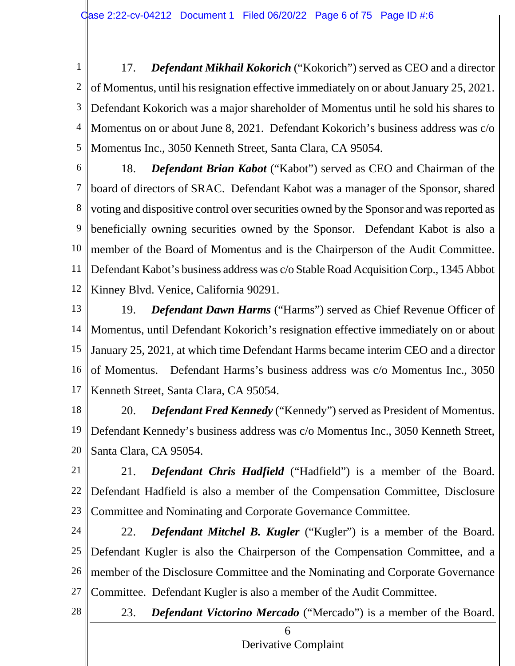1 2 3 4 5 17. *Defendant Mikhail Kokorich* ("Kokorich") served as CEO and a director of Momentus, until his resignation effective immediately on or about January 25, 2021. Defendant Kokorich was a major shareholder of Momentus until he sold his shares to Momentus on or about June 8, 2021. Defendant Kokorich's business address was c/o Momentus Inc., 3050 Kenneth Street, Santa Clara, CA 95054.

6

7 8 9 10 11 12 18. *Defendant Brian Kabot* ("Kabot") served as CEO and Chairman of the board of directors of SRAC. Defendant Kabot was a manager of the Sponsor, shared voting and dispositive control over securities owned by the Sponsor and was reported as beneficially owning securities owned by the Sponsor. Defendant Kabot is also a member of the Board of Momentus and is the Chairperson of the Audit Committee. Defendant Kabot's business address was c/o Stable Road Acquisition Corp., 1345 Abbot Kinney Blvd. Venice, California 90291.

13 14 15 16 17 19. *Defendant Dawn Harms* ("Harms") served as Chief Revenue Officer of Momentus, until Defendant Kokorich's resignation effective immediately on or about January 25, 2021, at which time Defendant Harms became interim CEO and a director of Momentus. Defendant Harms's business address was c/o Momentus Inc., 3050 Kenneth Street, Santa Clara, CA 95054.

18 19 20 20. *Defendant Fred Kennedy* ("Kennedy") served as President of Momentus. Defendant Kennedy's business address was c/o Momentus Inc., 3050 Kenneth Street, Santa Clara, CA 95054.

21 22 23 21. *Defendant Chris Hadfield* ("Hadfield") is a member of the Board. Defendant Hadfield is also a member of the Compensation Committee, Disclosure Committee and Nominating and Corporate Governance Committee.

24 25 26 27 22. *Defendant Mitchel B. Kugler* ("Kugler") is a member of the Board. Defendant Kugler is also the Chairperson of the Compensation Committee, and a member of the Disclosure Committee and the Nominating and Corporate Governance Committee. Defendant Kugler is also a member of the Audit Committee.

28

23. *Defendant Victorino Mercado* ("Mercado") is a member of the Board.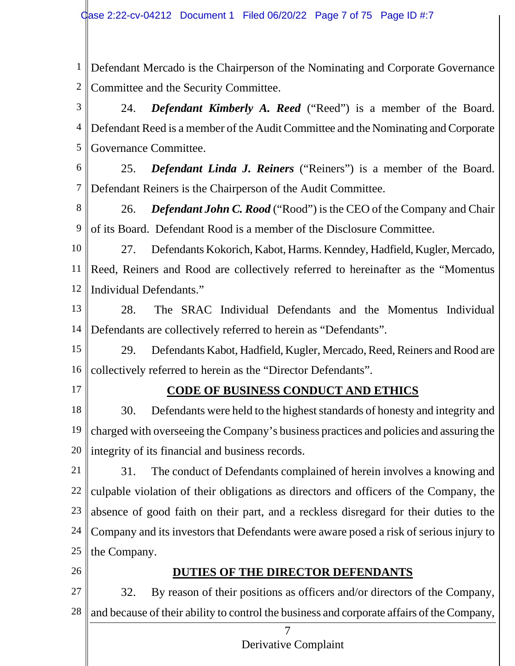1 2 Defendant Mercado is the Chairperson of the Nominating and Corporate Governance Committee and the Security Committee.

3 4 5 24. *Defendant Kimberly A. Reed* ("Reed") is a member of the Board. Defendant Reed is a member of the Audit Committee and the Nominating and Corporate Governance Committee.

6

7

25. *Defendant Linda J. Reiners* ("Reiners") is a member of the Board. Defendant Reiners is the Chairperson of the Audit Committee.

8 9 26. *Defendant John C. Rood* ("Rood") is the CEO of the Company and Chair of its Board. Defendant Rood is a member of the Disclosure Committee.

10 11 12 27. Defendants Kokorich, Kabot, Harms. Kenndey, Hadfield, Kugler, Mercado, Reed, Reiners and Rood are collectively referred to hereinafter as the "Momentus Individual Defendants."

13 14 28. The SRAC Individual Defendants and the Momentus Individual Defendants are collectively referred to herein as "Defendants".

15 16 29. Defendants Kabot, Hadfield, Kugler, Mercado, Reed, Reiners and Rood are collectively referred to herein as the "Director Defendants".

17

# **CODE OF BUSINESS CONDUCT AND ETHICS**

18 19 20 30. Defendants were held to the highest standards of honesty and integrity and charged with overseeing the Company's business practices and policies and assuring the integrity of its financial and business records.

21 22 23 24 25 31. The conduct of Defendants complained of herein involves a knowing and culpable violation of their obligations as directors and officers of the Company, the absence of good faith on their part, and a reckless disregard for their duties to the Company and its investors that Defendants were aware posed a risk of serious injury to the Company.

26

# **DUTIES OF THE DIRECTOR DEFENDANTS**

27 28 32. By reason of their positions as officers and/or directors of the Company, and because of their ability to control the business and corporate affairs of the Company,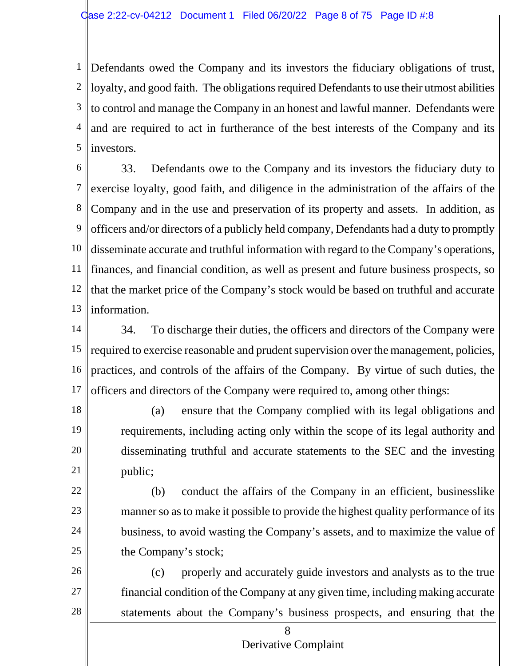1 2 3 4 5 Defendants owed the Company and its investors the fiduciary obligations of trust,  $\parallel$ loyalty, and good faith. The obligations required Defendants to use their utmost abilities to control and manage the Company in an honest and lawful manner. Defendants were and are required to act in furtherance of the best interests of the Company and its investors.

6 7 8 9 10 11 12 13 33. Defendants owe to the Company and its investors the fiduciary duty to exercise loyalty, good faith, and diligence in the administration of the affairs of the Company and in the use and preservation of its property and assets. In addition, as officers and/or directors of a publicly held company, Defendants had a duty to promptly disseminate accurate and truthful information with regard to the Company's operations, finances, and financial condition, as well as present and future business prospects, so that the market price of the Company's stock would be based on truthful and accurate information.

14 15 16 17 34. To discharge their duties, the officers and directors of the Company were required to exercise reasonable and prudent supervision over the management, policies, practices, and controls of the affairs of the Company. By virtue of such duties, the officers and directors of the Company were required to, among other things:

18

19

20

21

22

23

24

25

(a) ensure that the Company complied with its legal obligations and requirements, including acting only within the scope of its legal authority and disseminating truthful and accurate statements to the SEC and the investing public;

(b) conduct the affairs of the Company in an efficient, businesslike manner so as to make it possible to provide the highest quality performance of its business, to avoid wasting the Company's assets, and to maximize the value of the Company's stock;

26 27 28 (c) properly and accurately guide investors and analysts as to the true financial condition of the Company at any given time, including making accurate statements about the Company's business prospects, and ensuring that the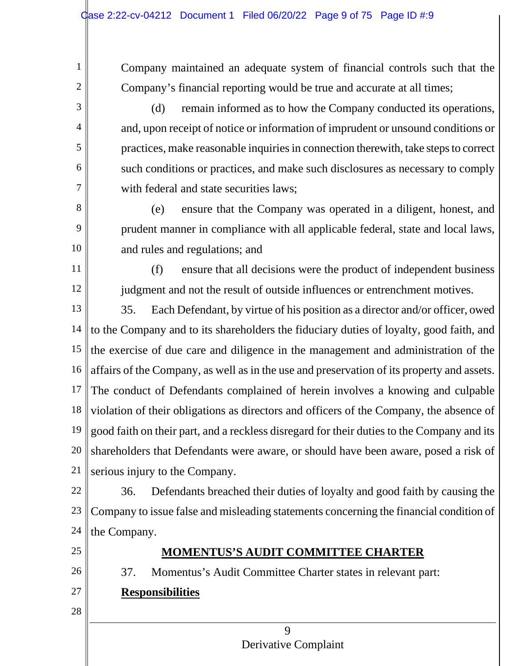Company maintained an adequate system of financial controls such that the Company's financial reporting would be true and accurate at all times;

(d) remain informed as to how the Company conducted its operations, and, upon receipt of notice or information of imprudent or unsound conditions or practices, make reasonable inquiries in connection therewith, take steps to correct such conditions or practices, and make such disclosures as necessary to comply with federal and state securities laws;

(e) ensure that the Company was operated in a diligent, honest, and prudent manner in compliance with all applicable federal, state and local laws, and rules and regulations; and

(f) ensure that all decisions were the product of independent business judgment and not the result of outside influences or entrenchment motives.

13 14 15 16 17 18 19 20 21 35. Each Defendant, by virtue of his position as a director and/or officer, owed to the Company and to its shareholders the fiduciary duties of loyalty, good faith, and the exercise of due care and diligence in the management and administration of the affairs of the Company, as well as in the use and preservation of its property and assets. The conduct of Defendants complained of herein involves a knowing and culpable violation of their obligations as directors and officers of the Company, the absence of good faith on their part, and a reckless disregard for their duties to the Company and its shareholders that Defendants were aware, or should have been aware, posed a risk of serious injury to the Company.

22 23 24 36. Defendants breached their duties of loyalty and good faith by causing the Company to issue false and misleading statements concerning the financial condition of the Company.

25

1

2

3

4

5

6

7

8

9

10

11

12

26

27

# **MOMENTUS'S AUDIT COMMITTEE CHARTER**

37. Momentus's Audit Committee Charter states in relevant part: **Responsibilities**

28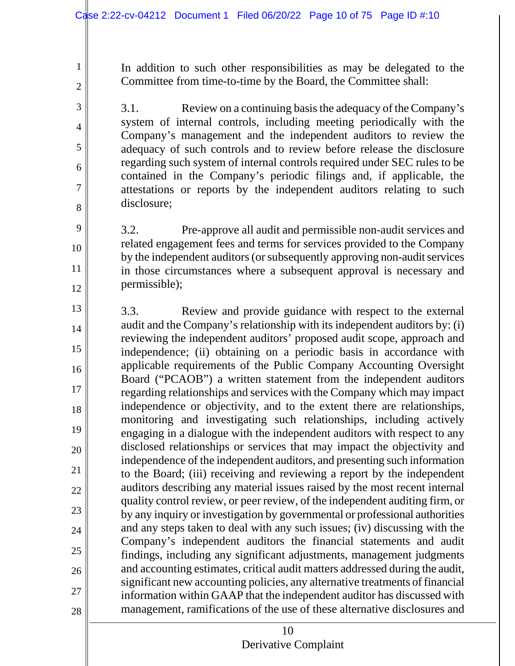1

2

3

4

5

6

7

8

9

10

11

12

In addition to such other responsibilities as may be delegated to the Committee from time-to-time by the Board, the Committee shall:

3.1. Review on a continuing basis the adequacy of the Company's system of internal controls, including meeting periodically with the Company's management and the independent auditors to review the adequacy of such controls and to review before release the disclosure regarding such system of internal controls required under SEC rules to be contained in the Company's periodic filings and, if applicable, the attestations or reports by the independent auditors relating to such disclosure;

3.2. Pre-approve all audit and permissible non-audit services and related engagement fees and terms for services provided to the Company by the independent auditors (or subsequently approving non-audit services in those circumstances where a subsequent approval is necessary and permissible);

13 14 15 16 17 18 19 20 21 22 23 24 25 26 27 28 3.3. Review and provide guidance with respect to the external audit and the Company's relationship with its independent auditors by: (i) reviewing the independent auditors' proposed audit scope, approach and independence; (ii) obtaining on a periodic basis in accordance with applicable requirements of the Public Company Accounting Oversight Board ("PCAOB") a written statement from the independent auditors regarding relationships and services with the Company which may impact independence or objectivity, and to the extent there are relationships, monitoring and investigating such relationships, including actively engaging in a dialogue with the independent auditors with respect to any disclosed relationships or services that may impact the objectivity and independence of the independent auditors, and presenting such information to the Board; (iii) receiving and reviewing a report by the independent auditors describing any material issues raised by the most recent internal quality control review, or peer review, of the independent auditing firm, or by any inquiry or investigation by governmental or professional authorities and any steps taken to deal with any such issues; (iv) discussing with the Company's independent auditors the financial statements and audit findings, including any significant adjustments, management judgments and accounting estimates, critical audit matters addressed during the audit, significant new accounting policies, any alternative treatments of financial information within GAAP that the independent auditor has discussed with management, ramifications of the use of these alternative disclosures and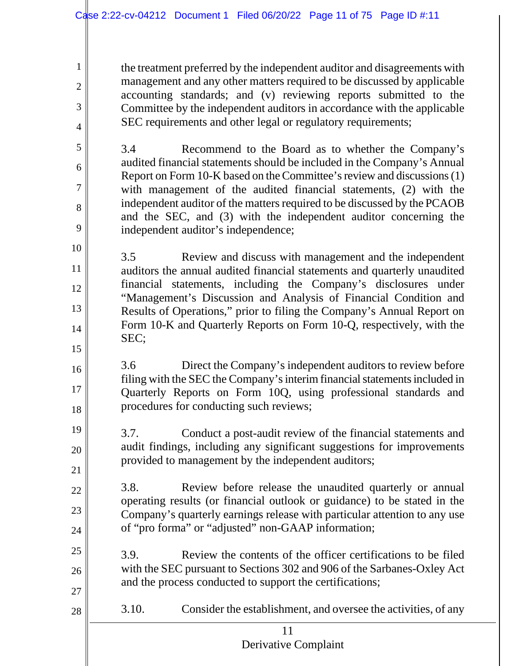1

2

3

4

5

6

7

8

9

10

11

12

13

14

15

19

20

21

22

23

24

25

26

27

28

the treatment preferred by the independent auditor and disagreements with management and any other matters required to be discussed by applicable accounting standards; and (v) reviewing reports submitted to the Committee by the independent auditors in accordance with the applicable SEC requirements and other legal or regulatory requirements;

3.4 Recommend to the Board as to whether the Company's audited financial statements should be included in the Company's Annual Report on Form 10-K based on theCommittee's review and discussions (1) with management of the audited financial statements, (2) with the independent auditor of the matters required to be discussed by the PCAOB and the SEC, and (3) with the independent auditor concerning the independent auditor's independence;

3.5 Review and discuss with management and the independent auditors the annual audited financial statements and quarterly unaudited financial statements, including the Company's disclosures under "Management's Discussion and Analysis of Financial Condition and Results of Operations," prior to filing the Company's Annual Report on Form 10-K and Quarterly Reports on Form 10-Q, respectively, with the SEC;

16 17 18 3.6 Direct the Company's independent auditors to review before filing with the SEC the Company's interim financial statements included in Quarterly Reports on Form 10Q, using professional standards and procedures for conducting such reviews;

3.7. Conduct a post-audit review of the financial statements and audit findings, including any significant suggestions for improvements provided to management by the independent auditors;

3.8. Review before release the unaudited quarterly or annual operating results (or financial outlook or guidance) to be stated in the Company's quarterly earnings release with particular attention to any use of "pro forma" or "adjusted" non-GAAP information;

3.9. Review the contents of the officer certifications to be filed with the SEC pursuant to Sections 302 and 906 of the Sarbanes-Oxley Act and the process conducted to support the certifications;

3.10. Consider the establishment, and oversee the activities, of any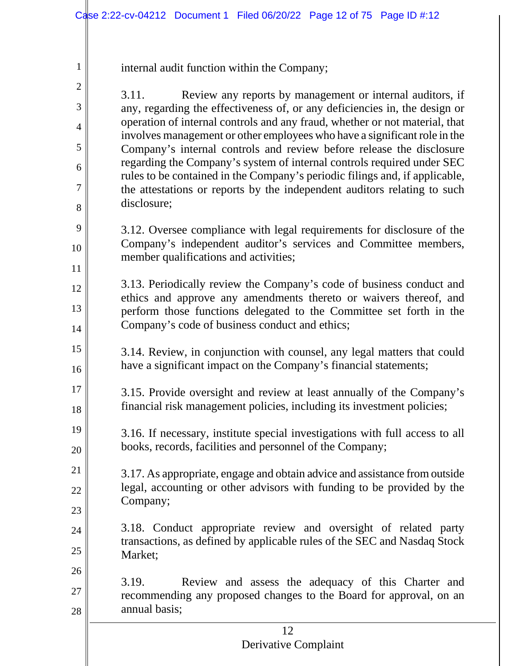internal audit function within the Company;

1

2

3

4

5

6

7

8

9

10

11

12

13

14

15

16

19

20

21

22

23

24

25

3.11. Review any reports by management or internal auditors, if any, regarding the effectiveness of, or any deficiencies in, the design or operation of internal controls and any fraud, whether or not material, that involves management or other employees who have a significant role in the Company's internal controls and review before release the disclosure regarding the Company's system of internal controls required under SEC rules to be contained in the Company's periodic filings and, if applicable, the attestations or reports by the independent auditors relating to such disclosure;

3.12. Oversee compliance with legal requirements for disclosure of the Company's independent auditor's services and Committee members, member qualifications and activities;

3.13. Periodically review the Company's code of business conduct and ethics and approve any amendments thereto or waivers thereof, and perform those functions delegated to the Committee set forth in the Company's code of business conduct and ethics;

- 3.14. Review, in conjunction with counsel, any legal matters that could have a significant impact on the Company's financial statements;
- 17 18 3.15. Provide oversight and review at least annually of the Company's financial risk management policies, including its investment policies;
	- 3.16. If necessary, institute special investigations with full access to all books, records, facilities and personnel of the Company;
	- 3.17. As appropriate, engage and obtain advice and assistance from outside legal, accounting or other advisors with funding to be provided by the Company;
	- 3.18. Conduct appropriate review and oversight of related party transactions, as defined by applicable rules of the SEC and Nasdaq Stock Market;
- 26 27 28 3.19. Review and assess the adequacy of this Charter and recommending any proposed changes to the Board for approval, on an annual basis;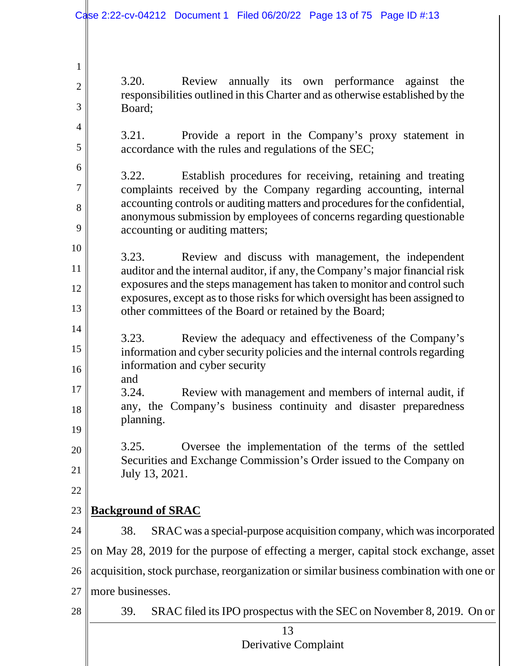3.20. Review annually its own performance against the responsibilities outlined in this Charter and as otherwise established by the Board;

3.21. Provide a report in the Company's proxy statement in accordance with the rules and regulations of the SEC;

3.22. Establish procedures for receiving, retaining and treating complaints received by the Company regarding accounting, internal accounting controls or auditing matters and procedures for the confidential, anonymous submission by employees of concerns regarding questionable accounting or auditing matters;

10 11 12 13 3.23. Review and discuss with management, the independent auditor and the internal auditor, if any, the Company's major financial risk exposures and the steps management has taken to monitor and control such exposures, except as to those risks for which oversight has been assigned to other committees of the Board or retained by the Board;

- 14 15 16 3.23. Review the adequacy and effectiveness of the Company's information and cyber security policies and the internal controls regarding information and cyber security
- 18 and 3.24. Review with management and members of internal audit, if any, the Company's business continuity and disaster preparedness planning.

3.25. Oversee the implementation of the terms of the settled Securities and Exchange Commission's Order issued to the Company on July 13, 2021.

22

17

19

20

21

1

2

3

4

5

6

7

8

9

### 23 **Background of SRAC**

24 25 26 27 38. SRAC was a special-purpose acquisition company, which was incorporated on May 28, 2019 for the purpose of effecting a merger, capital stock exchange, asset acquisition, stock purchase, reorganization orsimilar business combination with one or more businesses.

> 13 Derivative Complaint

39. SRAC filed its IPO prospectus with the SEC on November 8, 2019. On or

28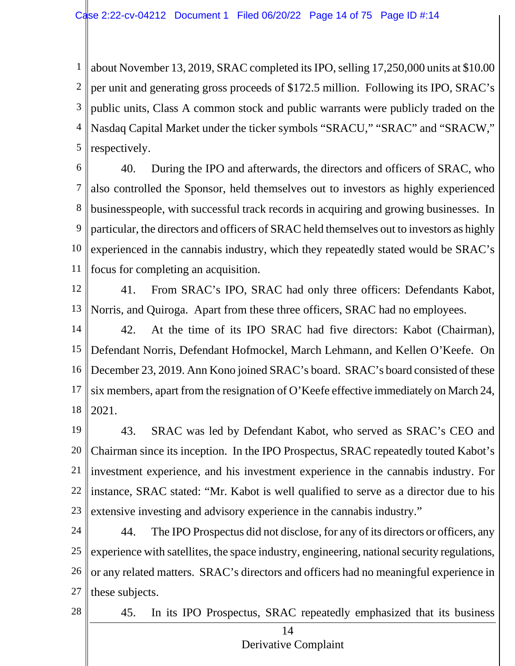1 2 3 4 5 about November 13, 2019, SRAC completed its IPO, selling 17,250,000 units at \$10.00 per unit and generating gross proceeds of \$172.5 million. Following its IPO, SRAC's public units, Class A common stock and public warrants were publicly traded on the Nasdaq Capital Market under the ticker symbols "SRACU," "SRAC" and "SRACW," respectively.

6 7 8 9 10 11 40. During the IPO and afterwards, the directors and officers of SRAC, who also controlled the Sponsor, held themselves out to investors as highly experienced businesspeople, with successful track records in acquiring and growing businesses. In particular, the directors and officers of SRAC held themselves out to investors as highly experienced in the cannabis industry, which they repeatedly stated would be SRAC's focus for completing an acquisition.

12

13 41. From SRAC's IPO, SRAC had only three officers: Defendants Kabot, Norris, and Quiroga. Apart from these three officers, SRAC had no employees.

14 15 16 17 18 42. At the time of its IPO SRAC had five directors: Kabot (Chairman), Defendant Norris, Defendant Hofmockel, March Lehmann, and Kellen O'Keefe. On December 23, 2019. Ann Kono joined SRAC's board. SRAC's board consisted of these six members, apart from the resignation of O'Keefe effective immediately on March 24, 2021.

19 20 21 22 23 43. SRAC was led by Defendant Kabot, who served as SRAC's CEO and Chairman since its inception. In the IPO Prospectus, SRAC repeatedly touted Kabot's investment experience, and his investment experience in the cannabis industry. For instance, SRAC stated: "Mr. Kabot is well qualified to serve as a director due to his extensive investing and advisory experience in the cannabis industry."

24 25 26 27 44. The IPO Prospectus did not disclose, for any of its directors or officers, any experience with satellites, the space industry, engineering, national security regulations, or any related matters. SRAC's directors and officers had no meaningful experience in these subjects.

28

45. In its IPO Prospectus, SRAC repeatedly emphasized that its business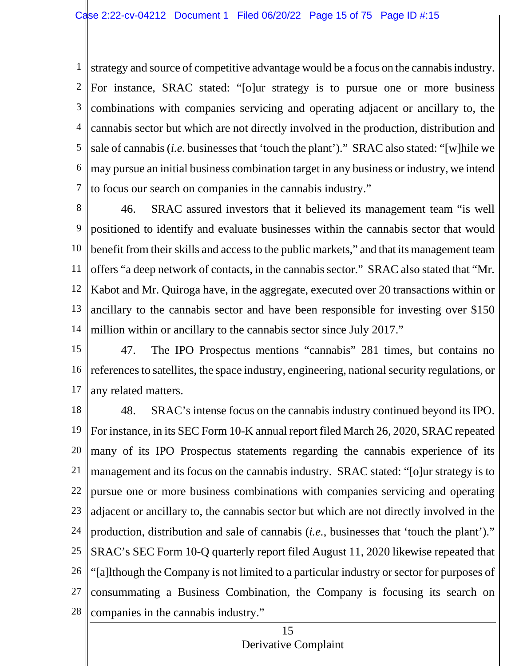1 2 3 4 5 6 7 strategy and source of competitive advantage would be a focus on the cannabisindustry. For instance, SRAC stated: "[o]ur strategy is to pursue one or more business combinations with companies servicing and operating adjacent or ancillary to, the cannabis sector but which are not directly involved in the production, distribution and sale of cannabis (*i.e.* businesses that 'touch the plant')." SRAC also stated: "[w]hile we may pursue an initial business combination target in any business or industry, we intend to focus our search on companies in the cannabis industry."

8 9 10 11 12 13 14 46. SRAC assured investors that it believed its management team "is well positioned to identify and evaluate businesses within the cannabis sector that would benefit from their skills and access to the public markets," and that its management team offers "a deep network of contacts, in the cannabis sector." SRAC also stated that "Mr. Kabot and Mr. Quiroga have, in the aggregate, executed over 20 transactions within or ancillary to the cannabis sector and have been responsible for investing over \$150 million within or ancillary to the cannabis sector since July 2017."

15 16 17 47. The IPO Prospectus mentions "cannabis" 281 times, but contains no references to satellites, the space industry, engineering, national security regulations, or any related matters.

18 19 20 21 22 23 24 25 26 27 28 48. SRAC's intense focus on the cannabis industry continued beyond its IPO. For instance, in its SEC Form 10-K annual report filed March 26, 2020, SRAC repeated many of its IPO Prospectus statements regarding the cannabis experience of its management and its focus on the cannabis industry. SRAC stated: "[o]ur strategy is to pursue one or more business combinations with companies servicing and operating adjacent or ancillary to, the cannabis sector but which are not directly involved in the production, distribution and sale of cannabis (*i.e.*, businesses that 'touch the plant')." SRAC's SEC Form 10-Q quarterly report filed August 11, 2020 likewise repeated that "[a]lthough the Company is not limited to a particular industry or sector for purposes of consummating a Business Combination, the Company is focusing its search on companies in the cannabis industry."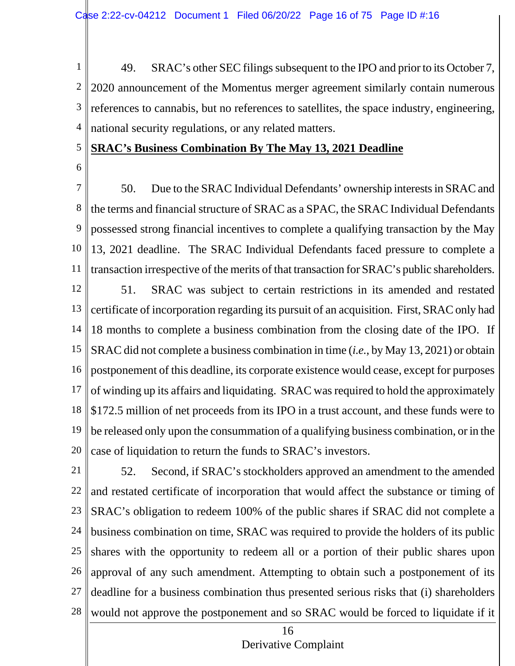1 2 3 4 49. SRAC's other SEC filings subsequent to the IPO and prior to its October 7, 2020 announcement of the Momentus merger agreement similarly contain numerous references to cannabis, but no references to satellites, the space industry, engineering, national security regulations, or any related matters.

#### 5 **SRAC's Business Combination By The May 13, 2021 Deadline**

6

7 8 9 10 11 12 13 14 15 16 50. Due to the SRAC Individual Defendants' ownership interests in SRACand the terms and financial structure of SRAC as a SPAC, the SRAC Individual Defendants possessed strong financial incentives to complete a qualifying transaction by the May 13, 2021 deadline. The SRAC Individual Defendants faced pressure to complete a transaction irrespective of the merits of that transaction for SRAC's public shareholders. 51. SRAC was subject to certain restrictions in its amended and restated certificate of incorporation regarding its pursuit of an acquisition. First, SRAC only had 18 months to complete a business combination from the closing date of the IPO. If SRAC did not complete a business combination in time (*i.e.*, by May 13, 2021) or obtain postponement of this deadline, its corporate existence would cease, except for purposes

17 18 19 20 of winding up its affairs and liquidating. SRAC was required to hold the approximately \$172.5 million of net proceeds from its IPO in a trust account, and these funds were to be released only upon the consummation of a qualifying business combination, or in the case of liquidation to return the funds to SRAC's investors.

21 22 23 24 25 26 27 28 52. Second, if SRAC's stockholders approved an amendment to the amended and restated certificate of incorporation that would affect the substance or timing of SRAC's obligation to redeem 100% of the public shares if SRAC did not complete a business combination on time, SRAC was required to provide the holders of its public shares with the opportunity to redeem all or a portion of their public shares upon approval of any such amendment. Attempting to obtain such a postponement of its deadline for a business combination thus presented serious risks that (i) shareholders would not approve the postponement and so SRAC would be forced to liquidate if it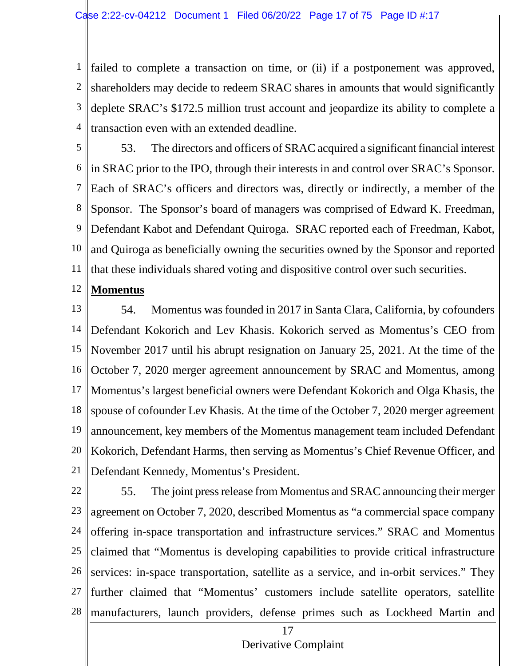1 2 3 4 failed to complete a transaction on time, or (ii) if a postponement was approved, shareholders may decide to redeem SRAC shares in amounts that would significantly deplete SRAC's \$172.5 million trust account and jeopardize its ability to complete a transaction even with an extended deadline.

5 6 7 8 9 10 11 53. The directors and officers of SRAC acquired a significant financial interest in SRAC prior to the IPO, through their interests in and control over SRAC's Sponsor. Each of SRAC's officers and directors was, directly or indirectly, a member of the Sponsor. The Sponsor's board of managers was comprised of Edward K. Freedman, Defendant Kabot and Defendant Quiroga. SRAC reported each of Freedman, Kabot, and Quiroga as beneficially owning the securities owned by the Sponsor and reported that these individuals shared voting and dispositive control over such securities.

#### 12 **Momentus**

13 14 15 16 17 18 19 20 21 54. Momentus was founded in 2017 in Santa Clara, California, by cofounders Defendant Kokorich and Lev Khasis. Kokorich served as Momentus's CEO from November 2017 until his abrupt resignation on January 25, 2021. At the time of the October 7, 2020 merger agreement announcement by SRAC and Momentus, among Momentus's largest beneficial owners were Defendant Kokorich and Olga Khasis, the spouse of cofounder Lev Khasis. At the time of the October 7, 2020 merger agreement announcement, key members of the Momentus management team included Defendant Kokorich, Defendant Harms, then serving as Momentus's Chief Revenue Officer, and Defendant Kennedy, Momentus's President.

22 23 24 25 26 27 28 55. The joint press release from Momentus and SRAC announcing their merger agreement on October 7, 2020, described Momentus as "a commercial space company offering in-space transportation and infrastructure services." SRAC and Momentus claimed that "Momentus is developing capabilities to provide critical infrastructure services: in-space transportation, satellite as a service, and in-orbit services." They further claimed that "Momentus' customers include satellite operators, satellite manufacturers, launch providers, defense primes such as Lockheed Martin and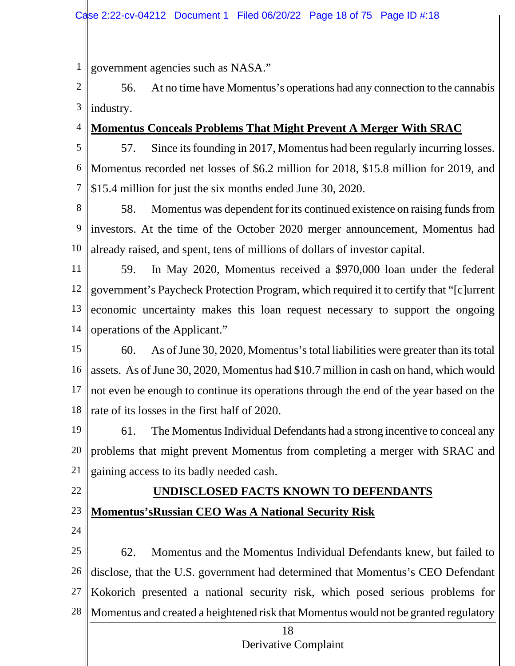1 government agencies such as NASA."

2 3 56. At no time have Momentus's operations had any connection to the cannabis industry.

4 **Momentus Conceals Problems That Might Prevent A Merger With SRAC**

- 5 6 7 57. Since its founding in 2017, Momentus had been regularly incurring losses. Momentus recorded net losses of \$6.2 million for 2018, \$15.8 million for 2019, and \$15.4 million for just the six months ended June 30, 2020.
- 8 9 10 58. Momentus was dependent for its continued existence on raising funds from investors. At the time of the October 2020 merger announcement, Momentus had already raised, and spent, tens of millions of dollars of investor capital.
- 11 12 13 14 59. In May 2020, Momentus received a \$970,000 loan under the federal government's Paycheck Protection Program, which required it to certify that "[c]urrent economic uncertainty makes this loan request necessary to support the ongoing operations of the Applicant."
- 15 16 17 18 60. As of June 30, 2020, Momentus's total liabilities were greater than itstotal assets. As of June 30, 2020, Momentus had \$10.7 million in cash on hand, which would not even be enough to continue its operations through the end of the year based on the rate of its losses in the first half of 2020.
- 19 20 21 61. The Momentus Individual Defendants had a strong incentive to conceal any problems that might prevent Momentus from completing a merger with SRAC and gaining access to its badly needed cash.
- 22

# **UNDISCLOSED FACTS KNOWN TO DEFENDANTS Momentus'sRussian CEO Was A National Security Risk**

23 24

25 26 27 28 62. Momentus and the Momentus Individual Defendants knew, but failed to disclose, that the U.S. government had determined that Momentus's CEO Defendant Kokorich presented a national security risk, which posed serious problems for Momentus and created a heightened risk that Momentus would not be granted regulatory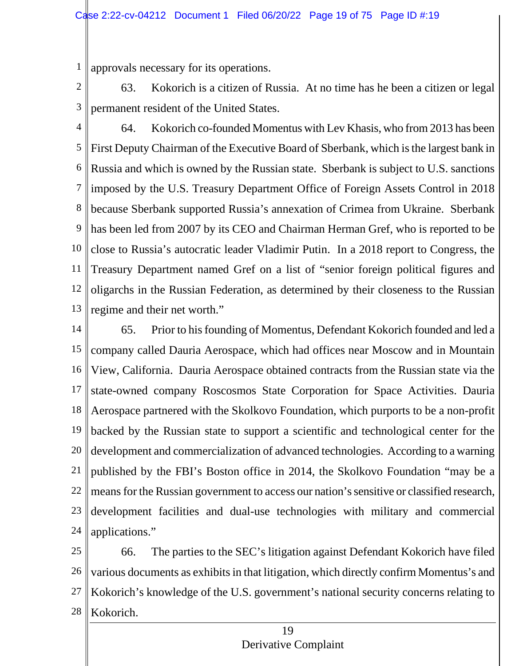1 approvals necessary for its operations.

2 3 63. Kokorich is a citizen of Russia. At no time has he been a citizen or legal permanent resident of the United States.

4 5 6 7 8 9 10 11 12 13 64. Kokorich co-founded Momentus with Lev Khasis, who from 2013 has been First Deputy Chairman of the Executive Board of Sberbank, which is the largest bank in Russia and which is owned by the Russian state. Sberbank is subject to U.S. sanctions imposed by the U.S. Treasury Department Office of Foreign Assets Control in 2018 because Sberbank supported Russia's annexation of Crimea from Ukraine. Sberbank has been led from 2007 by its CEO and Chairman Herman Gref, who is reported to be close to Russia's autocratic leader Vladimir Putin. In a 2018 report to Congress, the Treasury Department named Gref on a list of "senior foreign political figures and oligarchs in the Russian Federation, as determined by their closeness to the Russian regime and their net worth."

14 15 16 17 18 19 20 21 22 23 24 65. Prior to his founding of Momentus, Defendant Kokorich founded and led a company called Dauria Aerospace, which had offices near Moscow and in Mountain View, California. Dauria Aerospace obtained contracts from the Russian state via the state-owned company Roscosmos State Corporation for Space Activities. Dauria Aerospace partnered with the Skolkovo Foundation, which purports to be a non-profit backed by the Russian state to support a scientific and technological center for the development and commercialization of advanced technologies. According to a warning published by the FBI's Boston office in 2014, the Skolkovo Foundation "may be a means for the Russian government to access our nation's sensitive or classified research, development facilities and dual-use technologies with military and commercial applications."

25 26 27 28 66. The parties to the SEC's litigation against Defendant Kokorich have filed various documents as exhibits in that litigation, which directly confirm Momentus's and Kokorich's knowledge of the U.S. government's national security concerns relating to Kokorich.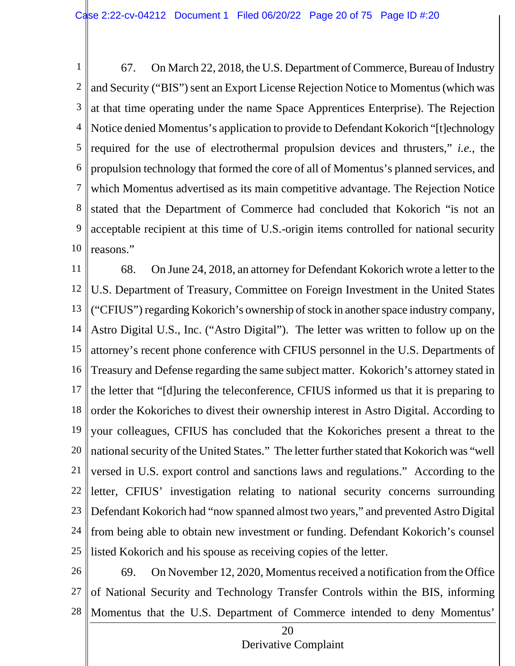1 2 3 4 5 6 7 8 9 10 67. On March 22, 2018, the U.S. Department of Commerce, Bureau of Industry and Security ("BIS") sent an Export License Rejection Notice to Momentus(which was at that time operating under the name Space Apprentices Enterprise). The Rejection Notice denied Momentus's application to provide to Defendant Kokorich "[t]echnology required for the use of electrothermal propulsion devices and thrusters," *i.e.*, the propulsion technology that formed the core of all of Momentus's planned services, and which Momentus advertised as its main competitive advantage. The Rejection Notice stated that the Department of Commerce had concluded that Kokorich "is not an acceptable recipient at this time of U.S.-origin items controlled for national security reasons."

11 12 13 14 15 16 17 18 19 20 21 22 23 24 25 68. On June 24, 2018, an attorney for Defendant Kokorich wrote a letter to the U.S. Department of Treasury, Committee on Foreign Investment in the United States ("CFIUS") regarding Kokorich's ownership of stock in another space industry company, Astro Digital U.S., Inc. ("Astro Digital"). The letter was written to follow up on the attorney's recent phone conference with CFIUS personnel in the U.S. Departments of Treasury and Defense regarding the same subject matter. Kokorich's attorney stated in the letter that "[d]uring the teleconference, CFIUS informed us that it is preparing to order the Kokoriches to divest their ownership interest in Astro Digital. According to your colleagues, CFIUS has concluded that the Kokoriches present a threat to the national security of the United States." The letter further stated that Kokorich was "well versed in U.S. export control and sanctions laws and regulations." According to the letter, CFIUS' investigation relating to national security concerns surrounding Defendant Kokorich had "now spanned almost two years," and prevented Astro Digital from being able to obtain new investment or funding. Defendant Kokorich's counsel listed Kokorich and his spouse as receiving copies of the letter.

26 27 28 69. On November 12, 2020, Momentus received a notification from the Office of National Security and Technology Transfer Controls within the BIS, informing Momentus that the U.S. Department of Commerce intended to deny Momentus'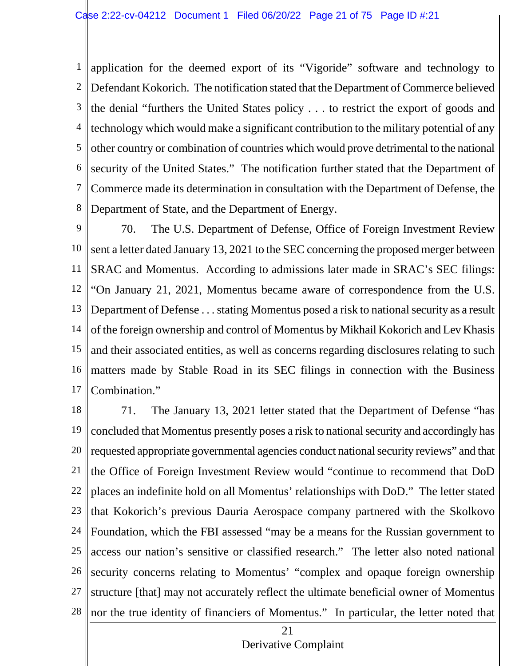1 2 3 4 5 6 7 8 application for the deemed export of its "Vigoride" software and technology to Defendant Kokorich. The notification stated that the Department of Commerce believed the denial "furthers the United States policy . . . to restrict the export of goods and technology which would make a significant contribution to the military potential of any other country or combination of countries which would prove detrimental to the national security of the United States." The notification further stated that the Department of Commerce made its determination in consultation with the Department of Defense, the Department of State, and the Department of Energy.

9 10 11 12 13 14 15 16 17 70. The U.S. Department of Defense, Office of Foreign Investment Review sent a letter dated January 13, 2021 to the SEC concerning the proposed merger between SRAC and Momentus. According to admissions later made in SRAC's SEC filings: "On January 21, 2021, Momentus became aware of correspondence from the U.S. Department of Defense . . . stating Momentus posed a risk to national security as a result of the foreign ownership and control of Momentus by Mikhail Kokorich and Lev Khasis and their associated entities, as well as concerns regarding disclosures relating to such matters made by Stable Road in its SEC filings in connection with the Business Combination."

18 19 20 21 22 23 24 25 26 27 28 71. The January 13, 2021 letter stated that the Department of Defense "has concluded that Momentus presently poses a risk to national security and accordingly has requested appropriate governmental agencies conduct national security reviews" and that the Office of Foreign Investment Review would "continue to recommend that DoD places an indefinite hold on all Momentus' relationships with DoD." The letter stated that Kokorich's previous Dauria Aerospace company partnered with the Skolkovo Foundation, which the FBI assessed "may be a means for the Russian government to access our nation's sensitive or classified research." The letter also noted national security concerns relating to Momentus' "complex and opaque foreign ownership structure [that] may not accurately reflect the ultimate beneficial owner of Momentus nor the true identity of financiers of Momentus." In particular, the letter noted that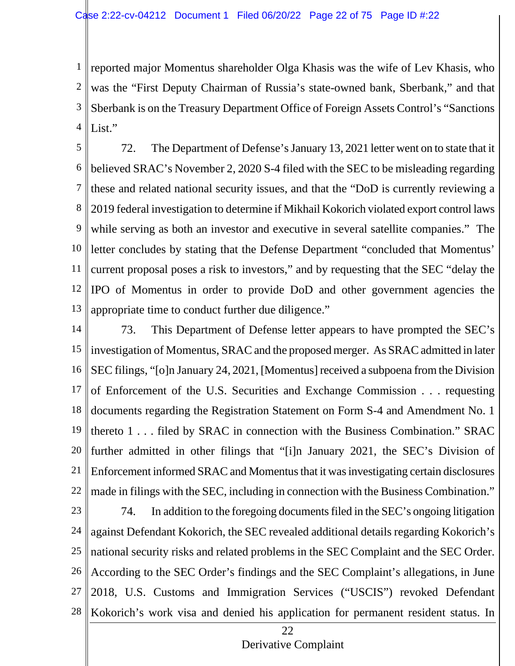1 2 3 4 reported major Momentus shareholder Olga Khasis was the wife of Lev Khasis, who was the "First Deputy Chairman of Russia's state-owned bank, Sberbank," and that Sberbank is on the Treasury Department Office of Foreign Assets Control's "Sanctions List."

5 6 7 8 9 10 11 12 13 72. The Department of Defense's January 13, 2021 letter went on to state that it believed SRAC's November 2, 2020 S-4 filed with the SEC to be misleading regarding these and related national security issues, and that the "DoD is currently reviewing a 2019 federal investigation to determine if Mikhail Kokorich violated export control laws while serving as both an investor and executive in several satellite companies." The letter concludes by stating that the Defense Department "concluded that Momentus' current proposal poses a risk to investors," and by requesting that the SEC "delay the IPO of Momentus in order to provide DoD and other government agencies the appropriate time to conduct further due diligence."

14 15 16 17 18 19 20 21 22 73. This Department of Defense letter appears to have prompted the SEC's investigation of Momentus, SRAC and the proposed merger. As SRAC admitted in later SEC filings, "[o]n January 24, 2021, [Momentus] received a subpoena from the Division of Enforcement of the U.S. Securities and Exchange Commission . . . requesting documents regarding the Registration Statement on Form S-4 and Amendment No. 1 thereto 1 . . . filed by SRAC in connection with the Business Combination." SRAC further admitted in other filings that "[i]n January 2021, the SEC's Division of Enforcement informed SRAC and Momentus that it wasinvestigating certain disclosures made in filings with the SEC, including in connection with the Business Combination."

23 24 25 26 27 28 74. In addition to the foregoing documents filed in the SEC's ongoing litigation against Defendant Kokorich, the SEC revealed additional details regarding Kokorich's national security risks and related problems in the SEC Complaint and the SEC Order. According to the SEC Order's findings and the SEC Complaint's allegations, in June 2018, U.S. Customs and Immigration Services ("USCIS") revoked Defendant Kokorich's work visa and denied his application for permanent resident status. In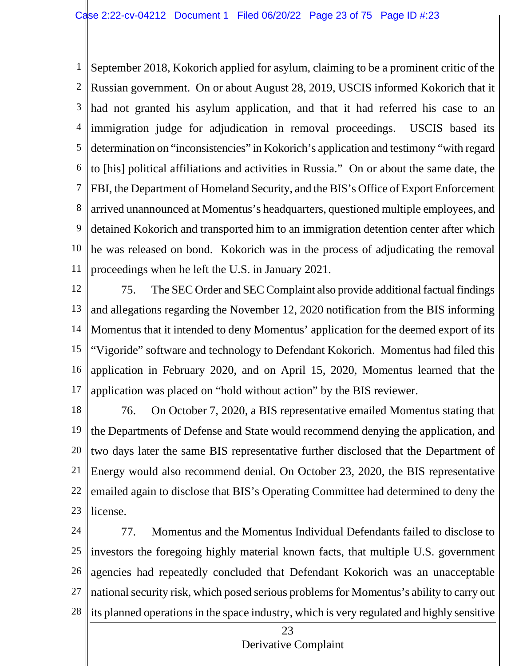1 2 3 4 5 6 7 8 9 10 11 September 2018, Kokorich applied for asylum, claiming to be a prominent critic of the Russian government. On or about August 28, 2019, USCIS informed Kokorich that it had not granted his asylum application, and that it had referred his case to an immigration judge for adjudication in removal proceedings. USCIS based its determination on "inconsistencies" in Kokorich's application and testimony "with regard to [his] political affiliations and activities in Russia." On or about the same date, the FBI, the Department of Homeland Security, and the BIS's Office of Export Enforcement arrived unannounced at Momentus's headquarters, questioned multiple employees, and detained Kokorich and transported him to an immigration detention center after which he was released on bond. Kokorich was in the process of adjudicating the removal proceedings when he left the U.S. in January 2021.

12 13 14 15 16 17 75. The SEC Order and SEC Complaint also provide additional factual findings and allegations regarding the November 12, 2020 notification from the BIS informing Momentus that it intended to deny Momentus' application for the deemed export of its "Vigoride" software and technology to Defendant Kokorich. Momentus had filed this application in February 2020, and on April 15, 2020, Momentus learned that the application was placed on "hold without action" by the BIS reviewer.

18 19 20 21 22 23 76. On October 7, 2020, a BIS representative emailed Momentus stating that the Departments of Defense and State would recommend denying the application, and two days later the same BIS representative further disclosed that the Department of Energy would also recommend denial. On October 23, 2020, the BIS representative emailed again to disclose that BIS's Operating Committee had determined to deny the license.

24 25 26 27 28 77. Momentus and the Momentus Individual Defendants failed to disclose to investors the foregoing highly material known facts, that multiple U.S. government agencies had repeatedly concluded that Defendant Kokorich was an unacceptable national security risk, which posed serious problemsfor Momentus's ability to carry out its planned operations in the space industry, which is very regulated and highly sensitive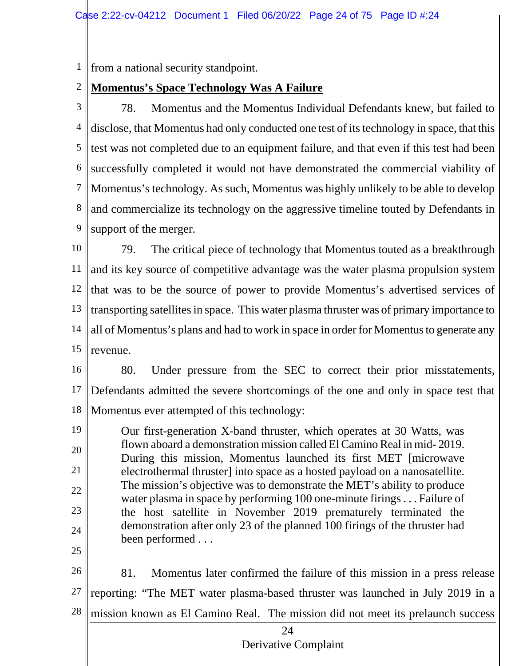1 from a national security standpoint.

#### 2 **Momentus's Space Technology Was A Failure**

3 4 5 6 7 8 9 78. Momentus and the Momentus Individual Defendants knew, but failed to disclose, that Momentus had only conducted one test of its technology in space, that this test was not completed due to an equipment failure, and that even if this test had been successfully completed it would not have demonstrated the commercial viability of Momentus's technology. As such, Momentus was highly unlikely to be able to develop and commercialize its technology on the aggressive timeline touted by Defendants in support of the merger.

10 11 12 13 14 15 79. The critical piece of technology that Momentus touted as a breakthrough and its key source of competitive advantage was the water plasma propulsion system that was to be the source of power to provide Momentus's advertised services of transporting satellites in space. This water plasma thruster was of primary importance to all of Momentus's plans and had to work in space in order for Momentus to generate any revenue.

16 17 18 80. Under pressure from the SEC to correct their prior misstatements, Defendants admitted the severe shortcomings of the one and only in space test that Momentus ever attempted of this technology:

19 20 21 22 23 24 Our first-generation X-band thruster, which operates at 30 Watts, was flown aboard a demonstration mission called El Camino Real in mid- 2019. During this mission, Momentus launched its first MET [microwave electrothermal thruster] into space as a hosted payload on a nanosatellite. The mission's objective was to demonstrate the MET's ability to produce water plasma in space by performing 100 one-minute firings . . . Failure of the host satellite in November 2019 prematurely terminated the demonstration after only 23 of the planned 100 firings of the thruster had been performed . . .

25

26 27 28 81. Momentus later confirmed the failure of this mission in a press release reporting: "The MET water plasma-based thruster was launched in July 2019 in a mission known as El Camino Real. The mission did not meet its prelaunch success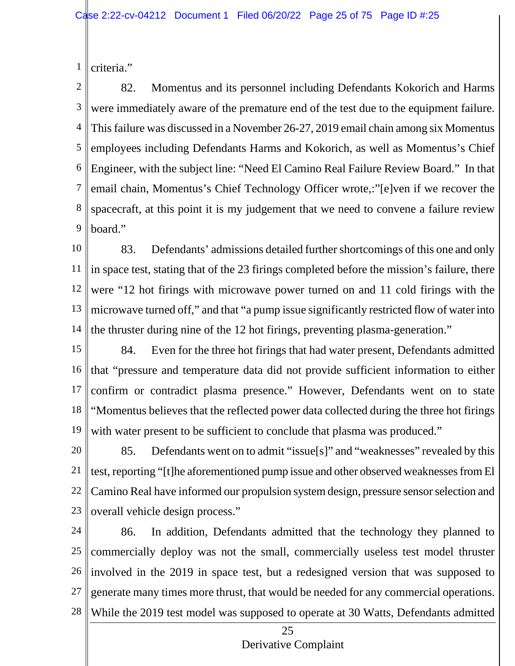1 criteria."

2 3 4 5 6 7 8 9 82. Momentus and its personnel including Defendants Kokorich and Harms were immediately aware of the premature end of the test due to the equipment failure. This failure was discussed in a November 26-27, 2019 email chain among six Momentus employees including Defendants Harms and Kokorich, as well as Momentus's Chief Engineer, with the subject line: "Need El Camino Real Failure Review Board." In that email chain, Momentus's Chief Technology Officer wrote,:"[e]ven if we recover the spacecraft, at this point it is my judgement that we need to convene a failure review board."

10 11 12 13 14 83. Defendants' admissions detailed further shortcomings of this one and only in space test, stating that of the 23 firings completed before the mission's failure, there were "12 hot firings with microwave power turned on and 11 cold firings with the microwave turned off," and that "a pump issue significantly restricted flow of water into the thruster during nine of the 12 hot firings, preventing plasma-generation."

15 16 17 18 19 84. Even for the three hot firings that had water present, Defendants admitted that "pressure and temperature data did not provide sufficient information to either confirm or contradict plasma presence." However, Defendants went on to state "Momentus believes that the reflected power data collected during the three hot firings with water present to be sufficient to conclude that plasma was produced."

20 21 22 23 85. Defendants went on to admit "issue[s]" and "weaknesses" revealed by this test, reporting "[t]he aforementioned pump issue and other observed weaknessesfrom El Camino Real have informed our propulsion system design, pressure sensorselection and overall vehicle design process."

24 25 26 27 28 86. In addition, Defendants admitted that the technology they planned to commercially deploy was not the small, commercially useless test model thruster involved in the 2019 in space test, but a redesigned version that was supposed to generate many times more thrust, that would be needed for any commercial operations. While the 2019 test model was supposed to operate at 30 Watts, Defendants admitted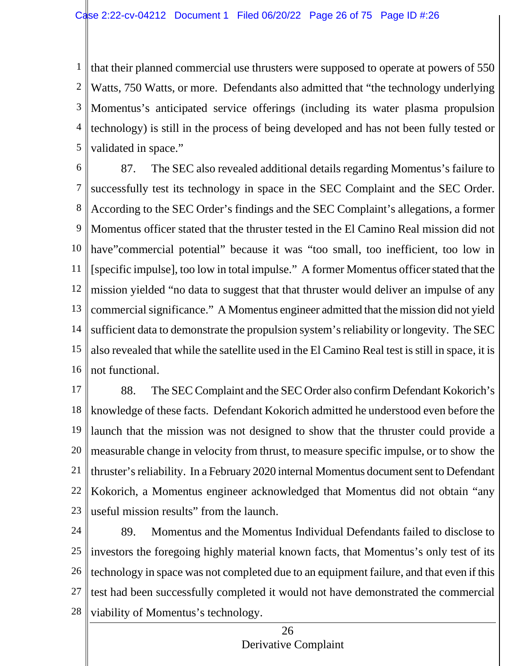1 2 3 4 5 that their planned commercial use thrusters were supposed to operate at powers of 550 Watts, 750 Watts, or more. Defendants also admitted that "the technology underlying Momentus's anticipated service offerings (including its water plasma propulsion technology) is still in the process of being developed and has not been fully tested or validated in space."

6 7 8 9 10 11 12 13 14 15 16 87. The SEC also revealed additional details regarding Momentus's failure to successfully test its technology in space in the SEC Complaint and the SEC Order. According to the SEC Order's findings and the SEC Complaint's allegations, a former Momentus officer stated that the thruster tested in the El Camino Real mission did not have"commercial potential" because it was "too small, too inefficient, too low in [specific impulse], too low in total impulse." A former Momentus officer stated that the mission yielded "no data to suggest that that thruster would deliver an impulse of any commercial significance." A Momentus engineer admitted that the mission did not yield sufficient data to demonstrate the propulsion system's reliability orlongevity. The SEC also revealed that while the satellite used in the El Camino Real test is still in space, it is not functional.

17 18 19 20 21 22 23 88. The SEC Complaint and the SEC Order also confirm Defendant Kokorich's knowledge of these facts. Defendant Kokorich admitted he understood even before the launch that the mission was not designed to show that the thruster could provide a measurable change in velocity from thrust, to measure specific impulse, or to show the thruster's reliability. In a February 2020 internal Momentus document sent to Defendant Kokorich, a Momentus engineer acknowledged that Momentus did not obtain "any useful mission results" from the launch.

24 25 26 27 28 89. Momentus and the Momentus Individual Defendants failed to disclose to investors the foregoing highly material known facts, that Momentus's only test of its technology in space was not completed due to an equipment failure, and that even if this test had been successfully completed it would not have demonstrated the commercial viability of Momentus's technology.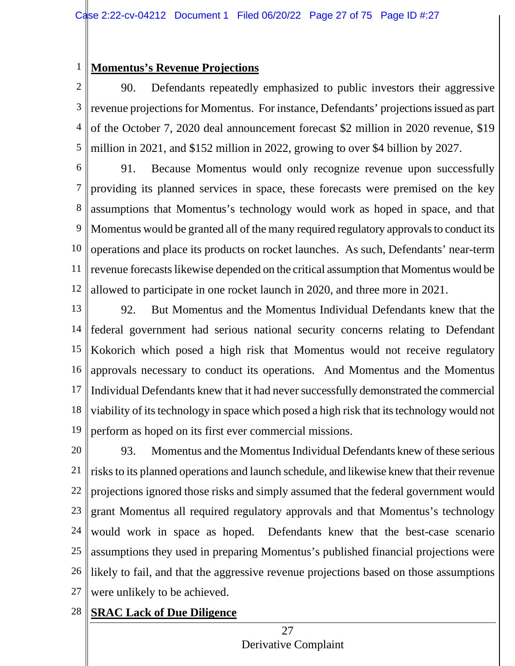#### 1 **Momentus's Revenue Projections**

2 3 4 5 90. Defendants repeatedly emphasized to public investors their aggressive revenue projections for Momentus. For instance, Defendants' projections issued as part of the October 7, 2020 deal announcement forecast \$2 million in 2020 revenue, \$19 million in 2021, and \$152 million in 2022, growing to over \$4 billion by 2027.

6 7 8 9 10 11 12 91. Because Momentus would only recognize revenue upon successfully providing its planned services in space, these forecasts were premised on the key assumptions that Momentus's technology would work as hoped in space, and that Momentus would be granted all of the many required regulatory approvals to conduct its operations and place its products on rocket launches. As such, Defendants' near-term revenue forecasts likewise depended on the critical assumption that Momentus would be allowed to participate in one rocket launch in 2020, and three more in 2021.

13 14 15 16 17 18 19 92. But Momentus and the Momentus Individual Defendants knew that the federal government had serious national security concerns relating to Defendant Kokorich which posed a high risk that Momentus would not receive regulatory approvals necessary to conduct its operations. And Momentus and the Momentus Individual Defendants knew that it had never successfully demonstrated the commercial viability of its technology in space which posed a high risk that itstechnology would not perform as hoped on its first ever commercial missions.

20 21 22 23 24 25 26 27 93. Momentus and the Momentus Individual Defendants knew of these serious risks to its planned operations and launch schedule, and likewise knew that their revenue projections ignored those risks and simply assumed that the federal government would grant Momentus all required regulatory approvals and that Momentus's technology would work in space as hoped. Defendants knew that the best-case scenario assumptions they used in preparing Momentus's published financial projections were likely to fail, and that the aggressive revenue projections based on those assumptions were unlikely to be achieved.

### 28 **SRAC Lack of Due Diligence**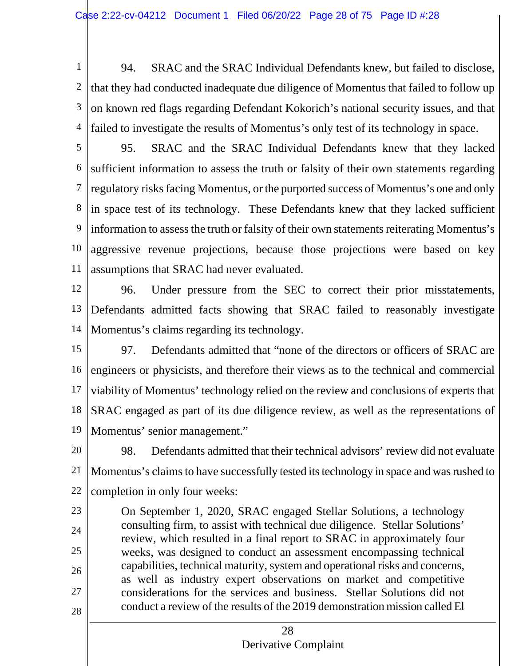1 2 3 4 94. SRAC and the SRAC Individual Defendants knew, but failed to disclose, that they had conducted inadequate due diligence of Momentus that failed to follow up on known red flags regarding Defendant Kokorich's national security issues, and that failed to investigate the results of Momentus's only test of its technology in space.

5 6 7 8 9 10 11 95. SRAC and the SRAC Individual Defendants knew that they lacked sufficient information to assess the truth or falsity of their own statements regarding regulatory risks facing Momentus, or the purported success of Momentus's one and only  $\|$  in space test of its technology. These Defendants knew that they lacked sufficient information to assess the truth or falsity of their own statements reiterating Momentus's aggressive revenue projections, because those projections were based on key assumptions that SRAC had never evaluated.

- 12 13 14 96. Under pressure from the SEC to correct their prior misstatements, Defendants admitted facts showing that SRAC failed to reasonably investigate Momentus's claims regarding its technology.
- 15 16 17 18 19 97. Defendants admitted that "none of the directors or officers of SRAC are engineers or physicists, and therefore their views as to the technical and commercial viability of Momentus' technology relied on the review and conclusions of experts that SRAC engaged as part of its due diligence review, as well as the representations of Momentus' senior management."
- 20 21 22 98. Defendants admitted that their technical advisors' review did not evaluate Momentus's claims to have successfully tested its technology in space and was rushed to completion in only four weeks:
- 23 24 25 26 27 28 On September 1, 2020, SRAC engaged Stellar Solutions, a technology consulting firm, to assist with technical due diligence. Stellar Solutions' review, which resulted in a final report to SRAC in approximately four weeks, was designed to conduct an assessment encompassing technical capabilities, technical maturity, system and operational risks and concerns, as well as industry expert observations on market and competitive considerations for the services and business. Stellar Solutions did not conduct a review of the results of the 2019 demonstration mission called El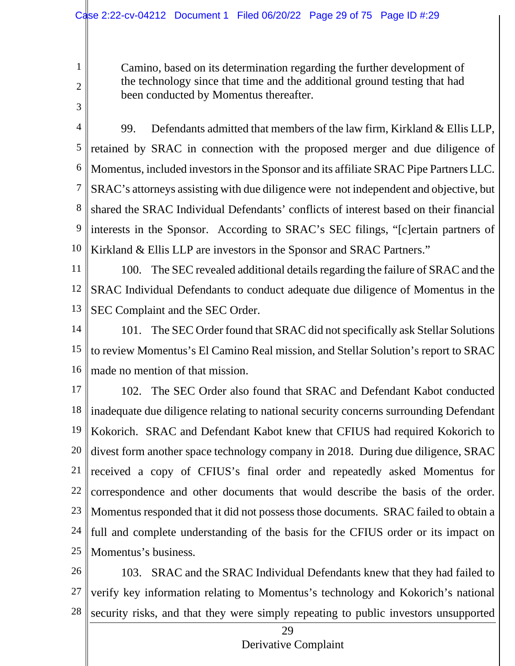Camino, based on its determination regarding the further development of the technology since that time and the additional ground testing that had been conducted by Momentus thereafter.

3

1

2

4 5 6 7 8 9 10 99. Defendants admitted that members of the law firm, Kirkland & Ellis LLP, retained by SRAC in connection with the proposed merger and due diligence of Momentus, included investors in the Sponsor and its affiliate SRAC Pipe Partners LLC. SRAC's attorneys assisting with due diligence were not independent and objective, but shared the SRAC Individual Defendants' conflicts of interest based on their financial interests in the Sponsor. According to SRAC's SEC filings, "[c]ertain partners of Kirkland & Ellis LLP are investors in the Sponsor and SRAC Partners."

11 12 13 100. The SEC revealed additional details regarding the failure of SRAC and the SRAC Individual Defendants to conduct adequate due diligence of Momentus in the SEC Complaint and the SEC Order.

14 15 16 101. The SEC Order found that SRAC did not specifically ask Stellar Solutions to review Momentus's El Camino Real mission, and Stellar Solution's report to SRAC made no mention of that mission.

17 18 19 20 21 22 23 24 25 102. The SEC Order also found that SRAC and Defendant Kabot conducted inadequate due diligence relating to national security concerns surrounding Defendant Kokorich. SRAC and Defendant Kabot knew that CFIUS had required Kokorich to divest form another space technology company in 2018. During due diligence, SRAC received a copy of CFIUS's final order and repeatedly asked Momentus for correspondence and other documents that would describe the basis of the order. Momentus responded that it did not possess those documents. SRAC failed to obtain a full and complete understanding of the basis for the CFIUS order or its impact on Momentus's business.

26 27 28 103. SRAC and the SRAC Individual Defendants knew that they had failed to verify key information relating to Momentus's technology and Kokorich's national security risks, and that they were simply repeating to public investors unsupported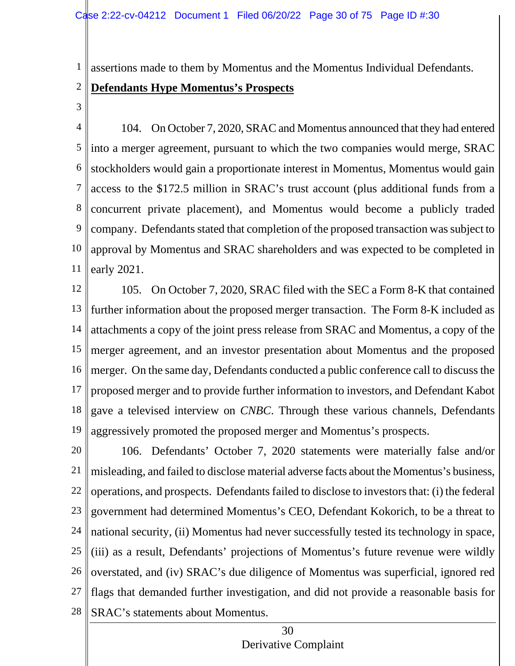assertions made to them by Momentus and the Momentus Individual Defendants.

#### 2 **Defendants Hype Momentus's Prospects**

3

1

4 5 6 7 8 9 10 11 104. On October 7, 2020, SRAC and Momentus announced that they had entered into a merger agreement, pursuant to which the two companies would merge, SRAC stockholders would gain a proportionate interest in Momentus, Momentus would gain access to the \$172.5 million in SRAC's trust account (plus additional funds from a concurrent private placement), and Momentus would become a publicly traded company. Defendants stated that completion of the proposed transaction was subject to approval by Momentus and SRAC shareholders and was expected to be completed in early 2021.

12 13 14 15 16 17 18 19 105. On October 7, 2020, SRAC filed with the SEC a Form 8-K that contained further information about the proposed merger transaction. The Form 8-K included as attachments a copy of the joint press release from SRAC and Momentus, a copy of the merger agreement, and an investor presentation about Momentus and the proposed merger. On the same day, Defendants conducted a public conference call to discuss the proposed merger and to provide further information to investors, and Defendant Kabot gave a televised interview on *CNBC*. Through these various channels, Defendants aggressively promoted the proposed merger and Momentus's prospects.

20 21 22 23 24 25 26 27 28 106. Defendants' October 7, 2020 statements were materially false and/or misleading, and failed to disclose material adverse facts about the Momentus's business, operations, and prospects. Defendants failed to disclose to investors that: (i) the federal government had determined Momentus's CEO, Defendant Kokorich, to be a threat to national security, (ii) Momentus had never successfully tested its technology in space, (iii) as a result, Defendants' projections of Momentus's future revenue were wildly overstated, and (iv) SRAC's due diligence of Momentus was superficial, ignored red flags that demanded further investigation, and did not provide a reasonable basis for SRAC's statements about Momentus.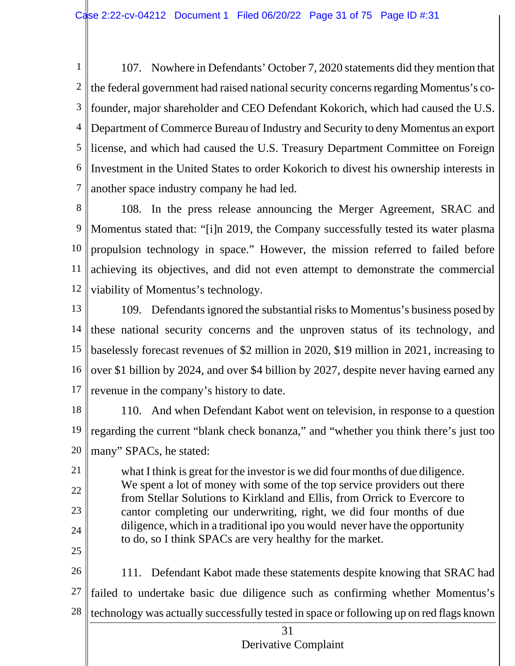1 2 3 4 5 6 7 107. Nowhere in Defendants' October 7, 2020 statements did they mention that the federal government had raised national security concerns regarding Momentus's cofounder, major shareholder and CEO Defendant Kokorich, which had caused the U.S. Department of Commerce Bureau of Industry and Security to deny Momentus an export license, and which had caused the U.S. Treasury Department Committee on Foreign Investment in the United States to order Kokorich to divest his ownership interests in another space industry company he had led.

8 9 10 11 12 108. In the press release announcing the Merger Agreement, SRAC and Momentus stated that: "[i]n 2019, the Company successfully tested its water plasma propulsion technology in space." However, the mission referred to failed before achieving its objectives, and did not even attempt to demonstrate the commercial viability of Momentus's technology.

- 13 14 15 16 17 109. Defendants ignored the substantial risksto Momentus's business posed by these national security concerns and the unproven status of its technology, and baselessly forecast revenues of \$2 million in 2020, \$19 million in 2021, increasing to over \$1 billion by 2024, and over \$4 billion by 2027, despite never having earned any revenue in the company's history to date.
- 18 19 20 110. And when Defendant Kabot went on television, in response to a question regarding the current "blank check bonanza," and "whether you think there's just too many" SPACs, he stated:

21 22 23 24 25 what I think is great for the investor is we did four months of due diligence. We spent a lot of money with some of the top service providers out there from Stellar Solutions to Kirkland and Ellis, from Orrick to Evercore to cantor completing our underwriting, right, we did four months of due diligence, which in a traditional ipo you would never have the opportunity to do, so I think SPACs are very healthy for the market.

26 27 28 111. Defendant Kabot made these statements despite knowing that SRAC had failed to undertake basic due diligence such as confirming whether Momentus's technology was actually successfully tested in space or following up on red flags known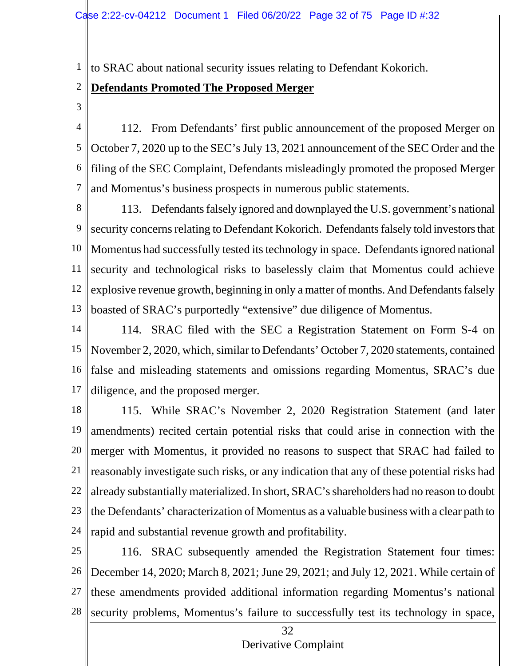1 to SRAC about national security issues relating to Defendant Kokorich.

#### 2 **Defendants Promoted The Proposed Merger**

3

4 5 6 7 112. From Defendants' first public announcement of the proposed Merger on October 7, 2020 up to the SEC's July 13, 2021 announcement of the SEC Order and the filing of the SEC Complaint, Defendants misleadingly promoted the proposed Merger and Momentus's business prospects in numerous public statements.

8 9 10 11 12 13 113. Defendants falsely ignored and downplayed the U.S. government's national security concerns relating to Defendant Kokorich. Defendants falsely told investors that Momentus had successfully tested its technology in space. Defendants ignored national security and technological risks to baselessly claim that Momentus could achieve explosive revenue growth, beginning in only a matter of months. And Defendants falsely boasted of SRAC's purportedly "extensive" due diligence of Momentus.

14 15 16 17 114. SRAC filed with the SEC a Registration Statement on Form S-4 on November 2, 2020, which, similar to Defendants' October 7, 2020 statements, contained false and misleading statements and omissions regarding Momentus, SRAC's due diligence, and the proposed merger.

18 19 20 21 22 23 24 115. While SRAC's November 2, 2020 Registration Statement (and later amendments) recited certain potential risks that could arise in connection with the merger with Momentus, it provided no reasons to suspect that SRAC had failed to reasonably investigate such risks, or any indication that any of these potential risks had already substantially materialized. In short, SRAC's shareholders had no reason to doubt the Defendants' characterization of Momentus as a valuable business with a clear path to rapid and substantial revenue growth and profitability.

25 26 27 28 116. SRAC subsequently amended the Registration Statement four times: December 14, 2020; March 8, 2021; June 29, 2021; and July 12, 2021. While certain of these amendments provided additional information regarding Momentus's national security problems, Momentus's failure to successfully test its technology in space,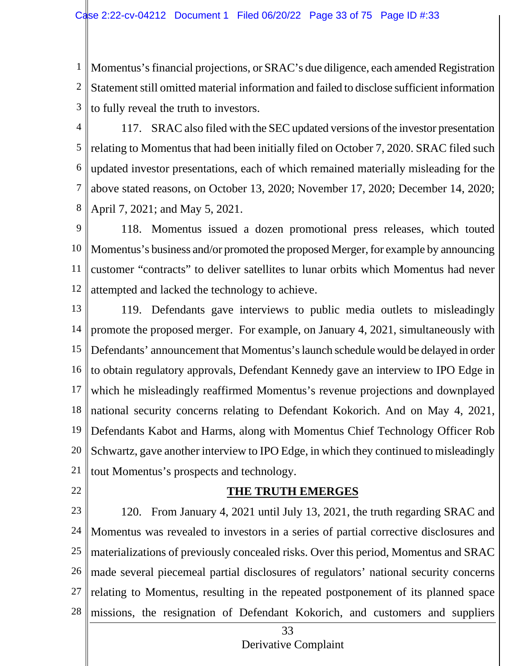1 2 3 Momentus's financial projections, or SRAC's due diligence, each amended Registration Statement still omitted material information and failed to disclose sufficient information to fully reveal the truth to investors.

4

5

6

7

8

117. SRAC also filed with the SEC updated versions of the investor presentation relating to Momentus that had been initially filed on October 7, 2020. SRAC filed such updated investor presentations, each of which remained materially misleading for the above stated reasons, on October 13, 2020; November 17, 2020; December 14, 2020; April 7, 2021; and May 5, 2021.

9 10 11 12 118. Momentus issued a dozen promotional press releases, which touted Momentus's business and/or promoted the proposed Merger, for example by announcing customer "contracts" to deliver satellites to lunar orbits which Momentus had never attempted and lacked the technology to achieve.

- 13 14 15 16 17 18 19 20 21 119. Defendants gave interviews to public media outlets to misleadingly promote the proposed merger. For example, on January 4, 2021, simultaneously with Defendants' announcement that Momentus's launch schedule would be delayed in order to obtain regulatory approvals, Defendant Kennedy gave an interview to IPO Edge in which he misleadingly reaffirmed Momentus's revenue projections and downplayed national security concerns relating to Defendant Kokorich. And on May 4, 2021, Defendants Kabot and Harms, along with Momentus Chief Technology Officer Rob Schwartz, gave another interview to IPO Edge, in which they continued to misleadingly tout Momentus's prospects and technology.
- 22

### **THE TRUTH EMERGES**

23 24 25 26 27 28 120. From January 4, 2021 until July 13, 2021, the truth regarding SRAC and Momentus was revealed to investors in a series of partial corrective disclosures and materializations of previously concealed risks. Over this period, Momentus and SRAC made several piecemeal partial disclosures of regulators' national security concerns relating to Momentus, resulting in the repeated postponement of its planned space missions, the resignation of Defendant Kokorich, and customers and suppliers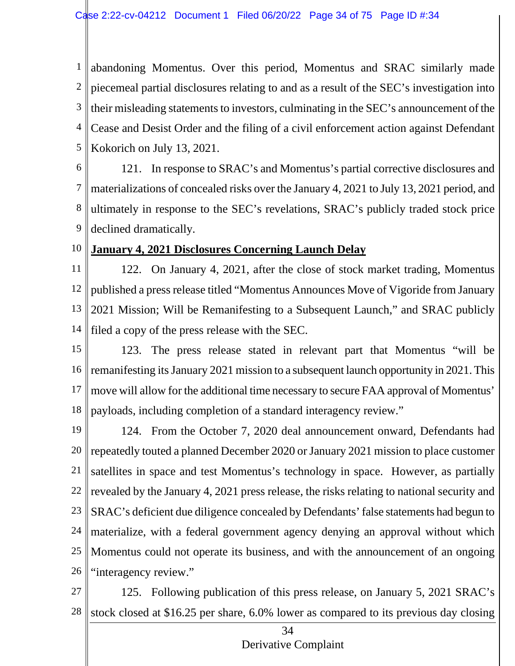1 2 3 4 5 abandoning Momentus. Over this period, Momentus and SRAC similarly made piecemeal partial disclosures relating to and as a result of the SEC's investigation into their misleading statements to investors, culminating in the SEC's announcement of the Cease and Desist Order and the filing of a civil enforcement action against Defendant Kokorich on July 13, 2021.

6

7 8 9 121. In response to SRAC's and Momentus's partial corrective disclosures and materializations of concealed risks over the January 4, 2021 to July 13, 2021 period, and ultimately in response to the SEC's revelations, SRAC's publicly traded stock price declined dramatically.

10

## **January 4, 2021 Disclosures Concerning Launch Delay**

11 12 13 14 122. On January 4, 2021, after the close of stock market trading, Momentus published a press release titled "Momentus Announces Move of Vigoride from January 2021 Mission; Will be Remanifesting to a Subsequent Launch," and SRAC publicly filed a copy of the press release with the SEC.

15 16 17 18 123. The press release stated in relevant part that Momentus "will be remanifesting its January 2021 mission to a subsequent launch opportunity in 2021. This move will allow for the additional time necessary to secure FAA approval of Momentus' payloads, including completion of a standard interagency review."

19 20 21 22 23 24 25 26 124. From the October 7, 2020 deal announcement onward, Defendants had repeatedly touted a planned December 2020 or January 2021 mission to place customer satellites in space and test Momentus's technology in space. However, as partially revealed by the January 4, 2021 press release, the risks relating to national security and SRAC's deficient due diligence concealed by Defendants' false statements had begun to materialize, with a federal government agency denying an approval without which Momentus could not operate its business, and with the announcement of an ongoing "interagency review."

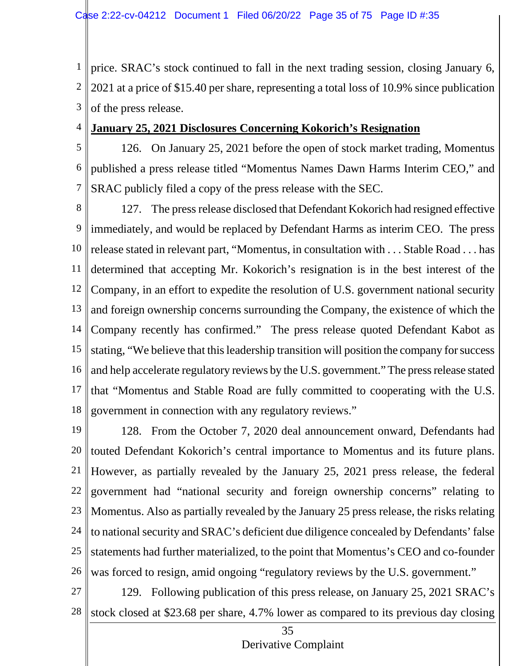1 2 3 price. SRAC's stock continued to fall in the next trading session, closing January 6, 2021 at a price of \$15.40 per share, representing a total loss of 10.9% since publication of the press release.

4 **January 25, 2021 Disclosures Concerning Kokorich's Resignation**

5 6 7 126. On January 25, 2021 before the open of stock market trading, Momentus published a press release titled "Momentus Names Dawn Harms Interim CEO," and SRAC publicly filed a copy of the press release with the SEC.

8 9 10 11 12 13 14 15 16 17 18 127. The press release disclosed that Defendant Kokorich had resigned effective immediately, and would be replaced by Defendant Harms as interim CEO. The press release stated in relevant part, "Momentus, in consultation with . . . Stable Road . . . has determined that accepting Mr. Kokorich's resignation is in the best interest of the Company, in an effort to expedite the resolution of U.S. government national security and foreign ownership concerns surrounding the Company, the existence of which the Company recently has confirmed." The press release quoted Defendant Kabot as stating, "We believe that this leadership transition will position the company for success and help accelerate regulatory reviews by the U.S. government." The press release stated that "Momentus and Stable Road are fully committed to cooperating with the U.S. government in connection with any regulatory reviews."

19 20 21 22 23 24 25 26 128. From the October 7, 2020 deal announcement onward, Defendants had touted Defendant Kokorich's central importance to Momentus and its future plans. However, as partially revealed by the January 25, 2021 press release, the federal government had "national security and foreign ownership concerns" relating to Momentus. Also as partially revealed by the January 25 press release, the risks relating to national security and SRAC's deficient due diligence concealed by Defendants' false statements had further materialized, to the point that Momentus's CEO and co-founder was forced to resign, amid ongoing "regulatory reviews by the U.S. government."

27 28 129. Following publication of this press release, on January 25, 2021 SRAC's stock closed at \$23.68 per share, 4.7% lower as compared to its previous day closing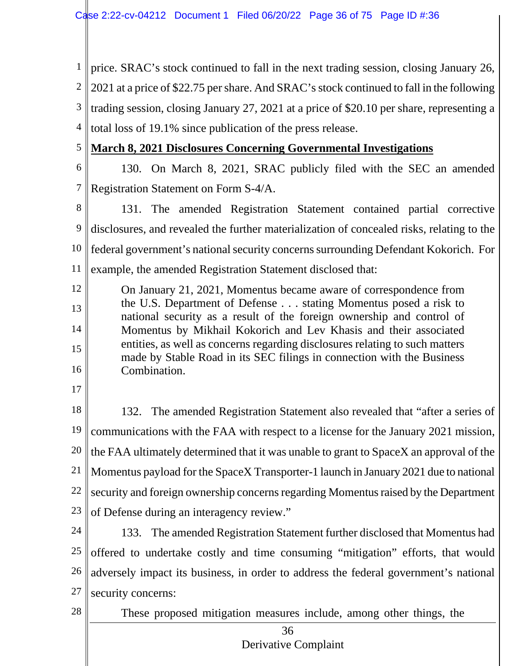1 price. SRAC's stock continued to fall in the next trading session, closing January 26, 2 3 4 2021 at a price of \$22.75 per share. And SRAC's stock continued to fall in the following trading session, closing January 27, 2021 at a price of \$20.10 per share, representing a total loss of 19.1% since publication of the press release.

- **March 8, 2021 Disclosures Concerning Governmental Investigations**
- 6

5

7 130. On March 8, 2021, SRAC publicly filed with the SEC an amended Registration Statement on Form S-4/A.

8 9 10 11 131. The amended Registration Statement contained partial corrective disclosures, and revealed the further materialization of concealed risks, relating to the federal government's national security concerns surrounding Defendant Kokorich. For example, the amended Registration Statement disclosed that:

12 13 14 15 16 On January 21, 2021, Momentus became aware of correspondence from the U.S. Department of Defense . . . stating Momentus posed a risk to national security as a result of the foreign ownership and control of Momentus by Mikhail Kokorich and Lev Khasis and their associated entities, as well as concerns regarding disclosures relating to such matters made by Stable Road in its SEC filings in connection with the Business Combination.

17

18 19 20 21 22 23 132. The amended Registration Statement also revealed that "after a series of communications with the FAA with respect to a license for the January 2021 mission, the FAA ultimately determined that it was unable to grant to SpaceX an approval of the Momentus payload for the SpaceX Transporter-1 launch in January 2021 due to national security and foreign ownership concerns regarding Momentus raised by the Department of Defense during an interagency review."

24 25 26 27 133. The amended Registration Statement further disclosed that Momentus had offered to undertake costly and time consuming "mitigation" efforts, that would adversely impact its business, in order to address the federal government's national security concerns:

28

These proposed mitigation measures include, among other things, the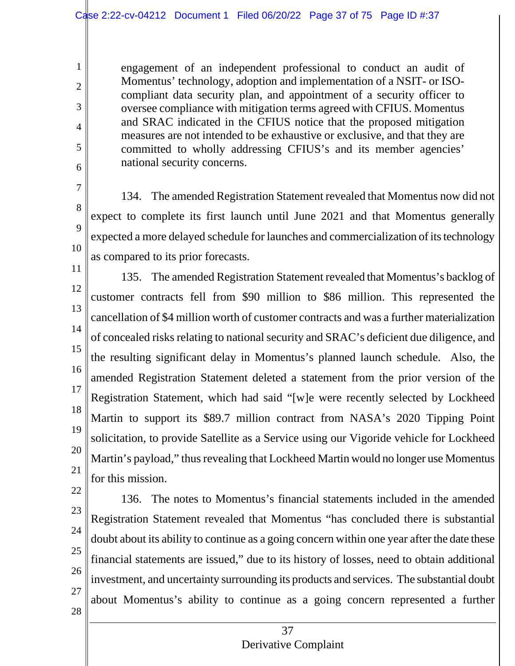engagement of an independent professional to conduct an audit of Momentus' technology, adoption and implementation of a NSIT- or ISOcompliant data security plan, and appointment of a security officer to oversee compliance with mitigation terms agreed with CFIUS. Momentus and SRAC indicated in the CFIUS notice that the proposed mitigation measures are not intended to be exhaustive or exclusive, and that they are committed to wholly addressing CFIUS's and its member agencies' national security concerns.

7 8 9 10 134. The amended Registration Statement revealed that Momentus now did not expect to complete its first launch until June 2021 and that Momentus generally expected a more delayed schedule for launches and commercialization of its technology as compared to its prior forecasts.

11 12 13 14 15 16 17 18 19 20 21 135. The amended Registration Statement revealed that Momentus's backlog of customer contracts fell from \$90 million to \$86 million. This represented the cancellation of \$4 million worth of customer contracts and was a further materialization of concealed risks relating to national security and SRAC's deficient due diligence, and the resulting significant delay in Momentus's planned launch schedule. Also, the amended Registration Statement deleted a statement from the prior version of the Registration Statement, which had said "[w]e were recently selected by Lockheed Martin to support its \$89.7 million contract from NASA's 2020 Tipping Point solicitation, to provide Satellite as a Service using our Vigoride vehicle for Lockheed Martin's payload," thus revealing that Lockheed Martin would no longer use Momentus for this mission.

22

1

2

3

4

5

6

- 23
- 24 25

26

- 27
- 28

136. The notes to Momentus's financial statements included in the amended

Registration Statement revealed that Momentus "has concluded there is substantial

doubt about its ability to continue as a going concern within one year after the date these

financial statements are issued," due to its history of losses, need to obtain additional

investment, and uncertainty surrounding its products and services. The substantial doubt

about Momentus's ability to continue as a going concern represented a further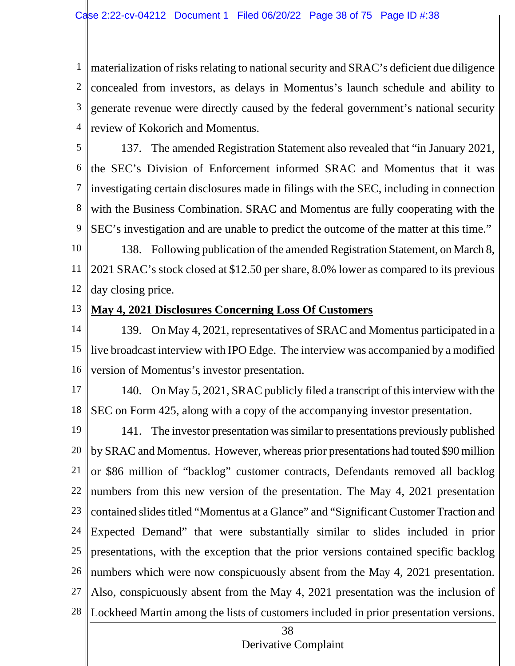1 2 3 4 materialization of risks relating to national security and SRAC's deficient due diligence concealed from investors, as delays in Momentus's launch schedule and ability to generate revenue were directly caused by the federal government's national security review of Kokorich and Momentus.

5 6 7 8 9 10 137. The amended Registration Statement also revealed that "in January 2021, the SEC's Division of Enforcement informed SRAC and Momentus that it was investigating certain disclosures made in filings with the SEC, including in connection with the Business Combination. SRAC and Momentus are fully cooperating with the SEC's investigation and are unable to predict the outcome of the matter at this time."

11 12 138. Following publication of the amended Registration Statement, on March 8, 2021 SRAC's stock closed at \$12.50 per share, 8.0% lower as compared to its previous day closing price.

13

### **May 4, 2021 Disclosures Concerning Loss Of Customers**

14 15 16 139. On May 4, 2021, representatives of SRAC and Momentus participated in a live broadcast interview with IPO Edge. The interview was accompanied by a modified version of Momentus's investor presentation.

17

18 140. On May 5, 2021, SRAC publicly filed a transcript of this interview with the SEC on Form 425, along with a copy of the accompanying investor presentation.

19 20 21 22 23 24 25 26 27 28 141. The investor presentation was similar to presentations previously published by SRAC and Momentus. However, whereas prior presentations had touted \$90 million or \$86 million of "backlog" customer contracts, Defendants removed all backlog numbers from this new version of the presentation. The May 4, 2021 presentation contained slides titled "Momentus at a Glance" and "Significant Customer Traction and Expected Demand" that were substantially similar to slides included in prior presentations, with the exception that the prior versions contained specific backlog numbers which were now conspicuously absent from the May 4, 2021 presentation. Also, conspicuously absent from the May 4, 2021 presentation was the inclusion of Lockheed Martin among the lists of customers included in prior presentation versions.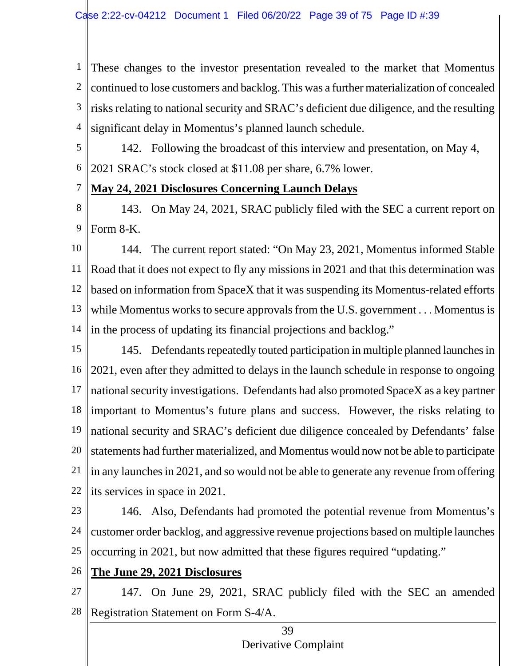1 2 3 4 These changes to the investor presentation revealed to the market that Momentus continued to lose customers and backlog. This was a further materialization of concealed risks relating to national security and SRAC's deficient due diligence, and the resulting significant delay in Momentus's planned launch schedule.

5

142. Following the broadcast of this interview and presentation, on May 4,

6 2021 SRAC's stock closed at \$11.08 per share, 6.7% lower.

#### 7 **May 24, 2021 Disclosures Concerning Launch Delays**

8 9 143. On May 24, 2021, SRAC publicly filed with the SEC a current report on Form 8-K.

10 11 12 13 14 144. The current report stated: "On May 23, 2021, Momentus informed Stable Road that it does not expect to fly any missions in 2021 and that this determination was based on information from SpaceX that it was suspending its Momentus-related efforts while Momentus works to secure approvals from the U.S. government . . . Momentus is in the process of updating its financial projections and backlog."

15 16 17 18 19 20 21 22 145. Defendants repeatedly touted participation in multiple planned launches in 2021, even after they admitted to delays in the launch schedule in response to ongoing national security investigations. Defendants had also promoted SpaceX as a key partner important to Momentus's future plans and success. However, the risks relating to national security and SRAC's deficient due diligence concealed by Defendants' false statements had further materialized, and Momentus would now not be able to participate in any launches in 2021, and so would not be able to generate any revenue from offering its services in space in 2021.

23 24 25 146. Also, Defendants had promoted the potential revenue from Momentus's customer order backlog, and aggressive revenue projections based on multiple launches occurring in 2021, but now admitted that these figures required "updating."

- 26 **The June 29, 2021 Disclosures**
- 27

28

147. On June 29, 2021, SRAC publicly filed with the SEC an amended Registration Statement on Form S-4/A.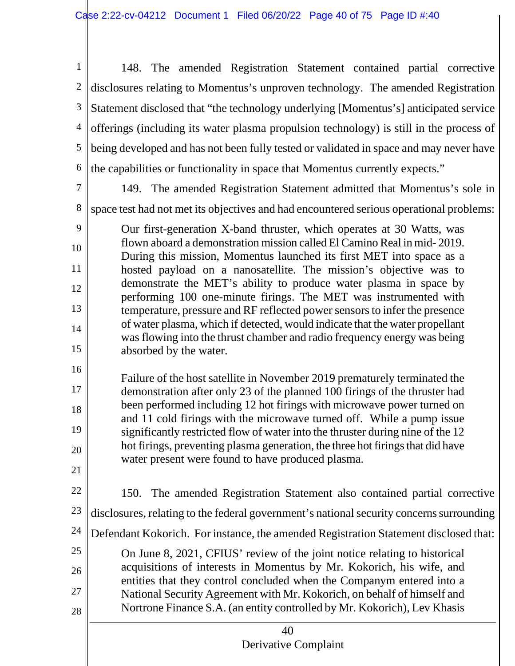$\mathbf{I}$ 

| $\mathbf{1}$   | 148. The amended Registration Statement contained partial corrective                                                                                     |  |  |  |  |  |  |  |  |  |  |  |
|----------------|----------------------------------------------------------------------------------------------------------------------------------------------------------|--|--|--|--|--|--|--|--|--|--|--|
| $\overline{2}$ | disclosures relating to Momentus's unproven technology. The amended Registration                                                                         |  |  |  |  |  |  |  |  |  |  |  |
| 3              | Statement disclosed that "the technology underlying [Momentus's] anticipated service                                                                     |  |  |  |  |  |  |  |  |  |  |  |
| $\overline{4}$ | offerings (including its water plasma propulsion technology) is still in the process of                                                                  |  |  |  |  |  |  |  |  |  |  |  |
| 5              | being developed and has not been fully tested or validated in space and may never have                                                                   |  |  |  |  |  |  |  |  |  |  |  |
| 6              | the capabilities or functionality in space that Momentus currently expects."                                                                             |  |  |  |  |  |  |  |  |  |  |  |
| $\overline{7}$ | 149. The amended Registration Statement admitted that Momentus's sole in                                                                                 |  |  |  |  |  |  |  |  |  |  |  |
| 8              | space test had not met its objectives and had encountered serious operational problems:                                                                  |  |  |  |  |  |  |  |  |  |  |  |
| 9              | Our first-generation X-band thruster, which operates at 30 Watts, was                                                                                    |  |  |  |  |  |  |  |  |  |  |  |
| 10             | flown aboard a demonstration mission called El Camino Real in mid-2019.<br>During this mission, Momentus launched its first MET into space as a          |  |  |  |  |  |  |  |  |  |  |  |
| 11             | hosted payload on a nanosatellite. The mission's objective was to                                                                                        |  |  |  |  |  |  |  |  |  |  |  |
| 12             | demonstrate the MET's ability to produce water plasma in space by<br>performing 100 one-minute firings. The MET was instrumented with                    |  |  |  |  |  |  |  |  |  |  |  |
| 13             | temperature, pressure and RF reflected power sensors to infer the presence                                                                               |  |  |  |  |  |  |  |  |  |  |  |
| 14             | of water plasma, which if detected, would indicate that the water propellant<br>was flowing into the thrust chamber and radio frequency energy was being |  |  |  |  |  |  |  |  |  |  |  |
| 15             | absorbed by the water.                                                                                                                                   |  |  |  |  |  |  |  |  |  |  |  |
| 16             | Failure of the host satellite in November 2019 prematurely terminated the                                                                                |  |  |  |  |  |  |  |  |  |  |  |
| 17             | demonstration after only 23 of the planned 100 firings of the thruster had                                                                               |  |  |  |  |  |  |  |  |  |  |  |
| 18             | been performed including 12 hot firings with microwave power turned on<br>and 11 cold firings with the microwave turned off. While a pump issue          |  |  |  |  |  |  |  |  |  |  |  |
| 19             | significantly restricted flow of water into the thruster during nine of the 12                                                                           |  |  |  |  |  |  |  |  |  |  |  |
| 20             | hot firings, preventing plasma generation, the three hot firings that did have<br>water present were found to have produced plasma.                      |  |  |  |  |  |  |  |  |  |  |  |
| 21             |                                                                                                                                                          |  |  |  |  |  |  |  |  |  |  |  |
| 22             | The amended Registration Statement also contained partial corrective<br>150.                                                                             |  |  |  |  |  |  |  |  |  |  |  |
| 23             | disclosures, relating to the federal government's national security concerns surrounding                                                                 |  |  |  |  |  |  |  |  |  |  |  |
| 24             | Defendant Kokorich. For instance, the amended Registration Statement disclosed that:                                                                     |  |  |  |  |  |  |  |  |  |  |  |
| 25             | On June 8, 2021, CFIUS' review of the joint notice relating to historical                                                                                |  |  |  |  |  |  |  |  |  |  |  |
| 26             | acquisitions of interests in Momentus by Mr. Kokorich, his wife, and<br>entities that they control concluded when the Companym entered into a            |  |  |  |  |  |  |  |  |  |  |  |
| 27             | National Security Agreement with Mr. Kokorich, on behalf of himself and                                                                                  |  |  |  |  |  |  |  |  |  |  |  |
| 28             | Nortrone Finance S.A. (an entity controlled by Mr. Kokorich), Lev Khasis                                                                                 |  |  |  |  |  |  |  |  |  |  |  |
|                | 40<br>Derivative Complaint                                                                                                                               |  |  |  |  |  |  |  |  |  |  |  |
|                |                                                                                                                                                          |  |  |  |  |  |  |  |  |  |  |  |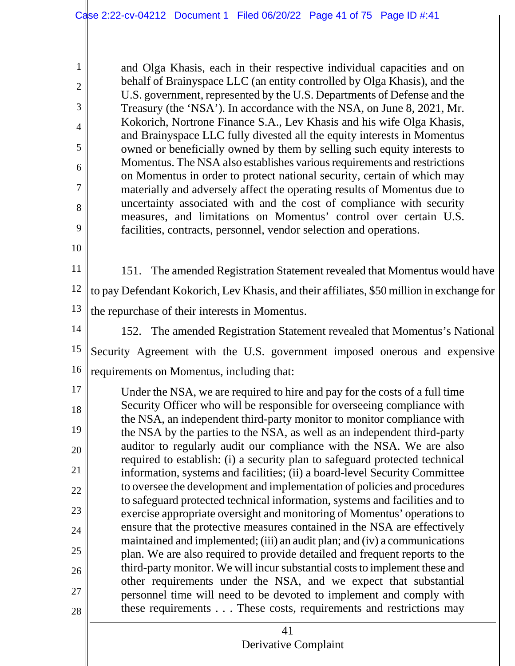and Olga Khasis, each in their respective individual capacities and on behalf of Brainyspace LLC (an entity controlled by Olga Khasis), and the U.S. government, represented by the U.S. Departments of Defense and the Treasury (the 'NSA'). In accordance with the NSA, on June 8, 2021, Mr. Kokorich, Nortrone Finance S.A., Lev Khasis and his wife Olga Khasis, and Brainyspace LLC fully divested all the equity interests in Momentus owned or beneficially owned by them by selling such equity interests to Momentus. The NSA also establishes various requirements and restrictions on Momentus in order to protect national security, certain of which may materially and adversely affect the operating results of Momentus due to uncertainty associated with and the cost of compliance with security measures, and limitations on Momentus' control over certain U.S. facilities, contracts, personnel, vendor selection and operations.

- 11 12 13 151. The amended Registration Statement revealed that Momentus would have to pay Defendant Kokorich, Lev Khasis, and their affiliates, \$50 million in exchange for the repurchase of their interests in Momentus.
- 

1

2

3

4

5

6

7

8

9

10

14 15 16 152. The amended Registration Statement revealed that Momentus's National Security Agreement with the U.S. government imposed onerous and expensive requirements on Momentus, including that:

17 18 19 20 21 22 23 24 25 26 27 28 Under the NSA, we are required to hire and pay for the costs of a full time Security Officer who will be responsible for overseeing compliance with the NSA, an independent third-party monitor to monitor compliance with the NSA by the parties to the NSA, as well as an independent third-party auditor to regularly audit our compliance with the NSA. We are also required to establish: (i) a security plan to safeguard protected technical information, systems and facilities; (ii) a board-level Security Committee to oversee the development and implementation of policies and procedures to safeguard protected technical information, systems and facilities and to exercise appropriate oversight and monitoring of Momentus' operations to ensure that the protective measures contained in the NSA are effectively maintained and implemented; (iii) an audit plan; and (iv) a communications plan. We are also required to provide detailed and frequent reports to the third-party monitor. We will incursubstantial costs to implement these and other requirements under the NSA, and we expect that substantial personnel time will need to be devoted to implement and comply with these requirements . . . These costs, requirements and restrictions may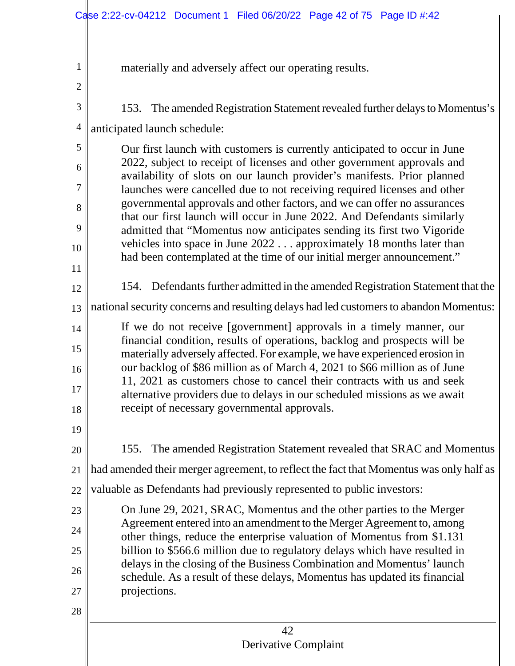|                | Case 2:22-cv-04212 Document 1 Filed 06/20/22 Page 42 of 75 Page ID #:42                                                                                                                                                                                                                                                                                                                                                                                         |  |  |  |  |  |  |  |  |  |  |  |
|----------------|-----------------------------------------------------------------------------------------------------------------------------------------------------------------------------------------------------------------------------------------------------------------------------------------------------------------------------------------------------------------------------------------------------------------------------------------------------------------|--|--|--|--|--|--|--|--|--|--|--|
|                |                                                                                                                                                                                                                                                                                                                                                                                                                                                                 |  |  |  |  |  |  |  |  |  |  |  |
| 1              | materially and adversely affect our operating results.                                                                                                                                                                                                                                                                                                                                                                                                          |  |  |  |  |  |  |  |  |  |  |  |
| $\overline{c}$ |                                                                                                                                                                                                                                                                                                                                                                                                                                                                 |  |  |  |  |  |  |  |  |  |  |  |
| 3              | The amended Registration Statement revealed further delays to Momentus's<br>153.                                                                                                                                                                                                                                                                                                                                                                                |  |  |  |  |  |  |  |  |  |  |  |
| 4              | anticipated launch schedule:                                                                                                                                                                                                                                                                                                                                                                                                                                    |  |  |  |  |  |  |  |  |  |  |  |
| 5              | Our first launch with customers is currently anticipated to occur in June                                                                                                                                                                                                                                                                                                                                                                                       |  |  |  |  |  |  |  |  |  |  |  |
| 6              | 2022, subject to receipt of licenses and other government approvals and<br>availability of slots on our launch provider's manifests. Prior planned<br>launches were cancelled due to not receiving required licenses and other<br>governmental approvals and other factors, and we can offer no assurances<br>that our first launch will occur in June 2022. And Defendants similarly<br>admitted that "Momentus now anticipates sending its first two Vigoride |  |  |  |  |  |  |  |  |  |  |  |
| 7              |                                                                                                                                                                                                                                                                                                                                                                                                                                                                 |  |  |  |  |  |  |  |  |  |  |  |
| 8              |                                                                                                                                                                                                                                                                                                                                                                                                                                                                 |  |  |  |  |  |  |  |  |  |  |  |
| 9              |                                                                                                                                                                                                                                                                                                                                                                                                                                                                 |  |  |  |  |  |  |  |  |  |  |  |
| 10             | vehicles into space in June 2022 approximately 18 months later than<br>had been contemplated at the time of our initial merger announcement."                                                                                                                                                                                                                                                                                                                   |  |  |  |  |  |  |  |  |  |  |  |
| 11<br>12       | 154. Defendants further admitted in the amended Registration Statement that the                                                                                                                                                                                                                                                                                                                                                                                 |  |  |  |  |  |  |  |  |  |  |  |
| 13             | national security concerns and resulting delays had led customers to abandon Momentus:                                                                                                                                                                                                                                                                                                                                                                          |  |  |  |  |  |  |  |  |  |  |  |
| 14             | If we do not receive [government] approvals in a timely manner, our                                                                                                                                                                                                                                                                                                                                                                                             |  |  |  |  |  |  |  |  |  |  |  |
| 15             | financial condition, results of operations, backlog and prospects will be                                                                                                                                                                                                                                                                                                                                                                                       |  |  |  |  |  |  |  |  |  |  |  |
| 16             | materially adversely affected. For example, we have experienced erosion in<br>our backlog of \$86 million as of March 4, 2021 to \$66 million as of June                                                                                                                                                                                                                                                                                                        |  |  |  |  |  |  |  |  |  |  |  |
| 17             | 11, 2021 as customers chose to cancel their contracts with us and seek                                                                                                                                                                                                                                                                                                                                                                                          |  |  |  |  |  |  |  |  |  |  |  |
| 18             | alternative providers due to delays in our scheduled missions as we await<br>receipt of necessary governmental approvals.                                                                                                                                                                                                                                                                                                                                       |  |  |  |  |  |  |  |  |  |  |  |
| 19             |                                                                                                                                                                                                                                                                                                                                                                                                                                                                 |  |  |  |  |  |  |  |  |  |  |  |
| 20             | 155. The amended Registration Statement revealed that SRAC and Momentus                                                                                                                                                                                                                                                                                                                                                                                         |  |  |  |  |  |  |  |  |  |  |  |
| 21             | had amended their merger agreement, to reflect the fact that Momentus was only half as                                                                                                                                                                                                                                                                                                                                                                          |  |  |  |  |  |  |  |  |  |  |  |
| 22             | valuable as Defendants had previously represented to public investors:                                                                                                                                                                                                                                                                                                                                                                                          |  |  |  |  |  |  |  |  |  |  |  |
| 23             | On June 29, 2021, SRAC, Momentus and the other parties to the Merger                                                                                                                                                                                                                                                                                                                                                                                            |  |  |  |  |  |  |  |  |  |  |  |
| 24             | Agreement entered into an amendment to the Merger Agreement to, among<br>other things, reduce the enterprise valuation of Momentus from \$1.131                                                                                                                                                                                                                                                                                                                 |  |  |  |  |  |  |  |  |  |  |  |
| 25             | billion to \$566.6 million due to regulatory delays which have resulted in<br>delays in the closing of the Business Combination and Momentus' launch<br>schedule. As a result of these delays, Momentus has updated its financial                                                                                                                                                                                                                               |  |  |  |  |  |  |  |  |  |  |  |
| 26             |                                                                                                                                                                                                                                                                                                                                                                                                                                                                 |  |  |  |  |  |  |  |  |  |  |  |
| 27             | projections.                                                                                                                                                                                                                                                                                                                                                                                                                                                    |  |  |  |  |  |  |  |  |  |  |  |
| 28             |                                                                                                                                                                                                                                                                                                                                                                                                                                                                 |  |  |  |  |  |  |  |  |  |  |  |
|                | 42                                                                                                                                                                                                                                                                                                                                                                                                                                                              |  |  |  |  |  |  |  |  |  |  |  |
|                | Derivative Complaint                                                                                                                                                                                                                                                                                                                                                                                                                                            |  |  |  |  |  |  |  |  |  |  |  |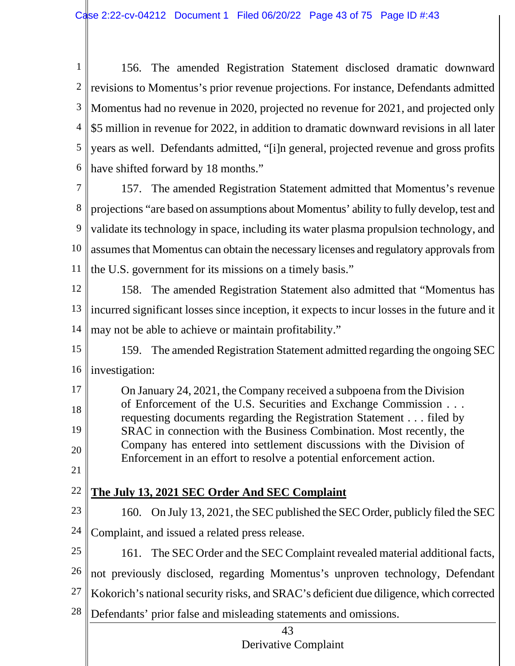1 2 3 4 \$5 million in revenue for 2022, in addition to dramatic downward revisions in all later 5 6 156. The amended Registration Statement disclosed dramatic downward revisions to Momentus's prior revenue projections. For instance, Defendants admitted Momentus had no revenue in 2020, projected no revenue for 2021, and projected only years as well. Defendants admitted, "[i]n general, projected revenue and gross profits have shifted forward by 18 months."

7 8 9 10 11 157. The amended Registration Statement admitted that Momentus's revenue projections "are based on assumptions about Momentus' ability to fully develop, test and validate its technology in space, including its water plasma propulsion technology, and assumes that Momentus can obtain the necessary licenses and regulatory approvals from the U.S. government for its missions on a timely basis."

12 13 14 158. The amended Registration Statement also admitted that "Momentus has incurred significant losses since inception, it expects to incur losses in the future and it may not be able to achieve or maintain profitability."

15 16 159. The amended Registration Statement admitted regarding the ongoing SEC investigation:

17 18 19 20 On January 24, 2021, the Company received a subpoena from the Division of Enforcement of the U.S. Securities and Exchange Commission . . . requesting documents regarding the Registration Statement . . . filed by SRAC in connection with the Business Combination. Most recently, the Company has entered into settlement discussions with the Division of Enforcement in an effort to resolve a potential enforcement action.

21 22

# **The July 13, 2021 SEC Order And SEC Complaint**

23 24 160. On July 13, 2021, the SEC published the SEC Order, publicly filed the SEC Complaint, and issued a related press release.

25 26 161. The SEC Order and the SEC Complaint revealed material additional facts, not previously disclosed, regarding Momentus's unproven technology, Defendant

- 27 Kokorich's national security risks, and SRAC's deficient due diligence, which corrected
- 28 Defendants' prior false and misleading statements and omissions.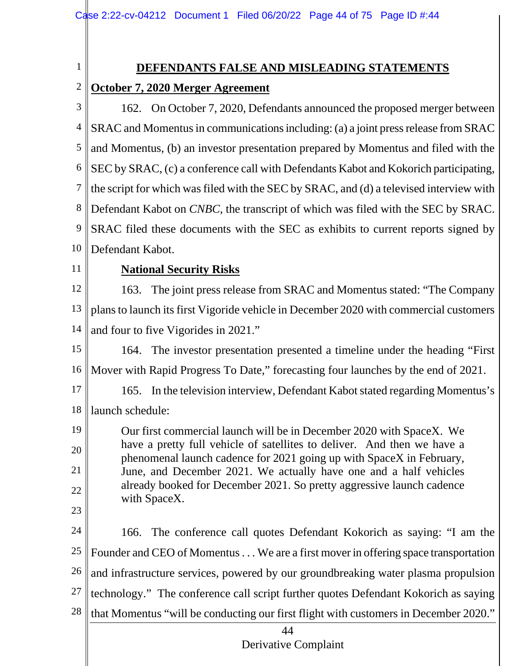# **DEFENDANTS FALSE AND MISLEADING STATEMENTS**

#### 2 **October 7, 2020 Merger Agreement**

3 4 5 6 7 8 9 10 162. On October 7, 2020, Defendants announced the proposed merger between SRAC and Momentus in communicationsincluding: (a) a joint press release from SRAC and Momentus, (b) an investor presentation prepared by Momentus and filed with the SEC by SRAC, (c) a conference call with Defendants Kabot and Kokorich participating, the script for which was filed with the SEC by SRAC, and (d) a televised interview with Defendant Kabot on *CNBC*, the transcript of which was filed with the SEC by SRAC. SRAC filed these documents with the SEC as exhibits to current reports signed by Defendant Kabot.

11

19

20

21

22

23

1

## **National Security Risks**

12 13 14 163. The joint press release from SRAC and Momentus stated: "The Company plans to launch itsfirst Vigoride vehicle in December 2020 with commercial customers and four to five Vigorides in 2021."

- 15 16 164. The investor presentation presented a timeline under the heading "First Mover with Rapid Progress To Date," forecasting four launches by the end of 2021.
- 17 18 165. In the television interview, Defendant Kabot stated regarding Momentus's launch schedule:
	- Our first commercial launch will be in December 2020 with SpaceX. We have a pretty full vehicle of satellites to deliver. And then we have a phenomenal launch cadence for 2021 going up with SpaceX in February, June, and December 2021. We actually have one and a half vehicles already booked for December 2021. So pretty aggressive launch cadence with SpaceX.
- 24 25 26 27 28 166. The conference call quotes Defendant Kokorich as saying: "I am the Founder and CEO of Momentus . . . We are a first mover in offering space transportation and infrastructure services, powered by our groundbreaking water plasma propulsion technology." The conference call script further quotes Defendant Kokorich as saying that Momentus "will be conducting our first flight with customers in December 2020."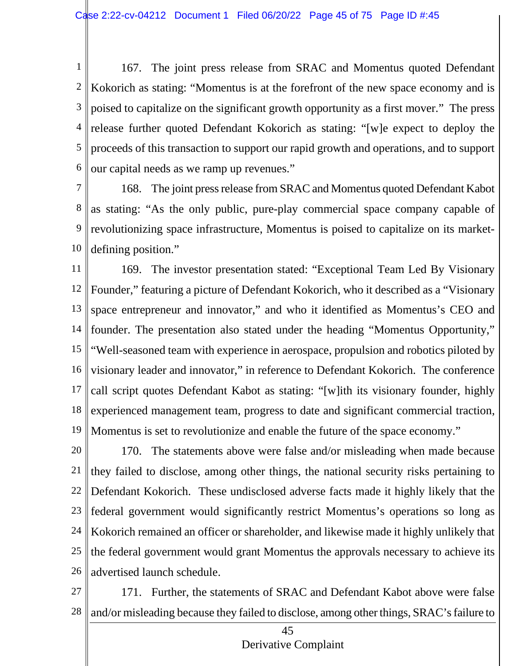1 2 3 4 5 6 167. The joint press release from SRAC and Momentus quoted Defendant Kokorich as stating: "Momentus is at the forefront of the new space economy and is poised to capitalize on the significant growth opportunity as a first mover." The press release further quoted Defendant Kokorich as stating: "[w]e expect to deploy the proceeds of this transaction to support our rapid growth and operations, and to support our capital needs as we ramp up revenues."

7 8 9 10 168. The joint press release from SRAC and Momentus quoted Defendant Kabot as stating: "As the only public, pure-play commercial space company capable of revolutionizing space infrastructure, Momentus is poised to capitalize on its marketdefining position."

11 12 13 14 15 16 17 18 19 169. The investor presentation stated: "Exceptional Team Led By Visionary Founder," featuring a picture of Defendant Kokorich, who it described as a "Visionary space entrepreneur and innovator," and who it identified as Momentus's CEO and founder. The presentation also stated under the heading "Momentus Opportunity," "Well-seasoned team with experience in aerospace, propulsion and robotics piloted by visionary leader and innovator," in reference to Defendant Kokorich. The conference call script quotes Defendant Kabot as stating: "[w]ith its visionary founder, highly experienced management team, progress to date and significant commercial traction, Momentus is set to revolutionize and enable the future of the space economy."

20 21 22 23 24 25 26 170. The statements above were false and/or misleading when made because they failed to disclose, among other things, the national security risks pertaining to Defendant Kokorich. These undisclosed adverse facts made it highly likely that the federal government would significantly restrict Momentus's operations so long as Kokorich remained an officer or shareholder, and likewise made it highly unlikely that the federal government would grant Momentus the approvals necessary to achieve its advertised launch schedule.

27 28 171. Further, the statements of SRAC and Defendant Kabot above were false and/or misleading because they failed to disclose, among other things, SRAC's failure to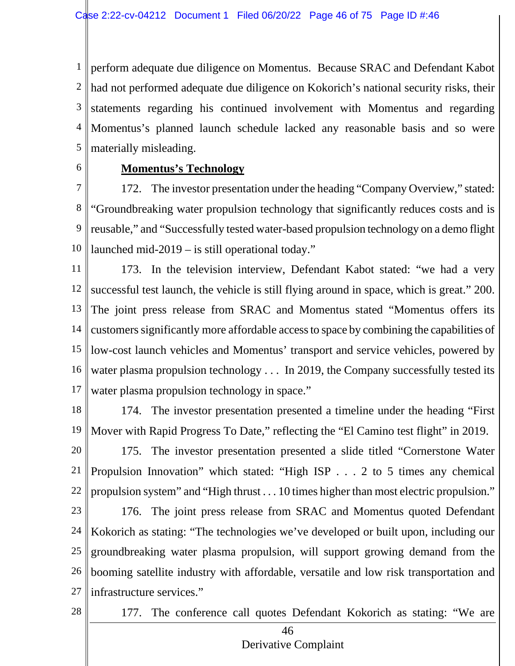1 2 3 4 5 perform adequate due diligence on Momentus. Because SRAC and Defendant Kabot had not performed adequate due diligence on Kokorich's national security risks, their statements regarding his continued involvement with Momentus and regarding Momentus's planned launch schedule lacked any reasonable basis and so were materially misleading.

6

## **Momentus's Technology**

7 8 9 10 172. The investor presentation under the heading "Company Overview," stated: "Groundbreaking water propulsion technology that significantly reduces costs and is reusable," and "Successfully tested water-based propulsion technology on a demo flight launched mid-2019 – is still operational today."

11 12 13 14 15 16 17 173. In the television interview, Defendant Kabot stated: "we had a very successful test launch, the vehicle is still flying around in space, which is great." 200. The joint press release from SRAC and Momentus stated "Momentus offers its customers significantly more affordable access to space by combining the capabilities of low-cost launch vehicles and Momentus' transport and service vehicles, powered by water plasma propulsion technology . . . In 2019, the Company successfully tested its water plasma propulsion technology in space."

- 
- 18 19 174. The investor presentation presented a timeline under the heading "First Mover with Rapid Progress To Date," reflecting the "El Camino test flight" in 2019.
- 20 21 22 175. The investor presentation presented a slide titled "Cornerstone Water Propulsion Innovation" which stated: "High ISP . . . 2 to 5 times any chemical propulsion system" and "High thrust . . . 10 times higher than most electric propulsion."
- 23 24 25 26 27 176. The joint press release from SRAC and Momentus quoted Defendant Kokorich as stating: "The technologies we've developed or built upon, including our groundbreaking water plasma propulsion, will support growing demand from the booming satellite industry with affordable, versatile and low risk transportation and infrastructure services."
- 28

177. The conference call quotes Defendant Kokorich as stating: "We are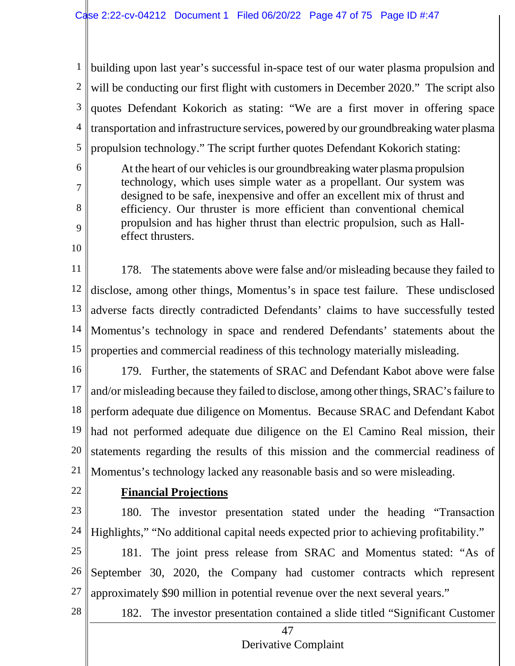1 2 3 4 5 building upon last year's successful in-space test of our water plasma propulsion and will be conducting our first flight with customers in December 2020." The script also quotes Defendant Kokorich as stating: "We are a first mover in offering space transportation and infrastructure services, powered by our groundbreaking water plasma propulsion technology." The script further quotes Defendant Kokorich stating:

At the heart of our vehicles is our groundbreaking water plasma propulsion technology, which uses simple water as a propellant. Our system was designed to be safe, inexpensive and offer an excellent mix of thrust and efficiency. Our thruster is more efficient than conventional chemical propulsion and has higher thrust than electric propulsion, such as Halleffect thrusters.

11 12 13 14 15 178. The statements above were false and/or misleading because they failed to disclose, among other things, Momentus's in space test failure. These undisclosed adverse facts directly contradicted Defendants' claims to have successfully tested Momentus's technology in space and rendered Defendants' statements about the properties and commercial readiness of this technology materially misleading.

16 17 18 19 20 21 179. Further, the statements of SRAC and Defendant Kabot above were false and/or misleading because they failed to disclose, among other things, SRAC's failure to perform adequate due diligence on Momentus. Because SRAC and Defendant Kabot had not performed adequate due diligence on the El Camino Real mission, their statements regarding the results of this mission and the commercial readiness of Momentus's technology lacked any reasonable basis and so were misleading.

22

6

7

8

9

10

## **Financial Projections**

23 24 180. The investor presentation stated under the heading "Transaction Highlights," "No additional capital needs expected prior to achieving profitability."

25

26 27 181. The joint press release from SRAC and Momentus stated: "As of September 30, 2020, the Company had customer contracts which represent approximately \$90 million in potential revenue over the next several years."

28

182. The investor presentation contained a slide titled "Significant Customer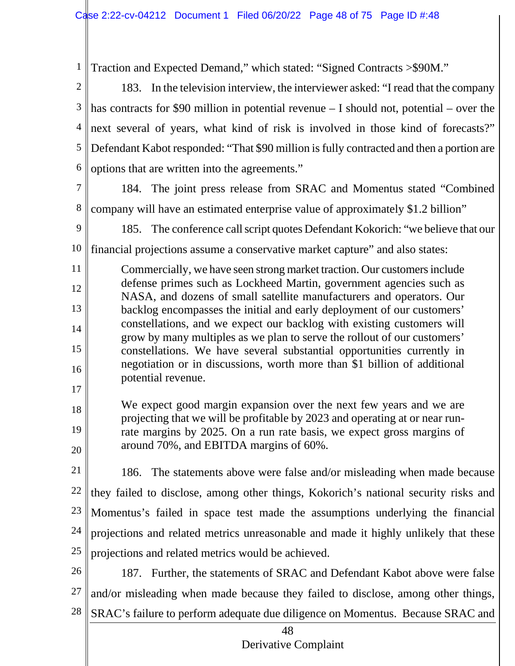1 Traction and Expected Demand," which stated: "Signed Contracts >\$90M."

2 3 4 5 6 183. In the television interview, the interviewer asked: "I read that the company has contracts for \$90 million in potential revenue – I should not, potential – over the next several of years, what kind of risk is involved in those kind of forecasts?" Defendant Kabot responded: "That \$90 million is fully contracted and then a portion are options that are written into the agreements."

7 8 184. The joint press release from SRAC and Momentus stated "Combined company will have an estimated enterprise value of approximately \$1.2 billion"

9 10 185. The conference call script quotes Defendant Kokorich: "we believe that our financial projections assume a conservative market capture" and also states:

11 12 13 14 15 16 Commercially, we have seen strong market traction. Our customersinclude defense primes such as Lockheed Martin, government agencies such as NASA, and dozens of small satellite manufacturers and operators. Our backlog encompasses the initial and early deployment of our customers' constellations, and we expect our backlog with existing customers will grow by many multiples as we plan to serve the rollout of our customers' constellations. We have several substantial opportunities currently in negotiation or in discussions, worth more than \$1 billion of additional potential revenue.

18 19 20 We expect good margin expansion over the next few years and we are projecting that we will be profitable by 2023 and operating at or near runrate margins by 2025. On a run rate basis, we expect gross margins of around 70%, and EBITDA margins of 60%.

17

21 22 23 24 25 186. The statements above were false and/or misleading when made because they failed to disclose, among other things, Kokorich's national security risks and Momentus's failed in space test made the assumptions underlying the financial projections and related metrics unreasonable and made it highly unlikely that these projections and related metrics would be achieved.

26 27 28 187. Further, the statements of SRAC and Defendant Kabot above were false and/or misleading when made because they failed to disclose, among other things, SRAC's failure to perform adequate due diligence on Momentus. Because SRAC and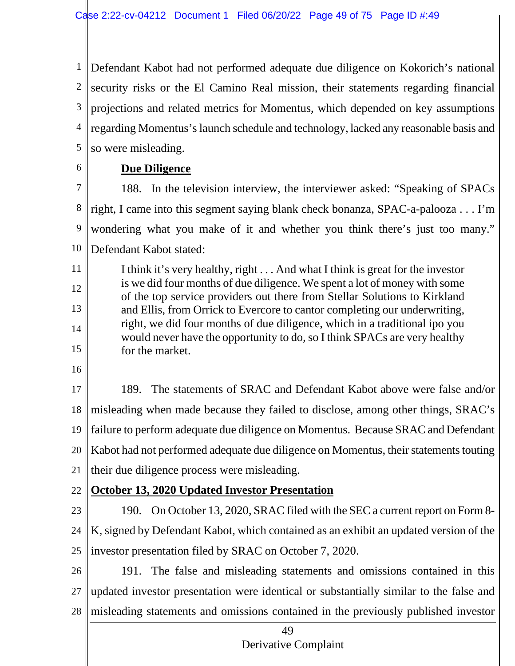1 2 3 4 5 Defendant Kabot had not performed adequate due diligence on Kokorich's national security risks or the El Camino Real mission, their statements regarding financial projections and related metrics for Momentus, which depended on key assumptions regarding Momentus's launch schedule and technology, lacked any reasonable basis and so were misleading.

6

## **Due Diligence**

7 8 9 10 188. In the television interview, the interviewer asked: "Speaking of SPACs right, I came into this segment saying blank check bonanza, SPAC-a-palooza . . . I'm wondering what you make of it and whether you think there's just too many." Defendant Kabot stated:

11 12 13 14 15 I think it's very healthy, right . . . And what I think is great for the investor is we did four months of due diligence. We spent a lot of money with some of the top service providers out there from Stellar Solutions to Kirkland and Ellis, from Orrick to Evercore to cantor completing our underwriting, right, we did four months of due diligence, which in a traditional ipo you would never have the opportunity to do, so I think SPACs are very healthy for the market.

16

17 18 19 20 21 189. The statements of SRAC and Defendant Kabot above were false and/or misleading when made because they failed to disclose, among other things, SRAC's failure to perform adequate due diligence on Momentus. Because SRAC and Defendant Kabot had not performed adequate due diligence on Momentus, their statements touting their due diligence process were misleading.

22 **October 13, 2020 Updated Investor Presentation**

23 24 25 190. On October 13, 2020, SRAC filed with the SEC a current report on Form 8- K, signed by Defendant Kabot, which contained as an exhibit an updated version of the investor presentation filed by SRAC on October 7, 2020.

26 27 28 191. The false and misleading statements and omissions contained in this updated investor presentation were identical or substantially similar to the false and misleading statements and omissions contained in the previously published investor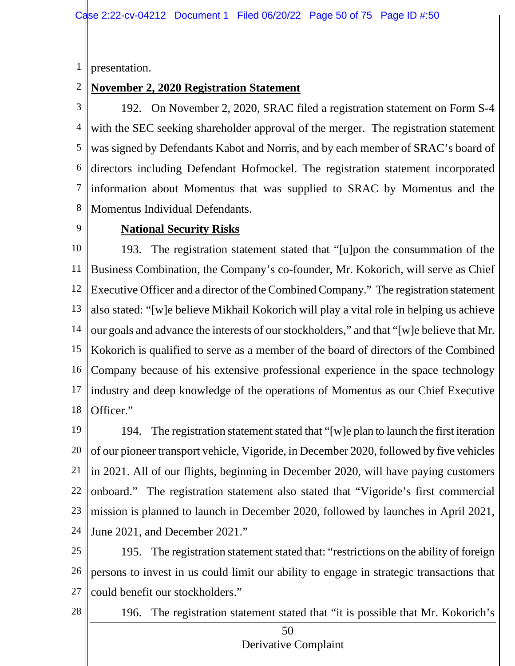1 presentation.

#### 2 **November 2, 2020 Registration Statement**

3 4 5 6 7 8 192. On November 2, 2020, SRAC filed a registration statement on Form S-4 with the SEC seeking shareholder approval of the merger. The registration statement was signed by Defendants Kabot and Norris, and by each member of SRAC's board of directors including Defendant Hofmockel. The registration statement incorporated information about Momentus that was supplied to SRAC by Momentus and the Momentus Individual Defendants.

9

### **National Security Risks**

10 11 12 13 14 15 16 17 18 193. The registration statement stated that "[u]pon the consummation of the Business Combination, the Company's co-founder, Mr. Kokorich, will serve as Chief Executive Officer and a director of the Combined Company." The registration statement also stated: "[w]e believe Mikhail Kokorich will play a vital role in helping us achieve our goals and advance the interests of our stockholders," and that "[w]e believe that Mr. Kokorich is qualified to serve as a member of the board of directors of the Combined Company because of his extensive professional experience in the space technology industry and deep knowledge of the operations of Momentus as our Chief Executive Officer."

19 20 21 22 23 24 194. The registration statement stated that "[w]e plan to launch the first iteration of our pioneer transport vehicle, Vigoride, in December 2020, followed by five vehicles in 2021. All of our flights, beginning in December 2020, will have paying customers onboard." The registration statement also stated that "Vigoride's first commercial mission is planned to launch in December 2020, followed by launches in April 2021, June 2021, and December 2021."

25 26 27 195. The registration statement stated that: "restrictions on the ability of foreign persons to invest in us could limit our ability to engage in strategic transactions that could benefit our stockholders."

28

196. The registration statement stated that "it is possible that Mr. Kokorich's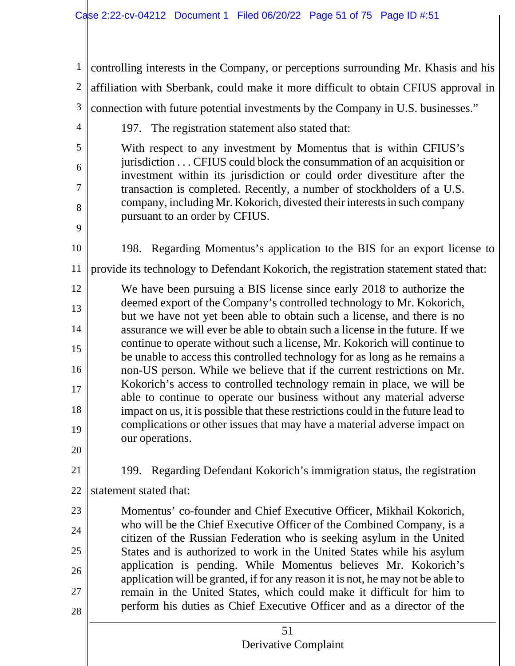| $\mathbf{1}$   | controlling interests in the Company, or perceptions surrounding Mr. Khasis and his                                                                                                                                      |  |  |  |  |  |  |  |  |  |  |
|----------------|--------------------------------------------------------------------------------------------------------------------------------------------------------------------------------------------------------------------------|--|--|--|--|--|--|--|--|--|--|
| $\overline{c}$ | affiliation with Sberbank, could make it more difficult to obtain CFIUS approval in                                                                                                                                      |  |  |  |  |  |  |  |  |  |  |
| 3              |                                                                                                                                                                                                                          |  |  |  |  |  |  |  |  |  |  |
| $\overline{4}$ | connection with future potential investments by the Company in U.S. businesses."                                                                                                                                         |  |  |  |  |  |  |  |  |  |  |
| 5              | 197. The registration statement also stated that:                                                                                                                                                                        |  |  |  |  |  |  |  |  |  |  |
| 6              | With respect to any investment by Momentus that is within CFIUS's<br>jurisdiction CFIUS could block the consummation of an acquisition or                                                                                |  |  |  |  |  |  |  |  |  |  |
| 7              | investment within its jurisdiction or could order divestiture after the                                                                                                                                                  |  |  |  |  |  |  |  |  |  |  |
|                | transaction is completed. Recently, a number of stockholders of a U.S.<br>company, including Mr. Kokorich, divested their interests in such company                                                                      |  |  |  |  |  |  |  |  |  |  |
| 8              | pursuant to an order by CFIUS.                                                                                                                                                                                           |  |  |  |  |  |  |  |  |  |  |
| 9              |                                                                                                                                                                                                                          |  |  |  |  |  |  |  |  |  |  |
| 10             | 198. Regarding Momentus's application to the BIS for an export license to                                                                                                                                                |  |  |  |  |  |  |  |  |  |  |
| <sup>11</sup>  | provide its technology to Defendant Kokorich, the registration statement stated that:                                                                                                                                    |  |  |  |  |  |  |  |  |  |  |
| 12             | We have been pursuing a BIS license since early 2018 to authorize the<br>deemed export of the Company's controlled technology to Mr. Kokorich,                                                                           |  |  |  |  |  |  |  |  |  |  |
| 13             | but we have not yet been able to obtain such a license, and there is no                                                                                                                                                  |  |  |  |  |  |  |  |  |  |  |
| 14             | assurance we will ever be able to obtain such a license in the future. If we<br>continue to operate without such a license, Mr. Kokorich will continue to                                                                |  |  |  |  |  |  |  |  |  |  |
| 15             | be unable to access this controlled technology for as long as he remains a                                                                                                                                               |  |  |  |  |  |  |  |  |  |  |
| 16             | non-US person. While we believe that if the current restrictions on Mr.<br>Kokorich's access to controlled technology remain in place, we will be                                                                        |  |  |  |  |  |  |  |  |  |  |
| 17             | able to continue to operate our business without any material adverse                                                                                                                                                    |  |  |  |  |  |  |  |  |  |  |
| 18             | impact on us, it is possible that these restrictions could in the future lead to<br>complications or other issues that may have a material adverse impact on                                                             |  |  |  |  |  |  |  |  |  |  |
| 19             | our operations.                                                                                                                                                                                                          |  |  |  |  |  |  |  |  |  |  |
| 20             |                                                                                                                                                                                                                          |  |  |  |  |  |  |  |  |  |  |
| 21             | 199. Regarding Defendant Kokorich's immigration status, the registration                                                                                                                                                 |  |  |  |  |  |  |  |  |  |  |
| 22             | statement stated that:                                                                                                                                                                                                   |  |  |  |  |  |  |  |  |  |  |
| 23             | Momentus' co-founder and Chief Executive Officer, Mikhail Kokorich,                                                                                                                                                      |  |  |  |  |  |  |  |  |  |  |
| 24             | who will be the Chief Executive Officer of the Combined Company, is a<br>citizen of the Russian Federation who is seeking asylum in the United<br>States and is authorized to work in the United States while his asylum |  |  |  |  |  |  |  |  |  |  |
| 25             |                                                                                                                                                                                                                          |  |  |  |  |  |  |  |  |  |  |
| 26             | application is pending. While Momentus believes Mr. Kokorich's<br>application will be granted, if for any reason it is not, he may not be able to                                                                        |  |  |  |  |  |  |  |  |  |  |
| 27             | remain in the United States, which could make it difficult for him to                                                                                                                                                    |  |  |  |  |  |  |  |  |  |  |
| 28             | perform his duties as Chief Executive Officer and as a director of the                                                                                                                                                   |  |  |  |  |  |  |  |  |  |  |
|                | 51<br>Derivative Complaint                                                                                                                                                                                               |  |  |  |  |  |  |  |  |  |  |
|                |                                                                                                                                                                                                                          |  |  |  |  |  |  |  |  |  |  |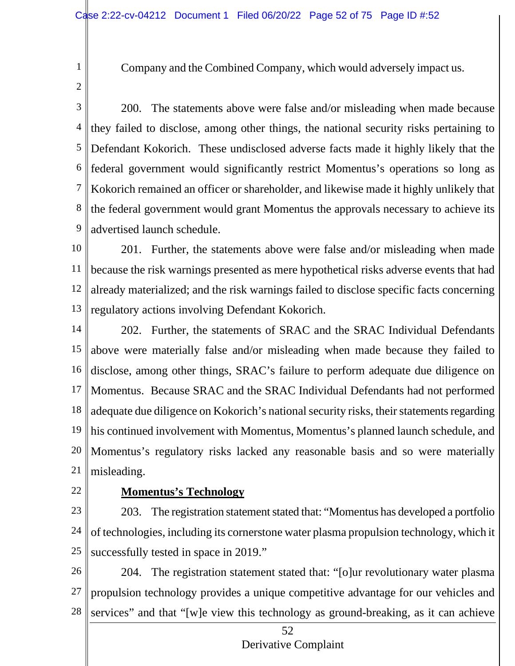- Company and the Combined Company, which would adversely impact us.
- 2

1

3 4 5 6 7 8 9 200. The statements above were false and/or misleading when made because they failed to disclose, among other things, the national security risks pertaining to Defendant Kokorich. These undisclosed adverse facts made it highly likely that the federal government would significantly restrict Momentus's operations so long as Kokorich remained an officer or shareholder, and likewise made it highly unlikely that the federal government would grant Momentus the approvals necessary to achieve its advertised launch schedule.

10 11 12 13 201. Further, the statements above were false and/or misleading when made because the risk warnings presented as mere hypothetical risks adverse events that had already materialized; and the risk warnings failed to disclose specific facts concerning regulatory actions involving Defendant Kokorich.

14 15 16 17 18 19 20 21 202. Further, the statements of SRAC and the SRAC Individual Defendants above were materially false and/or misleading when made because they failed to disclose, among other things, SRAC's failure to perform adequate due diligence on Momentus. Because SRAC and the SRAC Individual Defendants had not performed | adequate due diligence on Kokorich's national security risks, their statements regarding his continued involvement with Momentus, Momentus's planned launch schedule, and Momentus's regulatory risks lacked any reasonable basis and so were materially misleading.

22

### **Momentus's Technology**

23 24 25 203. The registration statement stated that: "Momentus has developed a portfolio of technologies, including its cornerstone water plasma propulsion technology, which it successfully tested in space in 2019."

26 27 28 204. The registration statement stated that: "[o]ur revolutionary water plasma propulsion technology provides a unique competitive advantage for our vehicles and services" and that "[w]e view this technology as ground-breaking, as it can achieve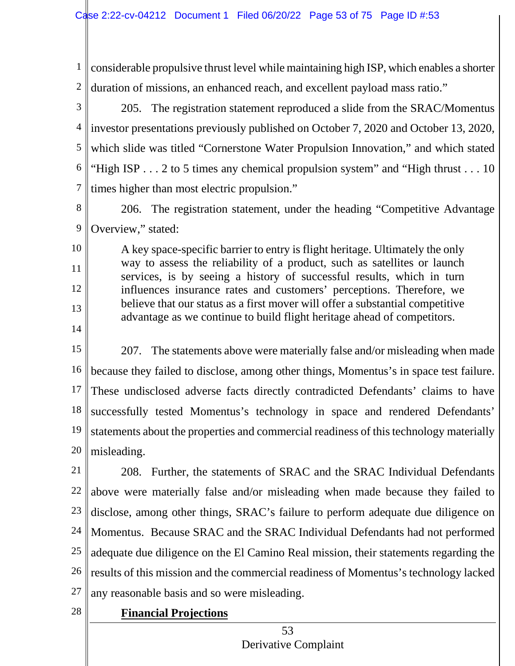1 2 3 4 5 6 7 8 9 10 11 12 13 14 15 16 17 18 19 20 considerable propulsive thrust level while maintaining high ISP, which enables a shorter duration of missions, an enhanced reach, and excellent payload mass ratio." 205. The registration statement reproduced a slide from the SRAC/Momentus investor presentations previously published on October 7, 2020 and October 13, 2020, which slide was titled "Cornerstone Water Propulsion Innovation," and which stated "High ISP  $\dots$  2 to 5 times any chemical propulsion system" and "High thrust  $\dots$  10 times higher than most electric propulsion." 206. The registration statement, under the heading "Competitive Advantage Overview," stated: A key space-specific barrier to entry is flight heritage. Ultimately the only way to assess the reliability of a product, such as satellites or launch services, is by seeing a history of successful results, which in turn influences insurance rates and customers' perceptions. Therefore, we believe that our status as a first mover will offer a substantial competitive advantage as we continue to build flight heritage ahead of competitors. 207. The statements above were materially false and/or misleading when made because they failed to disclose, among other things, Momentus's in space test failure. These undisclosed adverse facts directly contradicted Defendants' claims to have successfully tested Momentus's technology in space and rendered Defendants' statements about the properties and commercial readiness of this technology materially misleading.

21 22 23 24 25 26 27 208. Further, the statements of SRAC and the SRAC Individual Defendants above were materially false and/or misleading when made because they failed to disclose, among other things, SRAC's failure to perform adequate due diligence on Momentus. Because SRAC and the SRAC Individual Defendants had not performed adequate due diligence on the El Camino Real mission, their statements regarding the results of this mission and the commercial readiness of Momentus's technology lacked any reasonable basis and so were misleading.

28 **Financial Projections**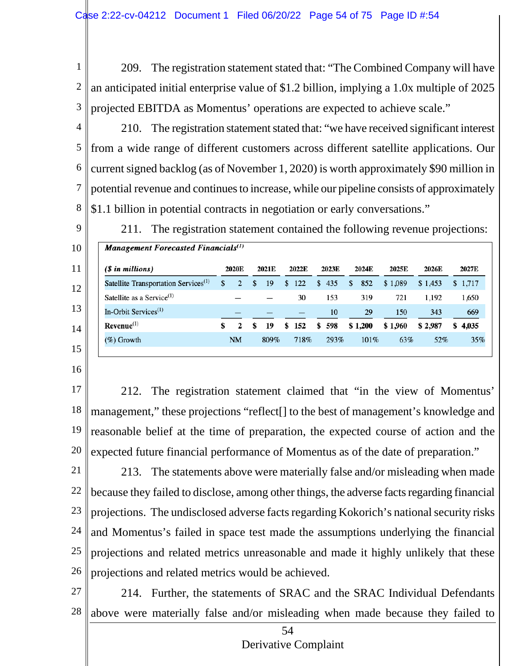1 2 3 209. The registration statement stated that: "The Combined Company will have an anticipated initial enterprise value of \$1.2 billion, implying a 1.0x multiple of 2025 projected EBITDA as Momentus' operations are expected to achieve scale."

4 5 6 7 8 210. The registration statement stated that: "we have received significant interest from a wide range of different customers across different satellite applications. Our current signed backlog (as of November 1, 2020) is worth approximately \$90 million in potential revenue and continues to increase, while our pipeline consists of approximately \$1.1 billion in potential contracts in negotiation or early conversations."



211. The registration statement contained the following revenue projections:

| Management Forecasted Financials $(1)$           |       |                |       |      |       |       |       |       |       |         |       |         |         |       |       |         |
|--------------------------------------------------|-------|----------------|-------|------|-------|-------|-------|-------|-------|---------|-------|---------|---------|-------|-------|---------|
| (\$ in millions)                                 | 2020E |                | 2021E |      | 2022E |       | 2023E |       | 2024E |         | 2025E |         | 2026E   |       | 2027E |         |
| Satellite Transportation Services <sup>(1)</sup> | \$    | $\overline{2}$ |       | 19   | \$    | 122   | S.    | 435   | \$    | 852     |       | \$1,089 | \$1,453 |       |       | \$1,717 |
| Satellite as a Service $(1)$                     |       |                |       |      |       | 30    |       | 153   |       | 319     |       | 721     |         | 1,192 |       | 1,650   |
| In-Orbit Services $^{(1)}$                       |       |                |       |      |       |       |       | 10    |       | 29      |       | 150     |         | 343   |       | 669     |
| $Revenue(1)$                                     |       |                | \$    | 19   |       | \$152 |       | \$598 |       | \$1,200 |       | \$1,960 | \$2,987 |       |       | \$4.035 |
| $(\%)$ Growth                                    |       | NΜ             |       | 809% |       | 718%  |       | 293%  |       | 101%    |       | 63%     |         | 52%   |       | 35%     |
|                                                  |       |                |       |      |       |       |       |       |       |         |       |         |         |       |       |         |

16

17

18 19 20 212. The registration statement claimed that "in the view of Momentus' management," these projections "reflect[] to the best of management's knowledge and reasonable belief at the time of preparation, the expected course of action and the expected future financial performance of Momentus as of the date of preparation."

21 22 23 24 25 26 213. The statements above were materially false and/or misleading when made because they failed to disclose, among other things, the adverse facts regarding financial projections. The undisclosed adverse facts regarding Kokorich's national security risks and Momentus's failed in space test made the assumptions underlying the financial projections and related metrics unreasonable and made it highly unlikely that these projections and related metrics would be achieved.

27

28 214. Further, the statements of SRAC and the SRAC Individual Defendants above were materially false and/or misleading when made because they failed to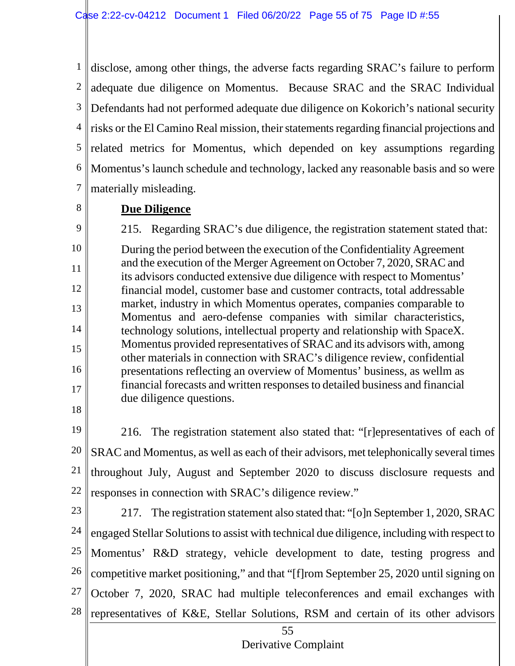1 2 3 4 5 6 7 disclose, among other things, the adverse facts regarding SRAC's failure to perform adequate due diligence on Momentus. Because SRAC and the SRAC Individual Defendants had not performed adequate due diligence on Kokorich's national security risks or the El Camino Real mission, their statements regarding financial projections and related metrics for Momentus, which depended on key assumptions regarding Momentus's launch schedule and technology, lacked any reasonable basis and so were materially misleading.

8

### **Due Diligence**

9 10 11 12 13 14 15 16 17 215. Regarding SRAC's due diligence, the registration statement stated that: During the period between the execution of the Confidentiality Agreement and the execution of the Merger Agreement on October 7, 2020, SRAC and its advisors conducted extensive due diligence with respect to Momentus' financial model, customer base and customer contracts, total addressable market, industry in which Momentus operates, companies comparable to Momentus and aero-defense companies with similar characteristics, technology solutions, intellectual property and relationship with SpaceX. Momentus provided representatives of SRAC and its advisors with, among other materials in connection with SRAC's diligence review, confidential presentations reflecting an overview of Momentus' business, as wellm as financial forecasts and written responses to detailed business and financial due diligence questions.

18

19 20 21 22 216. The registration statement also stated that: "[r]epresentatives of each of SRAC and Momentus, as well as each of their advisors, met telephonically several times throughout July, August and September 2020 to discuss disclosure requests and responses in connection with SRAC's diligence review."

23 24 25 26 27 28 217. The registration statement also stated that: "[o]n September 1, 2020, SRAC engaged Stellar Solutions to assist with technical due diligence, including with respect to Momentus' R&D strategy, vehicle development to date, testing progress and competitive market positioning," and that "[f]rom September 25, 2020 until signing on October 7, 2020, SRAC had multiple teleconferences and email exchanges with representatives of K&E, Stellar Solutions, RSM and certain of its other advisors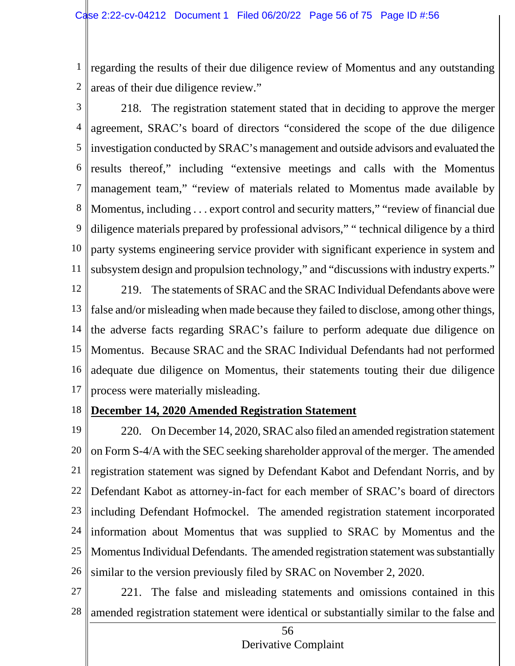1 2 regarding the results of their due diligence review of Momentus and any outstanding areas of their due diligence review."

3

4 5 6 7 8 9 10 11 218. The registration statement stated that in deciding to approve the merger agreement, SRAC's board of directors "considered the scope of the due diligence investigation conducted by SRAC's management and outside advisors and evaluated the results thereof," including "extensive meetings and calls with the Momentus management team," "review of materials related to Momentus made available by Momentus, including . . . export control and security matters," "review of financial due diligence materials prepared by professional advisors," "technical diligence by a third party systems engineering service provider with significant experience in system and subsystem design and propulsion technology," and "discussions with industry experts."

12 13 14 15 16 17 219. The statements of SRAC and the SRAC Individual Defendants above were false and/or misleading when made because they failed to disclose, among other things, the adverse facts regarding SRAC's failure to perform adequate due diligence on Momentus. Because SRAC and the SRAC Individual Defendants had not performed adequate due diligence on Momentus, their statements touting their due diligence process were materially misleading.

18

#### **December 14, 2020 Amended Registration Statement**

19 20 21 22 23 24 25 26 220. On December 14, 2020, SRAC also filed an amended registration statement on Form S-4/A with the SEC seeking shareholder approval of the merger. The amended registration statement was signed by Defendant Kabot and Defendant Norris, and by Defendant Kabot as attorney-in-fact for each member of SRAC's board of directors including Defendant Hofmockel. The amended registration statement incorporated information about Momentus that was supplied to SRAC by Momentus and the Momentus Individual Defendants. The amended registration statement was substantially similar to the version previously filed by SRAC on November 2, 2020.

27 28 221. The false and misleading statements and omissions contained in this amended registration statement were identical or substantially similar to the false and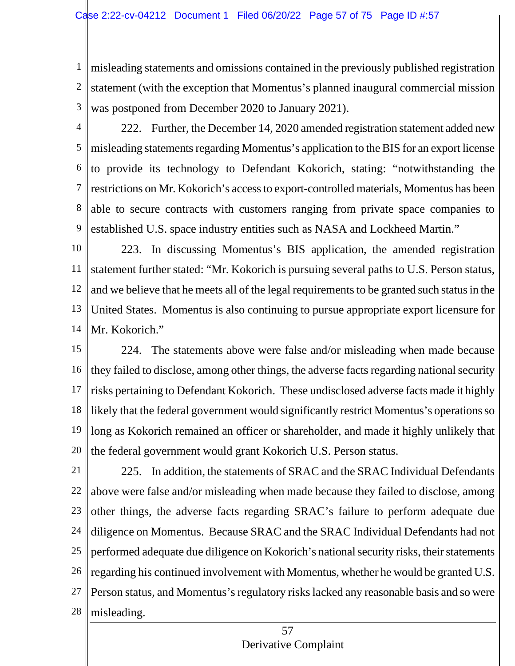1 2 3 misleading statements and omissions contained in the previously published registration statement (with the exception that Momentus's planned inaugural commercial mission was postponed from December 2020 to January 2021).

4

5 6 7 8 9 222. Further, the December 14, 2020 amended registration statement added new misleading statements regarding Momentus's application to the BIS for an export license to provide its technology to Defendant Kokorich, stating: "notwithstanding the restrictions on Mr. Kokorich's access to export-controlled materials, Momentus has been able to secure contracts with customers ranging from private space companies to established U.S. space industry entities such as NASA and Lockheed Martin."

10 11 12 13 14 223. In discussing Momentus's BIS application, the amended registration statement further stated: "Mr. Kokorich is pursuing several paths to U.S. Person status, and we believe that he meets all of the legal requirements to be granted such status in the United States. Momentus is also continuing to pursue appropriate export licensure for Mr. Kokorich."

15 16 17 18 19 20 224. The statements above were false and/or misleading when made because they failed to disclose, among other things, the adverse facts regarding national security risks pertaining to Defendant Kokorich. These undisclosed adverse facts made it highly likely that the federal government would significantly restrict Momentus's operations so long as Kokorich remained an officer or shareholder, and made it highly unlikely that the federal government would grant Kokorich U.S. Person status.

21 22 23 24 25 26 27 28 225. In addition, the statements of SRAC and the SRAC Individual Defendants above were false and/or misleading when made because they failed to disclose, among other things, the adverse facts regarding SRAC's failure to perform adequate due diligence on Momentus. Because SRAC and the SRAC Individual Defendants had not performed adequate due diligence on Kokorich's national security risks, their statements regarding his continued involvement with Momentus, whether he would be granted U.S. Person status, and Momentus's regulatory risks lacked any reasonable basis and so were misleading.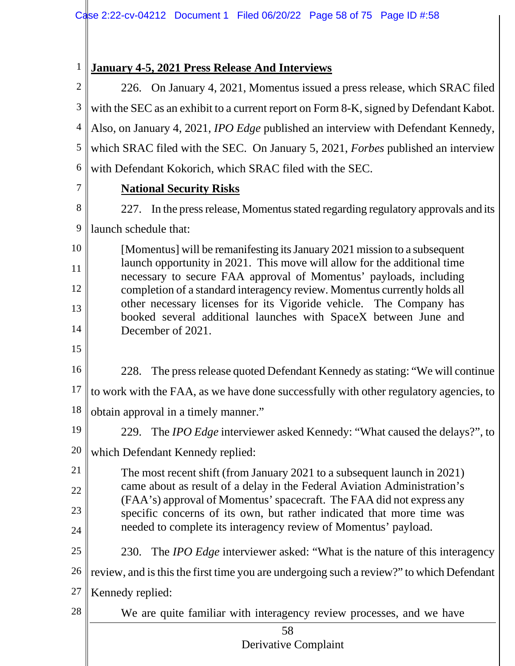$\mathbf{I}$ 

| $\mathbf{1}$   | <b>January 4-5, 2021 Press Release And Interviews</b>                                                                                             |  |  |  |  |  |  |  |  |  |  |
|----------------|---------------------------------------------------------------------------------------------------------------------------------------------------|--|--|--|--|--|--|--|--|--|--|
| $\overline{2}$ | 226. On January 4, 2021, Momentus issued a press release, which SRAC filed                                                                        |  |  |  |  |  |  |  |  |  |  |
| 3              | with the SEC as an exhibit to a current report on Form 8-K, signed by Defendant Kabot.                                                            |  |  |  |  |  |  |  |  |  |  |
| 4              | Also, on January 4, 2021, <i>IPO Edge</i> published an interview with Defendant Kennedy,                                                          |  |  |  |  |  |  |  |  |  |  |
| 5              | which SRAC filed with the SEC. On January 5, 2021, Forbes published an interview                                                                  |  |  |  |  |  |  |  |  |  |  |
| 6              | with Defendant Kokorich, which SRAC filed with the SEC.                                                                                           |  |  |  |  |  |  |  |  |  |  |
| 7              | <b>National Security Risks</b>                                                                                                                    |  |  |  |  |  |  |  |  |  |  |
| 8              | 227. In the press release, Momentus stated regarding regulatory approvals and its                                                                 |  |  |  |  |  |  |  |  |  |  |
| 9              | launch schedule that:                                                                                                                             |  |  |  |  |  |  |  |  |  |  |
| 10             | [Momentus] will be remanifiesting its January 2021 mission to a subsequent                                                                        |  |  |  |  |  |  |  |  |  |  |
| 11             | launch opportunity in 2021. This move will allow for the additional time<br>necessary to secure FAA approval of Momentus' payloads, including     |  |  |  |  |  |  |  |  |  |  |
| 12             | completion of a standard interagency review. Momentus currently holds all                                                                         |  |  |  |  |  |  |  |  |  |  |
| 13             | other necessary licenses for its Vigoride vehicle. The Company has<br>booked several additional launches with SpaceX between June and             |  |  |  |  |  |  |  |  |  |  |
| 14             | December of 2021.                                                                                                                                 |  |  |  |  |  |  |  |  |  |  |
| 15             |                                                                                                                                                   |  |  |  |  |  |  |  |  |  |  |
| 16             | The press release quoted Defendant Kennedy as stating: "We will continue<br>228.                                                                  |  |  |  |  |  |  |  |  |  |  |
| 17             | to work with the FAA, as we have done successfully with other regulatory agencies, to                                                             |  |  |  |  |  |  |  |  |  |  |
| 18             | obtain approval in a timely manner."                                                                                                              |  |  |  |  |  |  |  |  |  |  |
| 19             | 229. The IPO Edge interviewer asked Kennedy: "What caused the delays?", to                                                                        |  |  |  |  |  |  |  |  |  |  |
| 20             | which Defendant Kennedy replied:                                                                                                                  |  |  |  |  |  |  |  |  |  |  |
| 21             | The most recent shift (from January 2021 to a subsequent launch in 2021)                                                                          |  |  |  |  |  |  |  |  |  |  |
| 22             | came about as result of a delay in the Federal Aviation Administration's<br>(FAA's) approval of Momentus' spacecraft. The FAA did not express any |  |  |  |  |  |  |  |  |  |  |
| 23             | specific concerns of its own, but rather indicated that more time was                                                                             |  |  |  |  |  |  |  |  |  |  |
| 24             | needed to complete its interagency review of Momentus' payload.                                                                                   |  |  |  |  |  |  |  |  |  |  |
| 25             | 230. The <i>IPO Edge</i> interviewer asked: "What is the nature of this interagency                                                               |  |  |  |  |  |  |  |  |  |  |
| 26             | review, and is this the first time you are undergoing such a review?" to which Defendant                                                          |  |  |  |  |  |  |  |  |  |  |
| 27             | Kennedy replied:                                                                                                                                  |  |  |  |  |  |  |  |  |  |  |
| 28             | We are quite familiar with interagency review processes, and we have                                                                              |  |  |  |  |  |  |  |  |  |  |
|                | 58<br>Derivative Complaint                                                                                                                        |  |  |  |  |  |  |  |  |  |  |
|                |                                                                                                                                                   |  |  |  |  |  |  |  |  |  |  |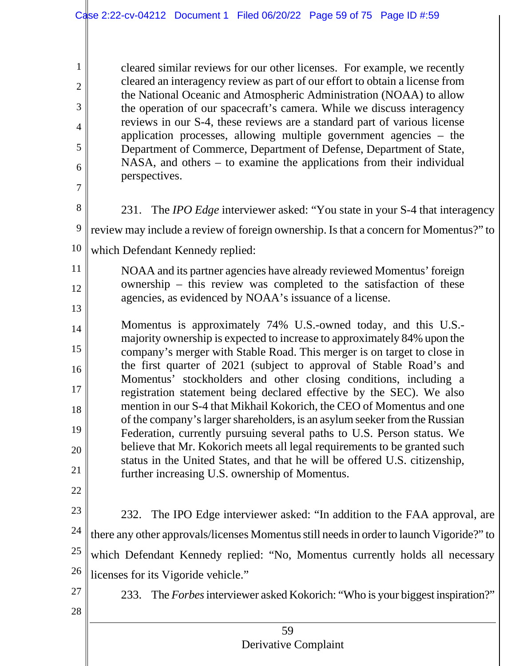cleared similar reviews for our other licenses. For example, we recently cleared an interagency review as part of our effort to obtain a license from the National Oceanic and Atmospheric Administration (NOAA) to allow the operation of our spacecraft's camera. While we discuss interagency reviews in our S-4, these reviews are a standard part of various license application processes, allowing multiple government agencies – the Department of Commerce, Department of Defense, Department of State, NASA, and others – to examine the applications from their individual perspectives.

8

1

2

3

4

5

6

7

9

11

12

13

231. The *IPO Edge* interviewer asked: "You state in your S-4 that interagency review may include a review of foreign ownership. Is that a concern for Momentus?" to

10 which Defendant Kennedy replied:

NOAA and its partner agencies have already reviewed Momentus' foreign ownership – this review was completed to the satisfaction of these agencies, as evidenced by NOAA's issuance of a license.

- 14 15 16 17 18 19 20 21 Momentus is approximately 74% U.S.-owned today, and this U.S. majority ownership is expected to increase to approximately 84% upon the company's merger with Stable Road. This merger is on target to close in the first quarter of 2021 (subject to approval of Stable Road's and Momentus' stockholders and other closing conditions, including a registration statement being declared effective by the SEC). We also mention in our S-4 that Mikhail Kokorich, the CEO of Momentus and one of the company's larger shareholders, is an asylum seeker from the Russian Federation, currently pursuing several paths to U.S. Person status. We believe that Mr. Kokorich meets all legal requirements to be granted such status in the United States, and that he will be offered U.S. citizenship, further increasing U.S. ownership of Momentus.
- 22

23 24 25 26 232. The IPO Edge interviewer asked: "In addition to the FAA approval, are there any other approvals/licenses Momentus still needs in order to launch Vigoride?" to which Defendant Kennedy replied: "No, Momentus currently holds all necessary licenses for its Vigoride vehicle."

27

28

233. The *Forbes*interviewer asked Kokorich: "Who is your biggest inspiration?"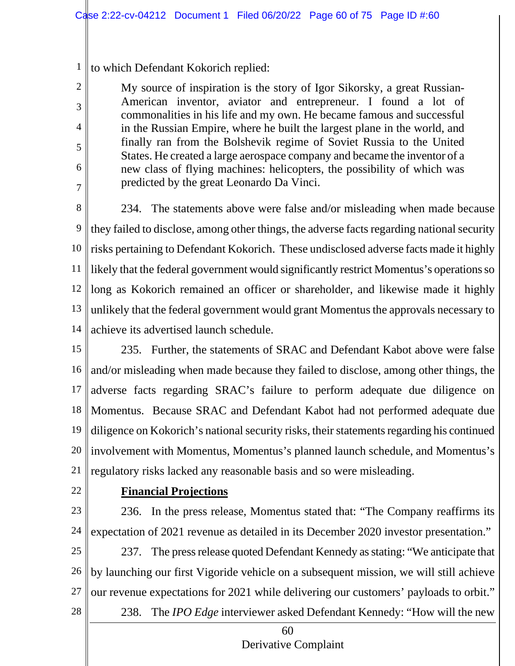1 to which Defendant Kokorich replied:

> My source of inspiration is the story of Igor Sikorsky, a great Russian-American inventor, aviator and entrepreneur. I found a lot of commonalities in his life and my own. He became famous and successful in the Russian Empire, where he built the largest plane in the world, and finally ran from the Bolshevik regime of Soviet Russia to the United States. He created a large aerospace company and became the inventor of a new class of flying machines: helicopters, the possibility of which was predicted by the great Leonardo Da Vinci.

8 9 10 11 12 13 14 234. The statements above were false and/or misleading when made because they failed to disclose, among other things, the adverse facts regarding national security risks pertaining to Defendant Kokorich. These undisclosed adverse facts made it highly likely that the federal government would significantly restrict Momentus's operations so long as Kokorich remained an officer or shareholder, and likewise made it highly unlikely that the federal government would grant Momentus the approvals necessary to achieve its advertised launch schedule.

- 15 16 17 18 19 20 21 235. Further, the statements of SRAC and Defendant Kabot above were false and/or misleading when made because they failed to disclose, among other things, the adverse facts regarding SRAC's failure to perform adequate due diligence on Momentus. Because SRAC and Defendant Kabot had not performed adequate due diligence on Kokorich's national security risks, their statements regarding his continued involvement with Momentus, Momentus's planned launch schedule, and Momentus's regulatory risks lacked any reasonable basis and so were misleading.
- 22

2

3

4

5

6

7

## **Financial Projections**

23 24 236. In the press release, Momentus stated that: "The Company reaffirms its expectation of 2021 revenue as detailed in its December 2020 investor presentation."

25 26 27 28 237. The press release quoted Defendant Kennedy as stating: "We anticipate that by launching our first Vigoride vehicle on a subsequent mission, we will still achieve our revenue expectations for 2021 while delivering our customers' payloads to orbit."

238. The *IPO Edge* interviewer asked Defendant Kennedy: "How will the new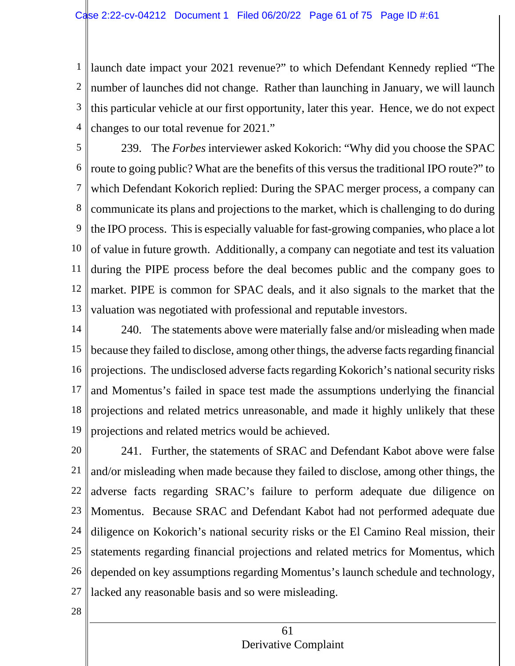1 2 3 4 launch date impact your 2021 revenue?" to which Defendant Kennedy replied "The number of launches did not change. Rather than launching in January, we will launch this particular vehicle at our first opportunity, later this year. Hence, we do not expect changes to our total revenue for 2021."

5 6 7 8 9 10 11 12 13 239. The *Forbes* interviewer asked Kokorich: "Why did you choose the SPAC route to going public? What are the benefits of this versus the traditional IPO route?" to which Defendant Kokorich replied: During the SPAC merger process, a company can communicate its plans and projections to the market, which is challenging to do during the IPO process. This is especially valuable for fast-growing companies, who place a lot of value in future growth. Additionally, a company can negotiate and test its valuation during the PIPE process before the deal becomes public and the company goes to market. PIPE is common for SPAC deals, and it also signals to the market that the valuation was negotiated with professional and reputable investors.

14 15 16 17 18 19 240. The statements above were materially false and/or misleading when made because they failed to disclose, among other things, the adverse facts regarding financial projections. The undisclosed adverse facts regarding Kokorich's national security risks and Momentus's failed in space test made the assumptions underlying the financial projections and related metrics unreasonable, and made it highly unlikely that these projections and related metrics would be achieved.

20 21 22 23 24 25 26 27 241. Further, the statements of SRAC and Defendant Kabot above were false and/or misleading when made because they failed to disclose, among other things, the adverse facts regarding SRAC's failure to perform adequate due diligence on Momentus. Because SRAC and Defendant Kabot had not performed adequate due diligence on Kokorich's national security risks or the El Camino Real mission, their statements regarding financial projections and related metrics for Momentus, which depended on key assumptions regarding Momentus's launch schedule and technology, lacked any reasonable basis and so were misleading.

28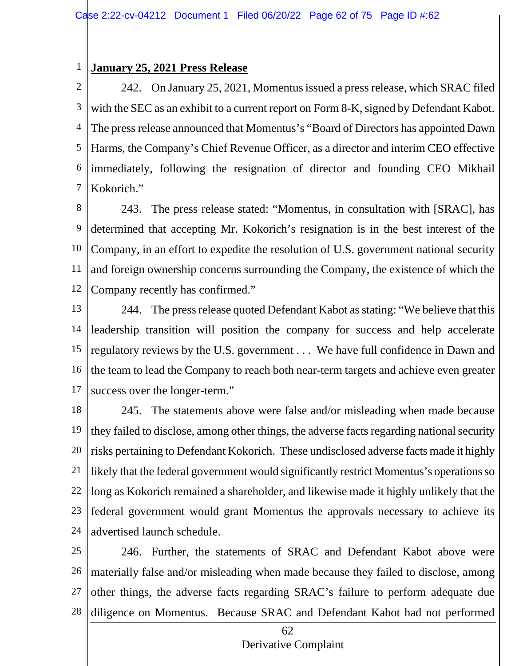#### 1 **January 25, 2021 Press Release**

2 3 4 5 6 7 242. On January 25, 2021, Momentus issued a press release, which SRAC filed with the SEC as an exhibit to a current report on Form 8-K, signed by Defendant Kabot. The press release announced that Momentus's "Board of Directors has appointed Dawn Harms, the Company's Chief Revenue Officer, as a director and interim CEO effective immediately, following the resignation of director and founding CEO Mikhail Kokorich."

8 9 10 11 12 243. The press release stated: "Momentus, in consultation with [SRAC], has determined that accepting Mr. Kokorich's resignation is in the best interest of the Company, in an effort to expedite the resolution of U.S. government national security and foreign ownership concerns surrounding the Company, the existence of which the Company recently has confirmed."

13 14 15 16 17 244. The press release quoted Defendant Kabot as stating: "We believe that this leadership transition will position the company for success and help accelerate regulatory reviews by the U.S. government . . . We have full confidence in Dawn and the team to lead the Company to reach both near-term targets and achieve even greater success over the longer-term."

18 19 20 21 22 23 24 245. The statements above were false and/or misleading when made because they failed to disclose, among other things, the adverse facts regarding national security risks pertaining to Defendant Kokorich. These undisclosed adverse facts made it highly likely that the federal government would significantly restrict Momentus's operations so long as Kokorich remained a shareholder, and likewise made it highly unlikely that the federal government would grant Momentus the approvals necessary to achieve its advertised launch schedule.

25 26 27 28 246. Further, the statements of SRAC and Defendant Kabot above were materially false and/or misleading when made because they failed to disclose, among other things, the adverse facts regarding SRAC's failure to perform adequate due diligence on Momentus. Because SRAC and Defendant Kabot had not performed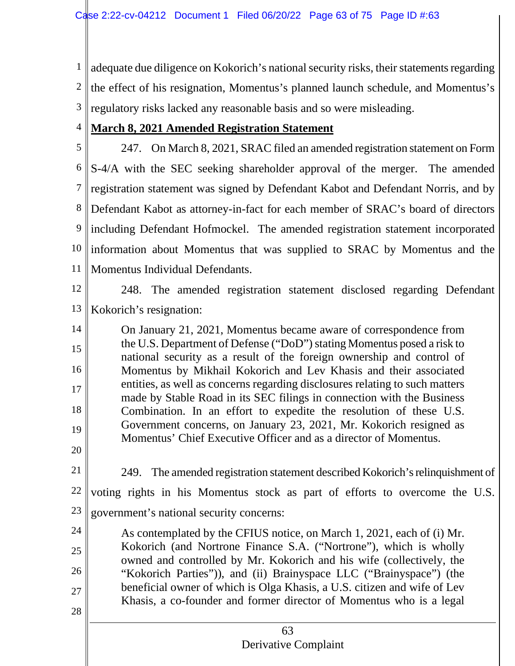1 2 3 adequate due diligence on Kokorich's national security risks, their statements regarding the effect of his resignation, Momentus's planned launch schedule, and Momentus's regulatory risks lacked any reasonable basis and so were misleading.

#### 4 **March 8, 2021 Amended Registration Statement**

5 6 7 8 9 10 11 247. On March 8, 2021, SRAC filed an amended registration statement on Form S-4/A with the SEC seeking shareholder approval of the merger. The amended registration statement was signed by Defendant Kabot and Defendant Norris, and by Defendant Kabot as attorney-in-fact for each member of SRAC's board of directors including Defendant Hofmockel. The amended registration statement incorporated information about Momentus that was supplied to SRAC by Momentus and the Momentus Individual Defendants.



12 13 248. The amended registration statement disclosed regarding Defendant Kokorich's resignation:

14 15 16 17 18 19 On January 21, 2021, Momentus became aware of correspondence from the U.S. Department of Defense ("DoD") stating Momentus posed a risk to national security as a result of the foreign ownership and control of Momentus by Mikhail Kokorich and Lev Khasis and their associated entities, as well as concerns regarding disclosures relating to such matters made by Stable Road in its SEC filings in connection with the Business Combination. In an effort to expedite the resolution of these U.S. Government concerns, on January 23, 2021, Mr. Kokorich resigned as Momentus' Chief Executive Officer and as a director of Momentus.

20 21

249. The amended registration statement described Kokorich's relinquishment of

22 23 voting rights in his Momentus stock as part of efforts to overcome the U.S. government's national security concerns:

24 25 26 27 28 As contemplated by the CFIUS notice, on March 1, 2021, each of (i) Mr. Kokorich (and Nortrone Finance S.A. ("Nortrone"), which is wholly owned and controlled by Mr. Kokorich and his wife (collectively, the "Kokorich Parties")), and (ii) Brainyspace LLC ("Brainyspace") (the beneficial owner of which is Olga Khasis, a U.S. citizen and wife of Lev Khasis, a co-founder and former director of Momentus who is a legal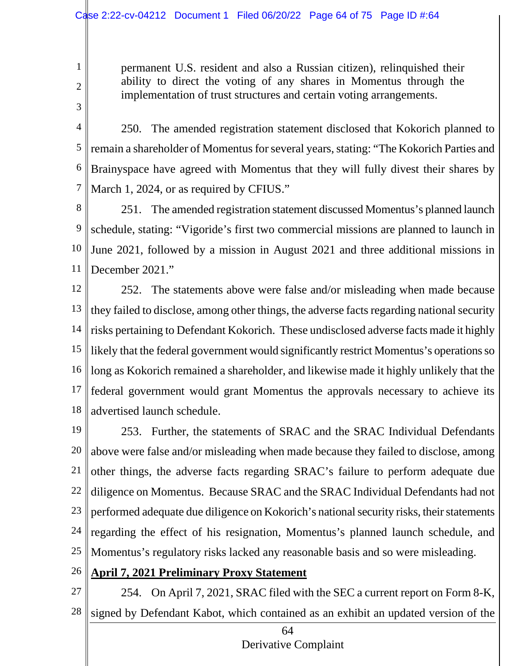permanent U.S. resident and also a Russian citizen), relinquished their ability to direct the voting of any shares in Momentus through the implementation of trust structures and certain voting arrangements.

4 5 6 7 250. The amended registration statement disclosed that Kokorich planned to remain a shareholder of Momentus for several years, stating: "The Kokorich Parties and Brainyspace have agreed with Momentus that they will fully divest their shares by March 1, 2024, or as required by CFIUS."

8 9 10 11 251. The amended registration statement discussed Momentus's planned launch schedule, stating: "Vigoride's first two commercial missions are planned to launch in June 2021, followed by a mission in August 2021 and three additional missions in December 2021."

12 13 14 15 16 17 18 252. The statements above were false and/or misleading when made because they failed to disclose, among other things, the adverse facts regarding national security risks pertaining to Defendant Kokorich. These undisclosed adverse facts made it highly likely that the federal government would significantly restrict Momentus's operations so long as Kokorich remained a shareholder, and likewise made it highly unlikely that the federal government would grant Momentus the approvals necessary to achieve its advertised launch schedule.

19 20 21 22 23 24 25 253. Further, the statements of SRAC and the SRAC Individual Defendants above were false and/or misleading when made because they failed to disclose, among other things, the adverse facts regarding SRAC's failure to perform adequate due diligence on Momentus. Because SRAC and the SRAC Individual Defendants had not performed adequate due diligence on Kokorich's national security risks, their statements regarding the effect of his resignation, Momentus's planned launch schedule, and Momentus's regulatory risks lacked any reasonable basis and so were misleading.

- 26 **April 7, 2021 Preliminary Proxy Statement**
- 27

1

2

3

28

254. On April 7, 2021, SRAC filed with the SEC a current report on Form 8-K, signed by Defendant Kabot, which contained as an exhibit an updated version of the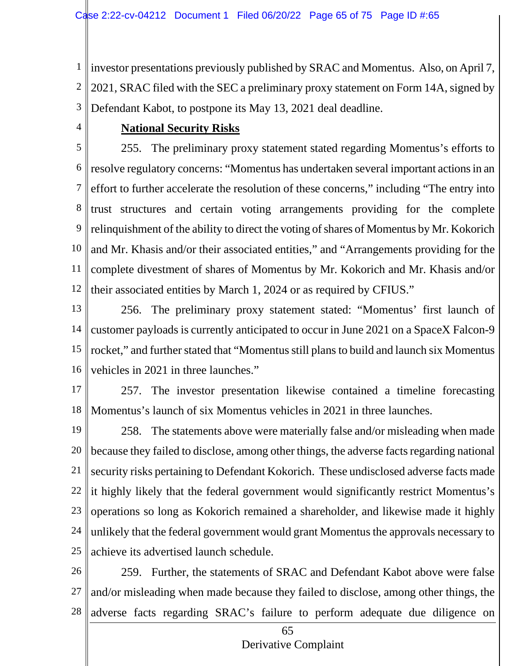1 2 3 investor presentations previously published by SRAC and Momentus. Also, on April 7, 2021, SRAC filed with the SEC a preliminary proxy statement on Form 14A, signed by Defendant Kabot, to postpone its May 13, 2021 deal deadline.

4

### **National Security Risks**

5 6 7 8 9 10 11 12 255. The preliminary proxy statement stated regarding Momentus's efforts to resolve regulatory concerns: "Momentus has undertaken several important actionsin an effort to further accelerate the resolution of these concerns," including "The entry into trust structures and certain voting arrangements providing for the complete relinquishment of the ability to direct the voting of shares of Momentus by Mr. Kokorich and Mr. Khasis and/or their associated entities," and "Arrangements providing for the complete divestment of shares of Momentus by Mr. Kokorich and Mr. Khasis and/or their associated entities by March 1, 2024 or as required by CFIUS."

13 14 15 16 256. The preliminary proxy statement stated: "Momentus' first launch of customer payloads is currently anticipated to occur in June 2021 on a SpaceX Falcon-9 rocket," and further stated that "Momentus still plans to build and launch six Momentus vehicles in 2021 in three launches."

17

18 257. The investor presentation likewise contained a timeline forecasting Momentus's launch of six Momentus vehicles in 2021 in three launches.

19 20 21 22 23 24 25 258. The statements above were materially false and/or misleading when made because they failed to disclose, among other things, the adverse facts regarding national security risks pertaining to Defendant Kokorich. These undisclosed adverse facts made it highly likely that the federal government would significantly restrict Momentus's operations so long as Kokorich remained a shareholder, and likewise made it highly unlikely that the federal government would grant Momentus the approvals necessary to achieve its advertised launch schedule.

26 27 28 259. Further, the statements of SRAC and Defendant Kabot above were false and/or misleading when made because they failed to disclose, among other things, the adverse facts regarding SRAC's failure to perform adequate due diligence on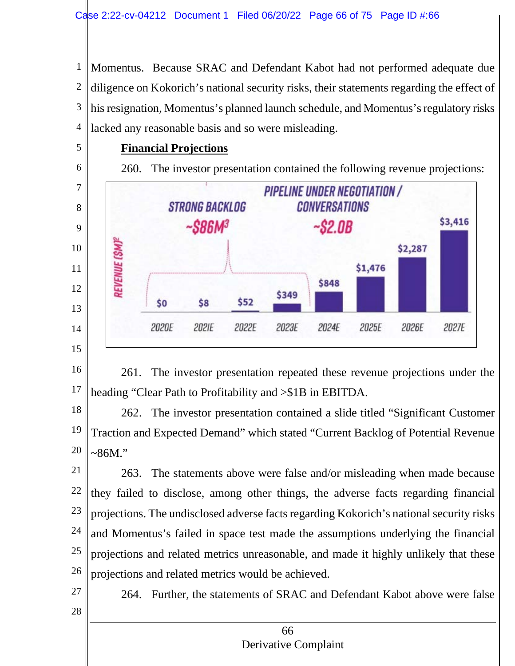1 2 3 4 Momentus. Because SRAC and Defendant Kabot had not performed adequate due diligence on Kokorich's national security risks, their statements regarding the effect of his resignation, Momentus's planned launch schedule, and Momentus's regulatory risks lacked any reasonable basis and so were misleading.

## **Financial Projections**

5

6

7

8

9

10

11

12

13

14

15

260. The investor presentation contained the following revenue projections:



16 17 261. The investor presentation repeated these revenue projections under the heading "Clear Path to Profitability and >\$1B in EBITDA.

18 19 20 262. The investor presentation contained a slide titled "Significant Customer Traction and Expected Demand" which stated "Current Backlog of Potential Revenue  $~86M$ ."

21 22 23 24 25 26 263. The statements above were false and/or misleading when made because they failed to disclose, among other things, the adverse facts regarding financial projections. The undisclosed adverse facts regarding Kokorich's national security risks and Momentus's failed in space test made the assumptions underlying the financial projections and related metrics unreasonable, and made it highly unlikely that these projections and related metrics would be achieved.

27

28

264. Further, the statements of SRAC and Defendant Kabot above were false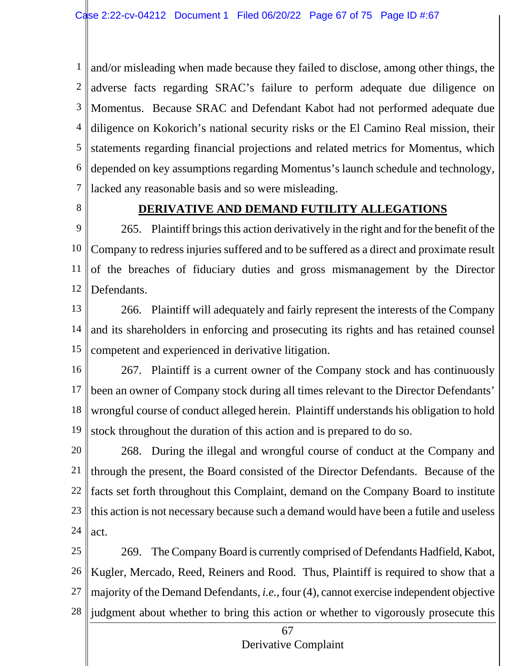1 2 3 4 5 6 7 and/or misleading when made because they failed to disclose, among other things, the adverse facts regarding SRAC's failure to perform adequate due diligence on Momentus. Because SRAC and Defendant Kabot had not performed adequate due diligence on Kokorich's national security risks or the El Camino Real mission, their statements regarding financial projections and related metrics for Momentus, which depended on key assumptions regarding Momentus's launch schedule and technology, lacked any reasonable basis and so were misleading.

8

#### **DERIVATIVE AND DEMAND FUTILITY ALLEGATIONS**

9 10 11 12 265. Plaint iff brings this action derivatively in the right and for the benefit of the Company to redress injuries suffered and to be suffered as a direct and proximate result of the breaches of fiduciary duties and gross mismanagement by the Director Defendants.

13 14 15 266. Plaintiff will adequately and fairly represent the interests of the Company and its shareholders in enforcing and prosecuting its rights and has retained counsel competent and experienced in derivative litigation.

16 17 18 19 267. Plaintiff is a current owner of the Company stock and has continuously been an owner of Company stock during all times relevant to the Director Defendants' wrongful course of conduct alleged herein. Plaintiff understands his obligation to hold stock throughout the duration of this action and is prepared to do so.

20 21 22 23 24 268. During the illegal and wrongful course of conduct at the Company and through the present, the Board consisted of the Director Defendants. Because of the facts set forth throughout this Complaint, demand on the Company Board to institute this action is not necessary because such a demand would have been a futile and useless act.

25 26 27 28 269. The Company Board is currently comprised of Defendants Hadfield, Kabot, Kugler, Mercado, Reed, Reiners and Rood. Thus, Plaintiff is required to show that a majority of the Demand Defendants, *i.e.*, four (4), cannot exercise independent objective judgment about whether to bring this action or whether to vigorously prosecute this

# Derivative Complaint

67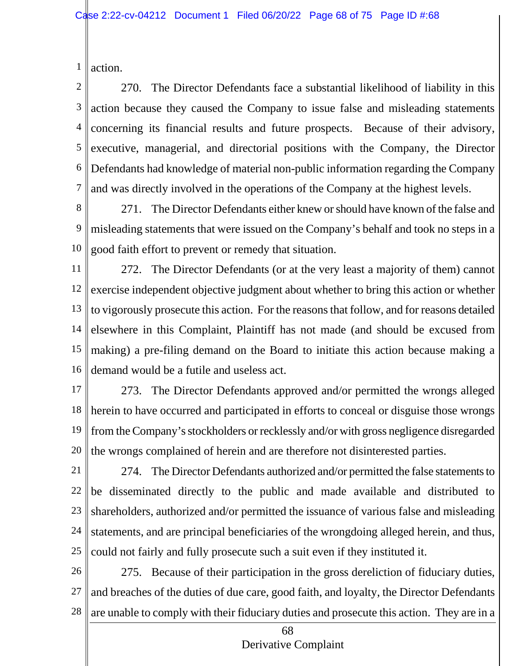1 action.

2 3 4 5 6 7 270. The Director Defendants face a substantial likelihood of liability in this action because they caused the Company to issue false and misleading statements concerning its financial results and future prospects. Because of their advisory, executive, managerial, and directorial positions with the Company, the Director Defendants had knowledge of material non-public information regarding the Company and was directly involved in the operations of the Company at the highest levels.

8 9 10 271. The Director Defendants either knew or should have known of the false and misleading statements that were issued on the Company's behalf and took no steps in a good faith effort to prevent or remedy that situation.

11 12 13 14 15 16 272. The Director Defendants (or at the very least a majority of them) cannot exercise independent objective judgment about whether to bring this action or whether to vigorously prosecute this action. For the reasons that follow, and for reasons detailed elsewhere in this Complaint, Plaintiff has not made (and should be excused from making) a pre-filing demand on the Board to initiate this action because making a demand would be a futile and useless act.

- 17 18 19 20 273. The Director Defendants approved and/or permitted the wrongs alleged herein to have occurred and participated in efforts to conceal or disguise those wrongs from the Company's stockholders or recklessly and/or with gross negligence disregarded the wrongs complained of herein and are therefore not disinterested parties.
- 21 22 23 24 25 274. The Director Defendants authorized and/or permitted the false statements to be disseminated directly to the public and made available and distributed to shareholders, authorized and/or permitted the issuance of various false and misleading statements, and are principal beneficiaries of the wrongdoing alleged herein, and thus, could not fairly and fully prosecute such a suit even if they instituted it.
- 26 27 28 275. Because of their participation in the gross dereliction of fiduciary duties, and breaches of the duties of due care, good faith, and loyalty, the Director Defendants are unable to comply with their fiduciary duties and prosecute this action. They are in a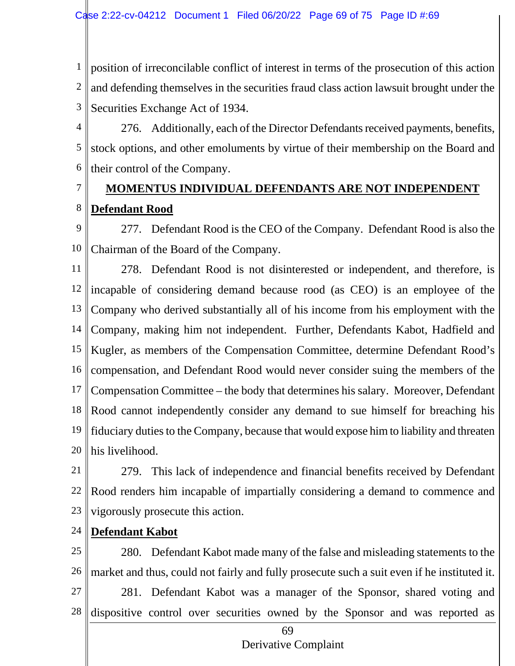1 2 3 position of irreconcilable conflict of interest in terms of the prosecution of this action and defending themselves in the securities fraud class action lawsuit brought under the Securities Exchange Act of 1934.

4 5 6 276. Additionally, each of the Director Defendants received payments, benefits, stock options, and other emoluments by virtue of their membership on the Board and their control of the Company.

# **MOMENTUS INDIVIDUAL DEFENDANTS ARE NOT INDEPENDENT Defendant Rood**

9 10 277. Defendant Rood is the CEO of the Company. Defendant Rood is also the Chairman of the Board of the Company.

11 12 13 14 15 16 17 18 19 20 278. Defendant Rood is not disinterested or independent, and therefore, is incapable of considering demand because rood (as CEO) is an employee of the Company who derived substantially all of his income from his employment with the Company, making him not independent. Further, Defendants Kabot, Hadfield and Kugler, as members of the Compensation Committee, determine Defendant Rood's compensation, and Defendant Rood would never consider suing the members of the Compensation Committee – the body that determines his salary. Moreover, Defendant Rood cannot independently consider any demand to sue himself for breaching his fiduciary duties to the Company, because that would expose him to liability and threaten his livelihood.

- 21 22 23 279. This lack of independence and financial benefits received by Defendant Rood renders him incapable of impartially considering a demand to commence and vigorously prosecute this action.
- 24 **Defendant Kabot**

7

8

25 26 27 28 280. Defendant Kabot made many of the false and misleading statements to the market and thus, could not fairly and fully prosecute such a suit even if he instituted it. 281. Defendant Kabot was a manager of the Sponsor, shared voting and dispositive control over securities owned by the Sponsor and was reported as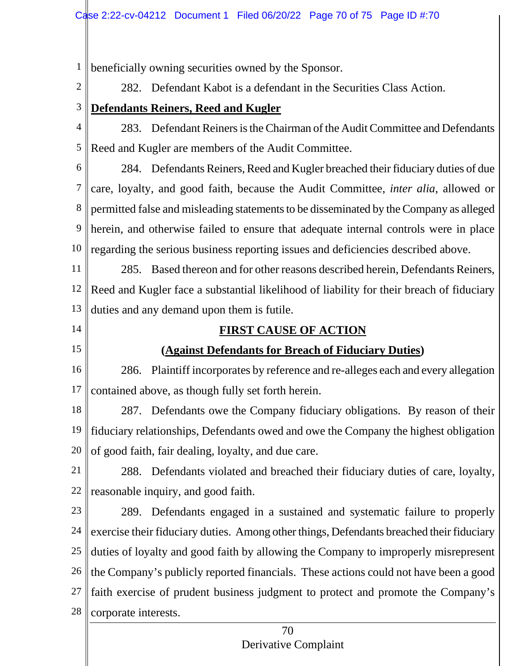1 beneficially owning securities owned by the Sponsor.

2

282. Defendant Kabot is a defendant in the Securities Class Action.

3

4 5 **Defendants Reiners, Reed and Kugler** 283. Defendant Reiners is the Chairman of the Audit Committee and Defendants Reed and Kugler are members of the Audit Committee.

6 7 8 9 10 284. Defendants Reiners, Reed and Kugler breached their fiduciary duties of due care, loyalty, and good faith, because the Audit Committee, *inter alia*, allowed or permitted false and misleading statements to be disseminated by the Company as alleged herein, and otherwise failed to ensure that adequate internal controls were in place regarding the serious business reporting issues and deficiencies described above.

11 12 13 285. Based thereon and for other reasons described herein, Defendants Reiners, Reed and Kugler face a substantial likelihood of liability for their breach of fiduciary duties and any demand upon them is futile.

14 15

## **FIRST CAUSE OF ACTION**

## **(Against Defendants for Breach of Fiduciary Duties)**

16 17 286. Plaintiff incorporates by reference and re-alleges each and every allegation contained above, as though fully set forth herein.

18 19 20 287. Defendants owe the Company fiduciary obligations. By reason of their fiduciary relationships, Defendants owed and owe the Company the highest obligation of good faith, fair dealing, loyalty, and due care.

21 22 288. Defendants violated and breached their fiduciary duties of care, loyalty, reasonable inquiry, and good faith.

23 24 25 26 27 28 289. Defendants engaged in a sustained and systematic failure to properly exercise their fiduciary duties. Among other things, Defendants breached their fiduciary duties of loyalty and good faith by allowing the Company to improperly misrepresent the Company's publicly reported financials. These actions could not have been a good faith exercise of prudent business judgment to protect and promote the Company's corporate interests.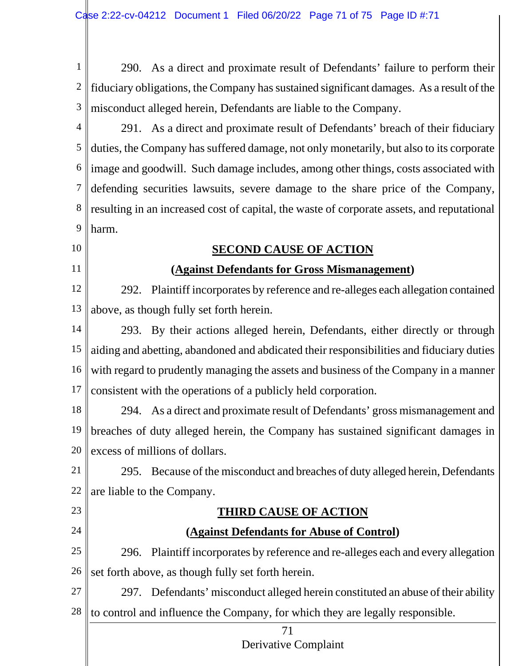1 2 3 290. As a direct and proximate result of Defendants' failure to perform their fiduciary obligations, the Company has sustained significant damages. As a result of the misconduct alleged herein, Defendants are liable to the Company.

4 5 6 7 8 9 291. As a direct and proximate result of Defendants' breach of their fiduciary duties, the Company has suffered damage, not only monetarily, but also to its corporate image and goodwill. Such damage includes, among other things, costs associated with defending securities lawsuits, severe damage to the share price of the Company, resulting in an increased cost of capital, the waste of corporate assets, and reputational harm.

## **SECOND CAUSE OF ACTION**

10

11

23

24

## **(Against Defendants for Gross Mismanagement)**

12 13 292. Plaintiff incorporates by reference and re-alleges each allegation contained above, as though fully set forth herein.

14 15 16 17 293. By their actions alleged herein, Defendants, either directly or through aiding and abetting, abandoned and abdicated their responsibilities and fiduciary duties with regard to prudently managing the assets and business of the Company in a manner consistent with the operations of a publicly held corporation.

18 19 20 294. As a direct and proximate result of Defendants' gross mismanagement and breaches of duty alleged herein, the Company has sustained significant damages in excess of millions of dollars.

21 22 295. Because of the misconduct and breaches of duty alleged herein, Defendants are liable to the Company.

## **THIRD CAUSE OF ACTION**

## **(Against Defendants for Abuse of Control)**

25 26 296. Plaintiff incorporates by reference and re-alleges each and every allegation set forth above, as though fully set forth herein.

27 28 297. Defendants' misconduct alleged herein constituted an abuse of their ability to control and influence the Company, for which they are legally responsible.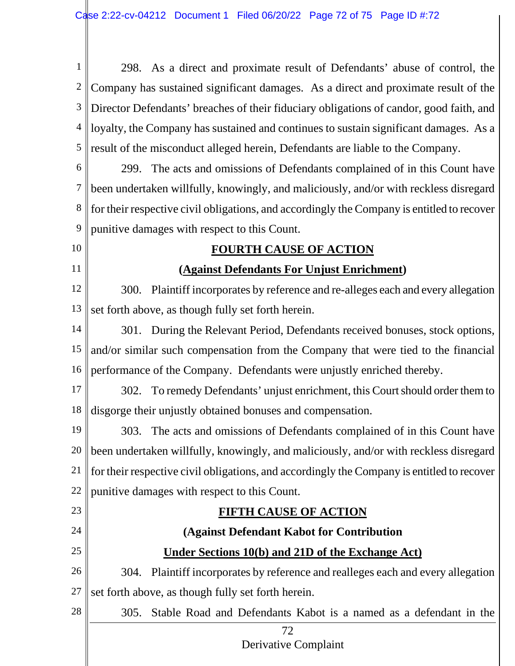72 Derivative Complaint 1 2 3 4 5 6 7 8 9 10 11 12 13 14 15 16 17 18 19 20 21 22 23 24 25 26 27 28 298. As a direct and proximate result of Defendants' abuse of control, the Company has sustained significant damages. As a direct and proximate result of the Director Defendants' breaches of their fiduciary obligations of candor, good faith, and loyalty, the Company has sustained and continues to sustain significant damages. As a result of the misconduct alleged herein, Defendants are liable to the Company. 299. The acts and omissions of Defendants complained of in this Count have been undertaken willfully, knowingly, and maliciously, and/or with reckless disregard for their respective civil obligations, and accordingly the Company is entitled to recover punitive damages with respect to this Count. **FOURTH CAUSE OF ACTION (Against Defendants For Unjust Enrichment)** 300. Plaintiff incorporates by reference and re-alleges each and every allegation set forth above, as though fully set forth herein. 301. During the Relevant Period, Defendants received bonuses, stock options, and/or similar such compensation from the Company that were tied to the financial performance of the Company. Defendants were unjustly enriched thereby. 302. To remedy Defendants' unjust enrichment, this Court should order them to disgorge their unjustly obtained bonuses and compensation. 303. The acts and omissions of Defendants complained of in this Count have been undertaken willfully, knowingly, and maliciously, and/or with reckless disregard for their respective civil obligations, and accordingly the Company is entitled to recover punitive damages with respect to this Count. **FIFTH CAUSE OF ACTION (Against Defendant Kabot for Contribution Under Sections 10(b) and 21D of the Exchange Act)** 304. Plaintiff incorporates by reference and realleges each and every allegation set forth above, as though fully set forth herein. 305. Stable Road and Defendants Kabot is a named as a defendant in the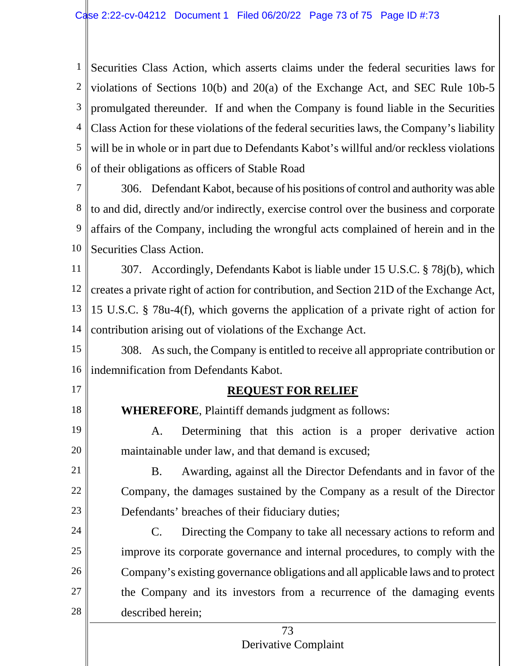1 Securities Class Action, which asserts claims under the federal securities laws for 2 <sup>3</sup> | promulgated thereunder. If and when the Company is found liable in the Securities 4 Class Action for these violations of the federal securities laws, the Company's liability 5 6 violations of Sections 10(b) and 20(a) of the Exchange Act, and SEC Rule 10b-5 will be in whole or in part due to Defendants Kabot's willful and/or reckless violations of their obligations as officers of Stable Road

7 8 9 10 306. Defendant Kabot, because of his positions of control and authority was able to and did, directly and/or indirectly, exercise control over the business and corporate affairs of the Company, including the wrongful acts complained of herein and in the Securities Class Action.

11 12 13 14 307. Accordingly, Defendants Kabot is liable under 15 U.S.C. § 78j(b), which creates a private right of action for contribution, and Section 21D of the Exchange Act, 15 U.S.C. § 78u-4(f), which governs the application of a private right of action for contribution arising out of violations of the Exchange Act.

15 16 308. As such, the Company is entitled to receive all appropriate contribution or indemnification from Defendants Kabot.

17

18

19

20

21

22

23

## **REQUEST FOR RELIEF**

**WHEREFORE**, Plaintiff demands judgment as follows:

A. Determining that this action is a proper derivative action maintainable under law, and that demand is excused;

B. Awarding, against all the Director Defendants and in favor of the Company, the damages sustained by the Company as a result of the Director Defendants' breaches of their fiduciary duties;

24 25 26 27 28 C. Directing the Company to take all necessary actions to reform and improve its corporate governance and internal procedures, to comply with the Company's existing governance obligations and all applicable laws and to protect the Company and its investors from a recurrence of the damaging events described herein;

## 73 Derivative Complaint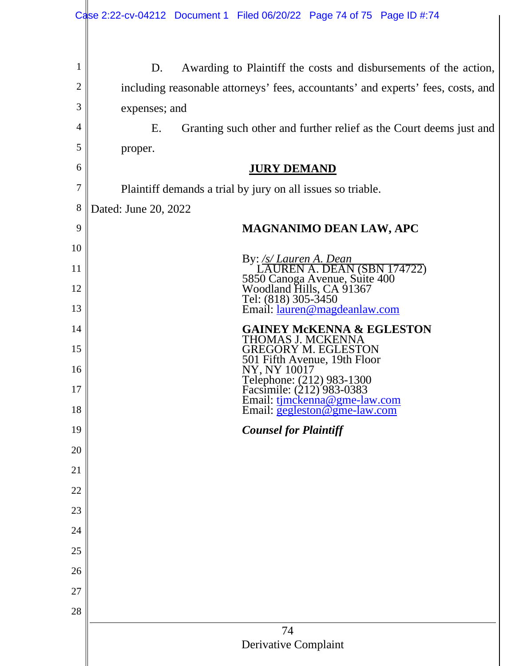| $\mathbf{1}$<br>Awarding to Plaintiff the costs and disbursements of the action,<br>D.                                                     |  |
|--------------------------------------------------------------------------------------------------------------------------------------------|--|
| $\overline{c}$<br>including reasonable attorneys' fees, accountants' and experts' fees, costs, and                                         |  |
| 3<br>expenses; and                                                                                                                         |  |
| 4<br>Ε.<br>Granting such other and further relief as the Court deems just and                                                              |  |
| 5<br>proper.                                                                                                                               |  |
| 6<br><b>JURY DEMAND</b>                                                                                                                    |  |
| 7<br>Plaintiff demands a trial by jury on all issues so triable.                                                                           |  |
| 8<br>Dated: June 20, 2022                                                                                                                  |  |
| 9<br><b>MAGNANIMO DEAN LAW, APC</b>                                                                                                        |  |
| 10                                                                                                                                         |  |
| By: /s/ Lauren A. Dean<br>11                                                                                                               |  |
| LAUREN A. DEAN (SBN 174722)<br>5850 Canoga Avenue, Suite 400<br>Woodland Hills, CA 91367<br>12<br>Tel: (818) 305-3450                      |  |
| Email: <u>lauren@magdeanlaw.com</u><br>13                                                                                                  |  |
| <b>GAINEY MCKENNA &amp; EGLESTON</b><br>14<br>THOMAS J. MCKENNA                                                                            |  |
| 15<br>GREGORY M. EGLESTON<br>501 Fifth Avenue, 19th Floor                                                                                  |  |
| 16<br>NY. NY 10017                                                                                                                         |  |
| Telephone: (212) 983-1300<br>Facsimile: (212) 983-0383<br>Email: <u>tjmckenna@gme-law.com</u><br>Email: <u>gegleston@gme-law.com</u><br>17 |  |
| 18                                                                                                                                         |  |
| 19<br><b>Counsel for Plaintiff</b>                                                                                                         |  |
| 20                                                                                                                                         |  |
| 21                                                                                                                                         |  |
| 22                                                                                                                                         |  |
| 23                                                                                                                                         |  |
| 24                                                                                                                                         |  |
| 25                                                                                                                                         |  |
| 26                                                                                                                                         |  |
| 27                                                                                                                                         |  |
| 28                                                                                                                                         |  |
| 74<br>Derivative Complaint                                                                                                                 |  |